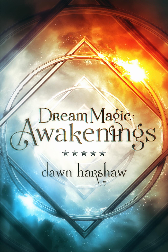# Awakenings dawn harshaw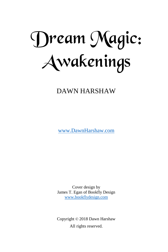Dream Magic: Awakenings

DAWN HARSHAW

[www.DawnHarshaw.com](http://www.dawnharshaw.com/)

Cover design by James T. Egan of Bookfly Design [www.bookflydesign.com](http://www.bookflydesign.com/)

Copyright © 2018 Dawn Harshaw All rights reserved.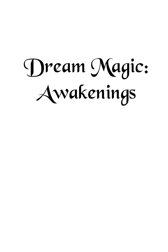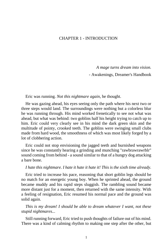# CHAPTER 1 - INTRODUCTION

*A mage turns dream into vision.*

- Awakenings, Dreamer's Handbook

Eric was running. *Not this nightmare again*, he thought.

He was gazing ahead, his eyes seeing only the path where his next two or three steps would land. The surroundings were nothing but a colorless blur he was running through. His mind worked frenetically to see not what was ahead, but what was behind: two goblins half his height trying to catch up to him. Eric could very clearly see in his mind the dark green skin and the multitude of pointy, crooked teeth. The goblins were swinging small clubs made from hard wood, the smoothness of which was most likely forged by a lot of clobbering action.

Eric could not stop envisioning the jagged teeth and burnished weapons since he was constantly hearing a grinding and munching "rawbrawrawrblr" sound coming from behind - a sound similar to that of a hungry dog attacking a bare bone.

#### *I hate this nightmare. I hate it hate it hate it! This is the sixth time already.*

Eric tried to increase his pace, reasoning that short goblin legs should be no match for an energetic young boy. When he sprinted ahead, the ground became muddy and his rapid steps sluggish. The rambling sound became more distant just for a moment, then returned with the same intensity. With a feeling of resignation, Eric resumed his normal pace and the ground was solid again.

*This is my dream! I should be able to dream whatever I want, not these stupid nightmares...*

Still running forward, Eric tried to push thoughts of failure out of his mind. There was a kind of calming rhythm to making one step after the other, but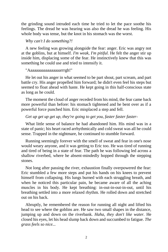the grinding sound intruded each time he tried to let the pace soothe his feelings. The dread he was hearing was also the dread he was feeling. His whole body was tense, but the knot in his stomach was the worst.

#### *Why can't I do something?!*

A new feeling was growing alongside the fear: anger. Eric was angry not at the goblins, but at himself. *I'm weak, I'm pitiful.* He felt the anger stir up inside him, displacing some of the fear. He instinctively knew that this was something he could use and tried to intensify it.

#### "Aaaaaaaaaaaaaaaaarrrgh!"

He let out his anger in what seemed to be part shout, part scream, and part battle cry. His anger propelled him forward; he didn't even feel his steps but seemed to float ahead with haste. He kept going in this half-conscious state as long as he could.

The moment the cloud of anger receded from his mind, the fear came back more powerful than before: his stomach tightened and he bent over as if a powerful force punched him. Eric misplaced a step and fell.

## *Get up get up get up, they're going to get you, faster faster faster-*

What little sense of balance he had abandoned him. His mind was in a state of panic; his heart raced arrhythmically and cold sweat was all he could sense. Trapped in the nightmare, he continued to stumble forward.

Running seemingly forever with the smell of sweat and fear in one's nose would weary anyone, and it was getting to Eric too. He was tired of running and tired of being in a state of fear. The path he was following led across a shallow riverbed, where he absent-mindedly hopped through the stepping stones.

Not long after passing the river, exhaustion finally overpowered the fear: Eric stumbled a few more steps and put his hands on his knees to prevent himself from collapsing. His lungs burned with each struggling breath, and when he noticed this particular pain, he became aware of all the aching muscles in his body. He kept breathing: in-out-in-out-in-out, until his breathing settled into a more relaxed rhythm. He rolled down and stretched out on his back.

Abruptly, he remembered the reason for running all night and lifted his head to see where the goblins are. He saw two small shapes in the distance, jumping up and down on the riverbank. *Haha, they don't like water.* He closed his eyes, let his head slump back down and succumbed to fatigue. *The grass feels so nice...*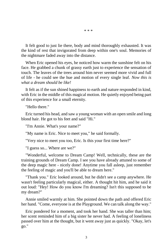It felt good to just lie there, body and mind thoroughly exhausted. It was the kind of rest that invigorated from deep within one's soul. Memories of the nightmare faded away into the distance.

When Eric opened his eyes, he noticed how warm the sunshine felt on his face. He grabbed a chunk of grassy earth just to experience the sensation of touch. The leaves of the trees around him never seemed more vivid and full of life - he could see the hue and motion of every single leaf. *Now this is what a dream should be like!*

It felt as if the sun shined happiness to earth and nature responded in kind, with Eric in the middle of this magical motion. He quietly enjoyed being part of this experience for a small eternity.

"Hello there."

Eric turned his head, and saw a young woman with an open smile and long blond hair. He got to his feet and said "Hi."

"I'm Annie. What's your name?"

"My name is Eric. Nice to meet you," he said formally.

"Very nice to meet you too, Eric. Is this your first time here?"

"I guess so... Where are we?"

"Wonderful, welcome to Dream Camp! Well, technically, these are the training grounds of Dream Camp. I see you have already attuned to some of the deep magic here - nicely done! Anytime you fall asleep, just remember the feeling of magic and you'll be able to dream here."

"Thank you." Eric looked around, but he didn't see a camp anywhere. He wasn't feeling particularly magical, either. A thought hit him, and he said it out loud: "Hey! How do you know I'm dreaming? Isn't this supposed to be my dream?"

Annie smiled warmly at him. She pointed down the path and offered Eric her hand. "Come, everyone is at the Playground. We can talk along the way."

Eric pondered for a moment, and took her hand. She was taller than him; her scent reminded him of a big sister he never had. A feeling of loneliness passed over him at the thought, but it went away just as quickly. "Okay, let's go."

\* \* \*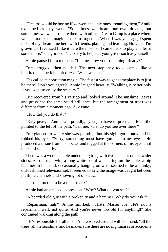"Dreams would be boring if we were the only ones dreaming them," Annie explained as they went. "Sometimes we dream our own dreams, but sometimes we wish to share them with others. Dream Camp is a place where we can master the magic of dreams together. When I was your age, I spent most of my dreamtime here with friends, playing and learning. Now that I'm grown up, I realized I like it here the most, so I came back to play and learn some more," she grinned. "I also try to help out youngsters such as yourself."

Annie paused for a moment. "Let me show you something. Ready?"

Eric shrugged, then nodded. The next step they took seemed like a hundred, and he felt a bit dizzy. "What was that?"

"It's called teleportation magic. The fastest way to get someplace is to just be there! Don't you agree?" Annie laughed heartily. "Walking is better only if you want to enjoy the scenery."

Eric recovered from his vertigo and looked around. The sunshine, leaves and grass had the same vivid brilliance, but the arrangement of trees was different from a moment ago. *Awesome!*

"How did you do that?"

"Easy peasy," Annie said proudly, "you just have to practice a lot." She pointed to the left of the path. "Tell me, what do you see over there?"

Eric glanced to where she was pointing, but his sight got cloudy and he rubbed his eyes. "Sorry, something must have gotten into my eyes." He produced a tissue from his pocket and tugged at the corners of his eyes until he could see clearly.

There was a wooden table under a big tree, with two benches on the wider sides. An old man with a long white beard was sitting on the table, a big hammer in his hand, occasionally banging on what seemed to be a clunky, old-fashioned television set. It seemed to Eric the image was caught between multiple channels and showing lot of static.

"Isn't he too old to be a repairman?"

Annie had an amused expression. "Why? What do you see?"

"A bearded old guy with a broken tv and a hammer. Why do you ask?"

"Repairman, huh?" Annie smirked. "That's Master Joe. He's not a repairman, well, not quite. And you're never too old for anything!" She continued walking along the path.

"He's responsible for all this," Annie waved around with her hand, "all the trees, all the sunshine, and he makes sure there are no nightmares or accidents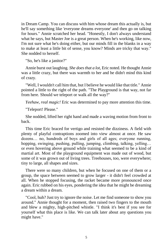in Dream Camp. You can discuss with him whose dream this actually is, but he'll say something like 'everyone dreams everyone' and then go on talking for hours." Annie scratched her head. "Honestly, I don't always understand what he says, but Master Joe is a great person. When he's working, like now, I'm not sure what he's doing either, but our minds fill in the blanks in a way to make at least a little bit of sense, you know? Minds are tricky that way." She nodded to herself.

"So, he's like a janitor?"

Annie burst out laughing. *She does that a lot*, Eric noted. He thought Annie was a little crazy, but there was warmth to her and he didn't mind this kind of crazy.

"Well, I wouldn't call him that, but I believe he would like that title." Annie pointed a little to the right of the path. "The Playground is that way, not far from here. Should we teleport or walk all the way?"

*Yeehaw, real magic!* Eric was determined to pay more attention this time.

"Teleport! Please."

She nodded, lifted her right hand and made a waving motion from front to back.

This time Eric braced for vertigo and resisted the dizziness. A field with plenty of playful contraptions zoomed into view almost at once. He saw dozens… no, hundreds of boys and girls of all ages; everyone running, hopping, swinging, pushing, pulling, jumping, climbing, talking, yelling... or even hovering above ground while training what seemed to be a kind of martial art. Most of the playground equipment was made out of wood, but some of it was grown out of living trees. Treehouses, too, were everywhere; tiny to large, all shapes and sizes.

There were so many children, but when he focused on one of them or a group, the space between seemed to grow larger - it didn't feel crowded at all. When he stopped focusing, the racket became more pronounced once again. Eric rubbed on his eyes, pondering the idea that he might be dreaming a dream within a dream.

"Cool, huh? Just try to ignore the noise. Let me find someone to show you around." Annie thought for a moment, then raised two fingers to the mouth and blew a mighty, high-pitched whistle. "I think it's best if you see for yourself what this place is like. We can talk later about any questions you might have."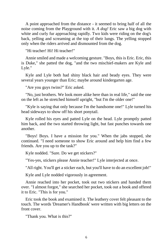A point approached from the distance - it seemed to bring half of all the noise coming from the Playground with it. *A dog!* Eric saw a big dog with white and curly fur approaching rapidly. Two kids were riding on the dog's back, yelling and screaming at the top of their lungs. The yelling stopped only when the riders arrived and dismounted from the dog.

"Hi teacher! Hi! Hi teacher!"

Annie smiled and made a welcoming gesture. "Boys, this is Eric. Eric, this is Duke," she patted the dog, "and the two mischief-makers are Kyle and Lyle."

Kyle and Lyle both had shiny black hair and beady eyes. They were several years younger than Eric; maybe around kindergarten age.

"Are you guys twins?" Eric asked.

"No, just brothers. We look more alike here than in real life," said the one on the left as he stretched himself upright, "but I'm the older one!"

"Kyle is saying that only because I'm the handsome one!" Lyle turned his head sideways to show off his short ponytail.

Kyle rolled his eyes and patted Lyle on the head. Lyle promptly patted him back, and the two started throwing light, but fast punches towards one another.

"Boys! Boys. I have a mission for you." When the jabs stopped, she continued. "I need someone to show Eric around and help him find a few friends. Are you up to the task?"

Kyle nodded. "Sure. Do we get stickers?"

"Yes-yes, stickers please Annie teacher!" Lyle interjected at once.

"All right. You'll get a sticker each, but you'll have to do an excellent job!"

Kyle and Lyle nodded vigorously in agreement.

Annie reached into her pocket, took out two stickers and handed them over. "I almost forgot," she searched her pocket, took out a book and offered it to Eric. "This is for you."

Eric took the book and examined it. The leathery cover felt pleasant to the touch. The words 'Dreamer's Handbook' were written with big letters on the front cover.

"Thank you. What is this?"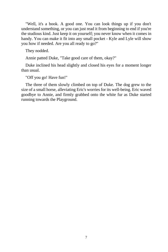"Well, it's a book. A good one. You can look things up if you don't understand something, or you can just read it from beginning to end if you're the studious kind. Just keep it on yourself; you never know when it comes in handy. You can make it fit into any small pocket - Kyle and Lyle will show you how if needed. Are you all ready to go?"

They nodded.

Annie patted Duke, "Take good care of them, okay?"

Duke inclined his head slightly and closed his eyes for a moment longer than usual.

"Off you go! Have fun!"

The three of them slowly climbed on top of Duke. The dog grew to the size of a small horse, alleviating Eric's worries for its well-being. Eric waved goodbye to Annie, and firmly grabbed onto the white fur as Duke started running towards the Playground.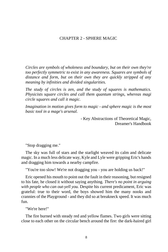## CHAPTER 2 - SPHERE MAGIC

*Circles are symbols of wholeness and boundary, but on their own they're too perfectly symmetric to exist in any awareness. Squares are symbols of distance and form, but on their own they are quickly stripped of any meaning by infinities and divided singularities.*

*The study of circles is zen, and the study of squares is mathematics. Physicists square circles and call them quantum strings, whereas magi circle squares and call it magic.*

*Imagination in motion gives form to magic - and sphere magic is the most basic tool in a mage's arsenal.*

> - Key Abstractions of Theoretical Magic, Dreamer's Handbook

"Stop dragging me."

The sky was full of stars and the starlight weaved its calm and delicate magic. In a much less delicate way, Kyle and Lyle were gripping Eric's hands and dragging him towards a nearby campfire.

"You're too slow! We're not dragging you - you are holding us back!"

Eric opened his mouth to point out the fault in their reasoning, but resigned to his fate, he closed it without saying anything. *There's no point in arguing with people who can out-yell you.* Despite his current predicament, Eric was grateful: true to their word, the boys showed him the many nooks and crannies of the Playground - and they did so at breakneck speed. It was much fun.

"We're here!"

The fire burned with steady red and yellow flames. Two girls were sitting close to each other on the circular bench around the fire: the dark-haired girl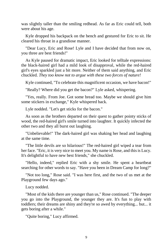was slightly taller than the smiling redhead. As far as Eric could tell, both were about his age.

Kyle dropped his backpack on the bench and gestured for Eric to sit. He cleared his throat in a grandiose manner.

"Dear Lucy, Eric and Rose! Lyle and I have decided that from now on, you three are best friends!"

As Kyle paused for dramatic impact, Eric looked for telltale expressions: the black-haired girl had a mild look of disapproval, while the red-haired girl's eyes sparkled just a bit more. Neither of them said anything, and Eric chuckled. *They too know not to argue with these two forces of nature!*

Kyle continued, "To celebrate this magnificent occasion, we have bacon!"

"Really? Where did you get the bacon?" Lyle asked, whispering.

"Yes, really. From Joe. Got some bread too. Maybe we should give him some stickers in exchange," Kyle whispered back.

Lyle nodded. "Let's get sticks for the bacon."

As soon as the brothers departed on their quest to gather pointy sticks of wood, the red-haired girl's smile turned into laughter. It quickly infected the other two and they all burst out laughing.

"Unbelievable!" The dark-haired girl was shaking her head and laughing at the same time.

"The little devils are so hilarious!" The red-haired girl wiped a tear from her face. "Eric, it is very nice to meet you. My name is Rose, and this is Lucy. It's delightful to have new best friends," she chuckled.

"Hello, indeed," replied Eric with a shy smile. He spent a heartbeat searching for other words to say. "Have you been in Dream Camp for long?"

"Not too long," Rose said. "I was here first, and the two of us met at the Playground few days ago."

Lucy nodded.

"Most of the kids there are younger than us," Rose continued. "The deeper you go into the Playground, the younger they are. It's fun to play with toddlers; their dreams are shiny and they're so awed by everything... but... it gets boring after a while."

"Quite boring," Lucy affirmed.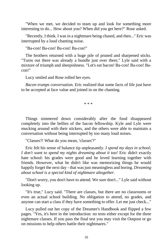"When we met, we decided to team up and look for something more interesting to do... How about you? When did you get here?" Rose asked.

"Recently, I think. I was in a nightmare being chased, and then..." Eric was interrupted by a loud chanting noise.

"Ba-con! Ba-con! Ba-con! Ba-con!"

The brothers returned with a huge pile of pruned and sharpened sticks. "Turns out there was already a bundle just over there," Lyle said with a mixture of triumph and sheepishness. "Let's eat bacon! Ba-con! Ba-con! Bacon!"

Lucy smiled and Rose rolled her eyes.

*Bacon trumps conversation.* Eric realized that some facts of life just have to be accepted at face value and joined in on the chanting.

\* \* \*

Things simmered down considerably after the food disappeared completely into the bellies of the bacon fellowship. Kyle and Lyle were mucking around with their stickers, and the others were able to maintain a conversation without being interrupted by too many loud noises.

"Classes?! What do you mean, 'classes'?"

Eric felt his sense of balance tip unpleasantly. *I spend my days in school; I don't want to spend my nights dreaming about it too!* Eric didn't exactly hate school: his grades were good and he loved learning together with friends. However, what he didn't like was memorizing things he would happily forget the next day - that was just meaningless and boring. *Dreaming about school is a special kind of nightmare altogether.*

"Don't worry, you don't have to attend. We sure don't..." Lyle said without looking up.

"It's true," Lucy said. "There are classes, but there are no classrooms or even an actual school building. No obligation to attend, no grades, and anyone can start a class if they have something to offer. Let me just check..."

Lucy pulled out her copy of the Dreamer's Handbook and flipped a few pages. "Yes, it's here in the introduction: no tests either except for the three nightmare classes. If you pass the final test you may visit the Outpost or go on missions to help others battle their nightmares."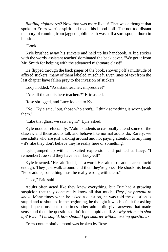*Battling nightmares?* Now that was more like it! That was a thought that spoke to Eric's warrior spirit and made his blood boil! The not-too-distant memory of running from jagged goblin teeth was still a sore spot; a thorn in his side...

"Look!"

Kyle brushed away his stickers and held up his handbook. A big sticker with the words 'assistant teacher' dominated the back cover. "We got it from Mr. Smith for helping with the advanced nightmare class!"

He flipped through the back pages of the book, showing off a multitude of affixed stickers, many of them labeled 'mischief'. Even lines of text from the last chapter have fallen prey to the invasion of stickers.

Lucy nodded. "Assistant teacher, impressive!"

"Are all the adults here teachers?" Eric asked.

Rose shrugged, and Lucy looked to Kyle.

"No," Kyle said, "but, those who aren't... I think something is wrong with them."

"Like that ghost we saw, right?" Lyle asked.

Kyle nodded reluctantly. "Adult students occasionally attend some of the classes, and those adults talk and behave like normal adults do. Rarely, we see adults who are just walking around and not paying attention to anything - it's like they don't believe they're really here or something."

Lyle jumped up with an excited expression and pointed at Lucy. "I remember! Joe said they have been Lucy-ed!"

Kyle frowned. "He said 'lucid', it's a word. He said those adults aren't lucid enough. They just walk around and then they're gone." He shook his head. "Poor adults, something must be really wrong with them."

"I see," Eric said.

Adults often acted like they knew everything, but Eric had a growing suspicion that they don't really know all that much. *They just pretend to know.* Many times when he asked a question, he was told the question is stupid and to shut up. In the beginning, he thought it was his fault for asking stupid questions, but sometimes other adults did give answers that made sense and then the questions didn't look stupid at all. *So why tell me to shut up? Even if I'm stupid, how should I get smarter without asking questions?*

Eric's contemplative mood was broken by Rose.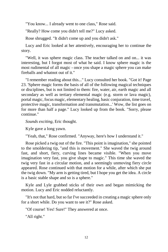"You know... I already went to one class," Rose said.

"Really? How come you didn't tell me?" Lucy asked.

Rose shrugged. "It didn't come up and you didn't ask."

Lucy and Eric looked at her attentively, encouraging her to continue the story.

"Well, it was sphere magic class. The teacher talked on and on... it was interesting, but I forgot most of what he said. I know sphere magic is the most rudimental of all magic - once you shape a magic sphere you can make fireballs and whatnot out of it."

"I remember reading about this..." Lucy consulted her book. "Got it! Page 23. 'Sphere magic forms the basis of all of the following magical techniques or disciplines, but is not limited to them: fire, water, air, earth magic and all secondary as well as tertiary elemental magic (e.g. storm or lava magic), portal magic, focus magic, elementary healing, basic conjuration, time travel, protective magic, transformation and transmutation...' Wow, the list goes on for more than half a page." Lucy looked up from the book. "Sorry, please continue."

*Sounds exciting*, Eric thought.

Kyle gave a long yawn.

"Yeah, that," Rose confirmed. "Anyway, here's how I understand it."

Rose picked a twig out of the fire. "This point is imagination," she pointed to the smoldering tip, "and this is movement." She waved the twig around fast, and short, fiery, curving lines became visible. "When you move imagination very fast, you give shape to magic." This time she waved the twig very fast in a circular motion, and a seemingly unmoving fiery circle appeared. Rose continued with that motion for a while, after which she put the twig down. "My arm is getting tired, but I hope you get the idea. A circle is a basic stable shape and so is a sphere."

Kyle and Lyle grabbed sticks of their own and began mimicking the motion. Lucy and Eric nodded reluctantly.

"It's not that hard, but so far I've succeeded in creating a magic sphere only for a short while. Do you want to see it?" Rose asked.

"Of course! Yes! Sure!" They answered at once.

"All right."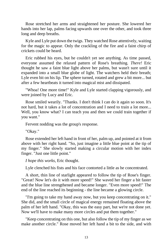Rose stretched her arms and straightened her posture. She lowered her hands into her lap, palms facing upwards one over the other, and took three long and deep breaths.

Kyle and Lyle put down the twigs. They watched Rose attentively, waiting for the magic to appear. Only the crackling of the fire and a faint chirp of crickets could be heard.

Eric rubbed his eyes, but he couldn't yet see anything. As time passed, everyone assumed the relaxed pattern of Rose's breathing. *There!* Eric thought he saw a faint blue light above her palms, but wasn't sure until it expanded into a small blue globe of light. The watchers held their breath; Lyle even bit on his lip. The sphere turned, rotated and grew a bit more... but after a few heartbeats it turned into magical mist and dissipated.

"Whoa! One more time!" Kyle and Lyle started clapping vigorously, and were joined by Lucy and Eric.

Rose smiled wearily. "Thanks. I don't think I can do it again so soon. It's not hard, but it takes a lot of concentration and I need to train a lot more... Well, you know what? I can teach you and then we could train together if you want."

Fervent nodding was the group's response.

"Okay."

Rose extended her left hand in front of her, palm up, and pointed at it from above with her right hand. "So, just imagine a little blue point at the tip of my finger." She slowly started making a circular motion with her index finger. "Just one little point."

*I hope this works*, Eric thought.

Lyle clenched his fists and his face contorted a little as he concentrated.

A short, thin line of starlight appeared to follow the tip of Rose's finger. "Great! Now let's do it with more speed!" She waved her finger a bit faster and the blue line strengthened and became longer. "Even more speed!" The end of the line reached its beginning - the line became a glowing circle.

"I'm going to take my hand away now, but you keep concentrating on it." She did, and the small circle of magical energy remained floating above the palm of her left hand. "Okay, this was the easy part, but we're not done yet. Now we'll have to make many more circles and put them together."

"Keep concentrating on this one, but also follow the tip of my finger as we make another circle." Rose moved her left hand a bit to the side, and with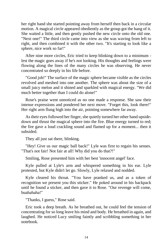her right hand she started pointing away from herself then back in a circular motion. A magical circle appeared obediently as the group got the hang of it. She waited a little, and then gently pushed the new circle onto the old one. "Next one!" The third circle came into view as she was waving from left to right, and then combined it with the other two. "It's starting to look like a sphere, nice work so far!"

After nine more circles, Eric tried to keep blinking down to a minimum lest the magic goes away if he's not looking. His thoughts and feelings were flowing along the lines of the many circles he was observing. He never concentrated so deeply in his life before.

"Good job!" The surface of the magic sphere became visible as the circles revolved and meshed into one another. The sphere was about the size of a small juicy melon and it shined and sparkled with magical energy. "We did much better together than I could do alone!"

Rose's praise went unnoticed as no one made a response. She saw their intense expressions and pondered her next move. "Forget this, look there!" Her right arm flung high into the air, pointing somewhere far away.

As their eyes followed her finger, she quietly turned her other hand upsidedown and thrust the magical sphere into the fire. Blue energy turned to red; the fire gave a loud crackling sound and flamed up for a moment... then it subsided.

They all just sat there, blinking.

"Hey! Give us our magic ball back!" Lyle was first to regain his senses. "That's not fair! Not fair at all! Why did you do that?!"

Smiling, Rose presented him with her best 'innocent angel' face.

Kyle pulled at Lyle's arm and whispered something in his ear. Lyle protested, but Kyle didn't let go. Slowly, Lyle relaxed and nodded.

Kyle cleared his throat. "You have pranked us, and as a token of recognition we present you this sticker." He poked around in his backpack until he found a sticker, and then gave it to Rose. "Our revenge will come, buahahaha!"

"Thanks, I guess," Rose said.

Eric took a deep breath. As he breathed out, he could feel the tension of concentrating for so long leave his mind and body. He breathed in again, and laughed. He noticed Lucy smiling faintly and scribbling something in her notebook.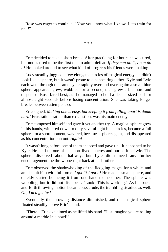Rose was eager to continue. "Now you know what I know. Let's train for real!"

\* \* \*

Eric decided to take a short break. After practicing for hours he was tired, but not as tired to be the first one to admit defeat. *If they can do it, I can do it!* He looked around to see what kind of progress his friends were making.

Lucy steadily juggled a few elongated circles of magical energy - it didn't look like a sphere, but it wasn't prone to disappearing either. Kyle and Lyle each went through the same cycle rapidly over and over again: a small blue sphere appeared, grew, wobbled for a second, then grew a bit more and dispersed. Rose fared best, as she managed to hold a decent-sized ball for almost eight seconds before losing concentration. She was taking longer breaks between attempts too.

Eric sighed. *Making one is easy, but keeping it from falling apart is damn hard!* Frustration, rather than exhaustion, was his main enemy.

Eric composed himself and gave it yet another try. A magical sphere grew in his hands, withered down to only several light blue circles, became a full sphere for a short moment, wavered, became a sphere again, and disappeared as his concentration ran out. *Again!*

It wasn't long before one of them snapped and gave up - it happened to be Kyle. He held up one of his short-lived spheres and hurled it at Lyle. The sphere dissolved about halfway, but Lyle didn't need any further encouragement: he threw one right back at his brother.

Eric observed the shadowboxing of the fledgling mages for a while, and an idea hit him with full force. *I got it! I got it!* He made a small sphere, and quickly started bouncing it from one hand to the other. The sphere was wobbling, but it did not disappear. "Look! This is working." As his backand-forth throwing motion became less crude, the trembling steadied as well. *Oh, I'm a genius!*

Eventually the throwing distance diminished, and the magical sphere floated steadily above Eric's hand.

"There!" Eric exclaimed as he lifted his hand. "Just imagine you're rolling around a marble in a bowl!"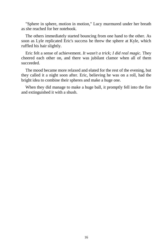"Sphere in sphere, motion in motion," Lucy murmured under her breath as she reached for her notebook.

The others immediately started bouncing from one hand to the other. As soon as Lyle replicated Eric's success he threw the sphere at Kyle, which ruffled his hair slightly.

Eric felt a sense of achievement. *It wasn't a trick; I did real magic.* They cheered each other on, and there was jubilant clamor when all of them succeeded.

The mood became more relaxed and elated for the rest of the evening, but they called it a night soon after. Eric, believing he was on a roll, had the bright idea to combine their spheres and make a huge one.

When they did manage to make a huge ball, it promptly fell into the fire and extinguished it with a shush.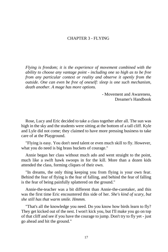# CHAPTER 3 - FLYING

*Flying is freedom; it is the experience of movement combined with the ability to choose any vantage point - including one so high as to be free from any particular context or reality and observe it openly from the outside. One can even be free of oneself: sleep is one such mechanism, death another. A mage has more options.*

> - Movement and Awareness, Dreamer's Handbook

Rose, Lucy and Eric decided to take a class together after all. The sun was high in the sky and the students were sitting at the bottom of a tall cliff. Kyle and Lyle did not come; they claimed to have more pressing business to take care of at the Playground.

"Flying is easy. You don't need talent or even much skill to fly. However, what you do need is big brass buckets of courage."

Annie began her class without much ado and went straight to the point, much like a swift hawk swoops in for the kill. More than a dozen kids attended the class, forming cliques of their own.

"In dreams, the only thing keeping you from flying is your own fear. Behind the fear of flying is the fear of falling, and behind the fear of falling is the fear of being painfully splattered on the ground."

Annie-the-teacher was a bit different than Annie-the-caretaker, and this was the first time Eric encountered this side of her. *She's kind of scary, but she still has that warm smile. Hmmm.*

"That's all the knowledge you need. Do you know how birds learn to fly? They get kicked out of the nest. I won't kick you, but I'll make you go on top of that cliff and see if you have the courage to jump. Don't try to fly yet - just go ahead and hit the ground."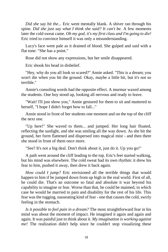*Did she say hit the...* Eric went mentally blank. A shiver ran through his spine. *Did she just say what I think she said? It can't be.* A few moments later the cold sweat came. *Oh my god, it's my first class and I'm going to die!*  Eric tried to convince himself it was only a misunderstanding.

Lucy's face went pale as it drained of blood. She gulped and said with a flat tone: "She has a point."

Rose did not show any expressions, but her smile disappeared.

Eric shook his head in disbelief.

"Hey, why do you all look so scared?" Annie asked. "This is a dream; you won't die when you hit the ground. Okay, maybe a little bit, but it's not so terrible."

Annie's consoling words had the opposite effect. A murmur waxed among the students. One boy stood up, looking all nervous and ready to leave.

"Wait! I'll just show you," Annie gestured for them to sit and muttered to herself, "I hope I didn't forget how to fall..."

Annie stood in front of her students one moment and on the top of the cliff the next one.

"Up here!" She waved to them... and jumped. Her long hair floated, reflecting the sunlight, and she was smiling all the way down. As she hit the ground, her form flattened and dispersed into magical mist - and then there she stood in front of them once more.

"See? It's not a big deal. Don't think about it, just do it. Up you go!"

A path went around the cliff leading to the top. Eric's feet started walking, but his mind was elsewhere. The cold sweat had its own rhythm: it drew his fear to him, pushed it away, then drew it back again.

*How could I jump?* Eric envisioned all the terrible things that would happen to him if he jumped down from up high in the real world. First of all, he could die. That's an outcome so fatal and absolute it was beyond his capability to imagine or fear. Worse than that, he could be maimed, in which case he would be married to pain and disability for the rest of his life. This fear was the tugging, nauseating kind of fear - one that causes the cold, swirly feeling in the stomach.

*Is it possible to feel pain in a dream?* The most straightforward fear in his mind was about the moment of impact. He imagined it again and again and again. It was painful just to think about it. *My imagination is working against me!* The realization didn't help since he couldn't stop visualizing these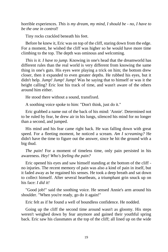horrible experiences. *This is my dream, my mind, I should be - no, I have to be the one in control!*

Tiny rocks crackled beneath his feet.

Before he knew it, Eric was on top of the cliff, staring down from the edge. For a moment, he wished the cliff was higher so he would have more time climbing to the top. The depth was ominous and welcoming.

*This is it. I have to jump.* Knowing in one's head that the dreamworld has different rules than the real world is very different from knowing the same thing in one's guts. His eyes were playing a trick on him; the bottom drew closer, then it expanded to even greater depths. He rubbed his eyes, but it didn't help. *Jump! Jump! Jump!* Was he saying that to himself or was it the height calling? Eric lost his track of time, and wasn't aware of the others around him either.

He stood there without a sound, transfixed.

A soothing voice spoke to him: "Don't think, just do it."

Eric grabbed a name out of the back of his mind: 'Annie'. Determined not to be ruled by fear, he drew air in his lungs, silenced his mind for no longer than a second, and jumped.

His mind and his fear came right back. He was falling down with great speed. For a fleeting moment, he noticed a scream. *Am I screaming?* He didn't have the time to figure out the answer, since he hit the ground with a big thud.

*The pain!* For a moment of timeless time, only pain persisted in his awareness. *Hey! Who's feeling the pain?*

Eric opened his eyes and saw himself standing at the bottom of the cliff no injuries. The recent memory of pain was also a kind of pain in itself, but it faded away as he regained his senses. He took a deep breath and sat down to collect himself. After several heartbeats, a triumphant grin snuck up on his face: *I did it!*

"Good job!" said the soothing voice. He sensed Annie's arm around his shoulder. "When you're ready, go do it again!"

Eric felt as if he found a well of boundless confidence. He nodded.

Going up the cliff the second time around wasn't as gloomy. His steps weren't weighed down by fear anymore and gained their youthful spring back. Eric saw his classmates at the top of the cliff; all lined up on the wide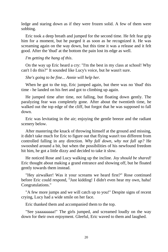ledge and staring down as if they were frozen solid. A few of them were sobbing.

Eric took a deep breath and jumped for the second time. He felt fear grip him for a moment, but he purged it as soon as he recognized it. He was screaming again on the way down, but this time it was a release and it felt good. After the 'thud' at the bottom the pain lost its edge as well.

*I'm getting the hang of this*.

On the way up Eric heard a cry: "I'm the best in my class at school! Why can't I do this?" It sounded like Lucy's voice, but he wasn't sure.

*She's going to be fine... Annie will help her.*

When he got to the top, Eric jumped again, but there was no 'thud' this time - he landed on his feet and got to climbing up again.

He jumped time after time, not falling, but floating down gently. The paralyzing fear was completely gone. After about the twentieth time, he walked out the top edge of the cliff, but forgot that he was supposed to fall down.

Eric was levitating in the air; enjoying the gentle breeze and the radiant scenery below.

After mastering the knack of throwing himself at the ground and missing, it didn't take much for Eric to figure out that flying wasn't too different from controlled falling in any direction. *Why fall down, why not fall up?* He swooshed around a bit, but when the possibilities of his newfound freedom hit him, he got a little dizzy and decided to take it slow.

He noticed Rose and Lucy walking up the incline. *Joy should be shared!* Eric thought about making a grand entrance and showing off, but he floated gently towards them instead.

"Hey airwalker! Was it your screams we heard first?" Rose continued before Eric could respond, "Just kidding! I didn't even hear my own, haha! Congratulations."

"A few more jumps and we will catch up to you!" Despite signs of recent crying, Lucy had a wide smile on her face.

Eric thanked them and accompanied them to the top.

"See yaaaaaaaaa!" The girls jumped, and screamed loudly on the way down for their own enjoyment. Gleeful, Eric waved to them and laughed.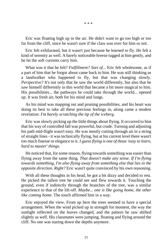\* \* \*

Eric was floating high up in the air. He didn't want to go too high or too far from the cliff, since he wasn't sure if the class was over for him or not.

Eric felt exhilarated, but it wasn't just because he learned to fly. He felt a kind of serenity as well. A barely noticeable breeze tugged at him gently, and he let the soft currents carry him.

What was it that he felt? *Fulfillment? Sort of...* Eric felt wholesome, as if a part of him that he forgot about came back to him. He was still thinking as a landwalker who happened to fly, but that was changing slowly. *Perspective?* It's not only that he saw the world differently, but also that he saw himself differently in this world that became a bit more magical to him. His possibilities... the pathways he could take through the world... opened up. It was fresh air, both for his mind and lungs.

As his mind was mapping out and pruning possibilities, and his heart was doing its best to take all these precious feelings in, along came a modest revelation: *I'm barely scratching the tip of the iceberg.*

Eric was slowly picking up the little things about flying. It occurred to him that his way of controlled fall was powerful, but crude. Turning and adjusting his path mid-flight wasn't easy. He was mostly cutting through air in a string of straight lines - it was technically flying, but at his current level there wasn't too much finesse or elegance to it. *I guess flying is one of those 'easy to learn, hard to master' things.*

He noticed that, for some reason, flying towards something was easier than flying away from the same thing. *That doesn't make any sense. If I'm flying towards something, I'm also flying away from something else that lies in the opposite direction. Right?* Eric wasn't quite convinced by his own reasoning.

With all these thoughts in his head, he got a bit dizzy and decided to rest. He picked the tallest tree he could see and flew towards it. Touching the ground, even if indirectly through the branches of the tree, was a similar experience to that of the lift-off. *Maybe... one is like going home, the other like coming home.* The touch affirmed him in a way.

Eric enjoyed the view. From up here the trees seemed to have a special arrangement. When the wind picked up in strength for moment, the way the sunlight reflected on the leaves changed, and the pattern he saw shifted slightly as well. His classmates were jumping, floating and flying around the cliff. No one was staring down the depths anymore.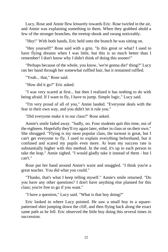Lucy, Rose and Annie flew leisurely towards Eric. Rose twirled in the air, and Annie was explaining something to them. When they grabbed ahold a few of the stronger branches, the treetop shook and swung noticeably.

"Hey!" With both hands, Eric held onto the branch he was sitting on.

"Hey yourself!" Rose said with a grin. "Is this great or what? I used to have flying dreams when I was little, but this is so much better than I remember! I don't know why I didn't think of doing this sooner!"

"Perhaps because of the whole, you know, 'we're gonna die!' thing?" Lucy ran her hand through her somewhat ruffled hair, but it remained ruffled.

"Yeah... that," Rose said.

"How did it go?" Eric asked.

"I was very scared at first... but then I realized it has nothing to do with being afraid. If I want to fly, I have to jump. Simple logic," Lucy said.

"I'm very proud of all of you," Annie lauded. "Everyone deals with the fear in their own way, and you didn't let it rule you."

"Did everyone make it in our class?" Rose asked.

Annie's smile faded away. "Sadly, no. Four students quit this time, out of the eighteen. Hopefully they'll try again later, either in class or on their own." She shrugged. "Flying is my most popular class, the turnout is great, but I can't get everyone to fly. I used to explain everything beforehand, but it confused and scared my pupils even more. At least my success rate is substantially higher with this method. In the end, it's up to each person to take the leap." Annie sighed. "I would gladly take it instead of them - but I can't."

Rose put her hand around Annie's waist and snuggled. "I think you're a great teacher. You did what you could."

"Thanks, that's what I keep telling myself." Annie's smile returned. "Do you have any other questions? I don't have anything else planned for this class; you're free to go if you want."

"I have a question," Lucy said. "What is that boy doing?"

Eric looked to where Lucy pointed. He saw a small boy in a squarepatterned shirt jumping down the cliff, and then flying back along the exact same path as he fell. Eric observed the little boy doing this several times in succession.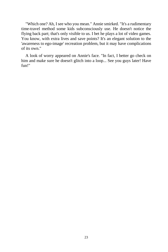"Which one? Ah, I see who you mean." Annie smirked. "It's a rudimentary time-travel method some kids subconsciously use. He doesn't notice the flying back part; that's only visible to us. I bet he plays a lot of video games. You know, with extra lives and save points? It's an elegant solution to the 'awareness to ego-image' recreation problem, but it may have complications of its own."

A look of worry appeared on Annie's face. "In fact, I better go check on him and make sure he doesn't glitch into a loop... See you guys later! Have fun!"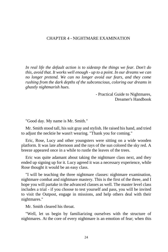# CHAPTER 4 - NIGHTMARE EXAMINATION

*In real life the default action is to sidestep the things we fear. Don't do this, avoid that. It works well enough - up to a point. In our dreams we can no longer pretend. We can no longer avoid our fears, and they come rushing from the dark depths of the subconscious, coloring our dreams in ghastly nightmarish hues.*

> - Practical Guide to Nightmares, Dreamer's Handbook

"Good day. My name is Mr. Smith."

Mr. Smith stood tall, his suit gray and stylish. He raised his hand, and tried to adjust the necktie he wasn't wearing. "Thank you for coming."

Eric, Rose, Lucy and other youngsters were sitting on a wide wooden platform. It was late afternoon and the rays of the sun colored the sky red. A breeze appeared once in a while to rustle the leaves of the trees.

Eric was quite adamant about taking the nightmare class next, and they ended up signing up for it. Lucy agreed it was a necessary experience, while Rose thought it would be an easy class.

"I will be teaching the three nightmare classes: nightmare examination, nightmare combat and nightmare mastery. This is the first of the three, and I hope you will partake in the advanced classes as well. The master level class includes a trial - if you choose to test yourself and pass, you will be invited to visit the Outpost, engage in missions, and help others deal with their nightmares."

Mr. Smith cleared his throat.

"Well, let us begin by familiarizing ourselves with the structure of nightmares. At the core of every nightmare is an emotion of fear; when this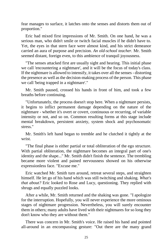fear manages to surface, it latches onto the senses and distorts them out of proportion."

Eric had mixed first impressions of Mr. Smith. On one hand, he was a serious man, who didn't smile or twitch facial muscles if he didn't have to. Yet, the eyes in that stern face were almost kind, and his strict demeanor carried an aura of purpose and precision. *An old-school teacher.* Mr. Smith seemed distant, foreign even, to this ambience of tranquil joyousness.

"The senses attacked first are usually sight and hearing. This initial phase we call 'encountering a nightmare', and it will be the focus of today's class. If the nightmare is allowed to intensify, it takes over all the senses - distorting the presence as well as the decision-making process of the person. This phase we call 'being trapped in a nightmare'."

Mr. Smith paused, crossed his hands in front of him, and took a few breaths before continuing.

"Unfortunately, the process doesn't stop here. When a nightmare persists, it begins to inflict permanent damage depending on the nature of the nightmare - whether it's overt or covert, continuous or recurring, of variable intensity or not, and so on. Common resulting forms at this stage include mental breakdown, persistent anxiety, system shock and psychosomatic stress."

Mr. Smith's left hand began to tremble and he clutched it tightly at the wrist.

"The final phase is either partial or total obliteration of the ego structure. With partial obliteration, the nightmare becomes an integral part of one's identity and the shape..." Mr. Smith didn't finish the sentence. The trembling became more violent and pained nervousness showed on his otherwise expressionless face. "Excuse me."

Eric watched Mr. Smith turn around, retreat several steps, and straighten himself. He let go of his hand which was still twitching and shaking. *What's that about?* Eric looked to Rose and Lucy, questioning. They replied with shrugs and equally puzzled looks.

After a while, Mr. Smith returned and the shaking was gone. "I apologize for the interruption. Hopefully, you will never experience the more ominous stages of nightmare progression. Nevertheless, you will surely encounter them in others; many adults have lived with their nightmares for so long they don't know who they are without them."

There was concern in Mr. Smith's voice. He raised his hand and pointed all-around in an encompassing gesture: "Out there are the many grand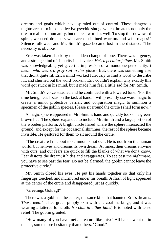dreams and goals which have spiraled out of control. These dangerous nightmares turn into a collective psychic sludge which threatens not only the dream realms of humanity, but the real world as well. To stop this downward spiral, we need dreamers who are disciplined warriors and wise mages!" Silence followed, and Mr. Smith's gaze became lost in the distance. "The necessity is obvious."

Eric was taken aback by the sudden change of tone. There was urgency, and a strange kind of sincerity in his voice. *He's a peculiar fellow.* Mr. Smith was knowledgeable, yet gave the impression of a monotone personality. *I mean, who wears a gray suit in this place?* But, there was something else that didn't quite fit. Eric's mind worked furiously to find a word to describe it... and churned out the word 'broken'. Eric couldn't explain why exactly this word got stuck in his mind, but it made him feel a little sad for Mr. Smith.

Mr. Smith's voice steadied and he continued with a lowered tone. "For the time being, let's focus on the task at hand. I will presently use ward magic to create a minor protective barrier, and conjuration magic to summon a specimen of the goblin species. Please sit around the circle I shall form now."

A magic sphere appeared in Mr. Smith's hand and quickly took on a greenbrown hue. The sphere expanded to include Mr. Smith and a large portion of the wooden platform. A bright circle flared where the sphere intersected the ground, and except for the occasional shimmer, the rest of the sphere became invisible. He gestured for them to sit around the circle.

"The creature I'm about to summon is not evil. He is not from the human world, but he lives and dreams its own dream. At times, their dreams entwine with ours, and our fears are quick to fill the blanks of what we don't know. Fear distorts the dream; it hides and exaggerates. To see past the nightmare, you have to see past the fear. Do not be alarmed, the goblin cannot leave the protective circle."

Mr. Smith closed his eyes. He put his hands together so that only his fingertips touched, and murmured under his breath. A flash of light appeared at the center of the circle and disappeared just as quickly.

## "Greetings Gokrag!"

There was a goblin at the center; the same kind that haunted Eric's dreams. *Those teeth!* It had green pimply skin with charcoal markings, and it was wearing a tattered loincloth. *No club in either hand,* Eric noted with tense relief. The goblin grunted.

"How many of you have met a creature like this?" All hands went up in the air, some more hesitantly than others. "Good."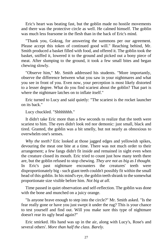Eric's heart was beating fast, but the goblin made no hostile movements and there was the protective circle as well. He calmed himself. The goblin was much less fearsome in the flesh than in the back of Eric's mind.

"Thank you, Gokrag, for answering the summons per our agreement. Please accept this token of continued good will." Reaching behind, Mr. Smith produced a basket filled with food, and offered it. The goblin took the basket, sniffed it, lowered it to the ground and picked out a bony piece of meat. After slumping to the ground, it took a few small bites and began chewing slowly.

"Observe him," Mr. Smith addressed his students. "More importantly, observe the difference between what you saw in your nightmares and what you see in front of you. Even now, your perception is most likely distorted to a lesser degree. What do you find scariest about the goblin? That part is where the nightmare latches on to inflate itself."

Eric turned to Lucy and said quietly: "The scariest is the rocket launcher on its back."

Lucy chuckled. "Shhhhhhh."

It didn't take Eric more than a few seconds to realize that the teeth were scariest to him. The eyes didn't look red nor demonic: just small, black and tired. Granted, the goblin was a bit smelly, but not nearly as obnoxious to overwhelm one's senses.

*Why the teeth?* Eric looked at those jagged edges and yellowish spikes, devouring the meat one bite at a time. There was not much order to their arrangement; a few fangs didn't fit inside and remained in sight even when the creature closed its mouth. Eric tried to count just how many teeth there are, but the goblin refused to stop chewing. *They are not as big as I thought.*  In Eric's past nightmare encounters the creatures' teeth were disproportionately big - such giant teeth couldn't possibly fit within the small head of this goblin. In his mind's eye, the goblin teeth shrank to the somewhat proportionate size visible before him. *Not big at all.*

Time passed in quiet observation and self-reflection. The goblin was done with the bone and munched on a juicy orange.

"Is anyone brave enough to step into the circle?" Mr. Smith asked. "Is the fear really gone or have you just swept it under the rug? This is your chance to test yourself and find out. Will you make sure this type of nightmare doesn't rear its ugly head again?"

Eric smirked. His hand was up in the air, along with Lucy's, Rose's and several others'. *More than half the class. Barely.*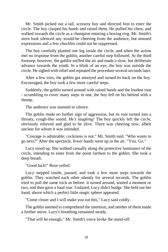Mr. Smith picked out a tall, scrawny boy and directed him to enter the circle. The boy clasped his hands and raised them. He puffed his chest, and walked towards the circle as a champion entering a boxing ring. Mr. Smith's stern look silenced any would-be cheering from the audience, but amused expressions and a few chuckles could not be suppressed.

The boy carefully planted one leg inside the circle, and when the action met no response from the goblin, another careful step followed. At the third footstep, however, the goblin sniffed the air and made a slow, but deliberate advance towards the youth. In a blink of an eye, the boy was outside the circle. He sighed with relief and repeated the procedure several seconds later.

After a few tries, the goblin got annoyed and turned its back on the boy. Encouraged, the boy took a few more careful steps.

Suddenly, the goblin turned around with raised hands and the loudest roar - scrambling to cover many steps in one, the boy fell on his behind with a thump.

The audience was stunned in silence.

The goblin made no further sign of aggression, but its roar turned into a throaty, cough-like sound. *He's laughing!* The boy quickly left the circle, obviously relieved and glad to be alive. There was cheering now, albeit unclear for whom it was intended.

"Courage is admirable; cockiness is not," Mr. Smith said. "Who wants to go next?" After the spectacle, fewer hands went up in the air. "You. Go."

Lucy stood up. She walked casually along the protective luminance of the circle, intending to enter from the point farthest to the goblin. She took a deep breath.

"Good luck!" Rose yelled.

Lucy stepped inside, paused, and took a few more steps towards the goblin. They watched each other silently for several seconds. The goblin tried to pull the same trick as before: it turned around, waited a moment or two, and then gave a loud roar. Unfazed, Lucy didn't budge. She held out her hand, above which a perfect little magic sphere appeared.

"Come closer and I will make you eat this," Lucy said coldly.

The goblin seemed to comprehend the intention, and neither of them made a further move. Lucy's breathing remained steady.

"That will be enough," Mr. Smith's voice broke the stand-off.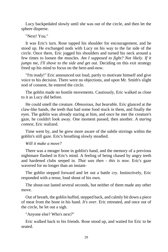Lucy backpedaled slowly until she was out of the circle, and then let the sphere disperse.

"Next! You."

It was Eric's turn. Rose tapped his shoulder for encouragement, and he stood up. He exchanged nods with Lucy on his way to the far side of the circle. Once there, Eric jogged his shoulders and turned his neck around a few times to loosen the muscles. *Am I supposed to fight? Not likely. If it jumps me, I'll shove to the side and get out. Deciding on this exit strategy* freed up his mind to focus on the here-and-now.

"I'm ready!" Eric announced out loud, partly to motivate himself and give voice to his decision. There were no objections, and upon Mr. Smith's slight nod of consent, he entered the circle.

The goblin made no hostile movements. Cautiously, Eric walked as close to it as Lucy did before.

He could smell the creature. *Obnoxious, but bearable.* Eric glanced at the claw-like hands, the teeth that had some food stuck in them, and finally the eyes. The goblin was already staring at him, and once he met the creature's gaze, he couldn't look away. One moment passed, then another. *A staring contest,* Eric realized.

Time went by, and he grew more aware of the subtle stirrings within the goblin's still gaze. Eric's breathing slowly steadied.

*Will it make a move?*

There was a meager bone in goblin's hand, and the memory of a previous nightmare flashed in Eric's mind. A feeling of being chased by angry teeth and hardened clubs seeped in. *That was then - this is now.* Eric's gaze wavered for no longer than an instant-

The goblin stepped forward and let out a battle cry. Instinctively, Eric responded with a tense, loud shout of his own.

The shout-out lasted several seconds, but neither of them made any other move.

Out of breath, the goblin huffed, stepped back, and calmly bit down a piece of meat from the bone in his hand. *It's over.* Eric retreated, and once out of the circle, he let out a sigh.

"Anyone else? Who's next?"

Eric walked back to his friends. Rose stood up, and waited for Eric to be seated.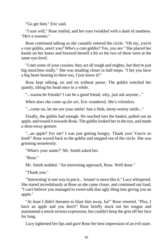"Go get him," Eric said.

"I sure will," Rose smiled, and her eyes twinkled with a dash of madness. "He's a sweetie."

Rose continued talking as she casually entered the circle. "Oh my, you're a cute goblin, aren't you? Who's a cute goblin? Yes, you are." She placed her hands on her knees and lowered herself a bit so the two of them were at the same eye-level.

"I met some of your cousins; they act all tough and mighty, but they're just big moochies really." She was treading closer in half-steps. "I bet you have a big heart beating in there too, I just know it!"

Rose kept talking, on and on without pause. The goblin watched her quietly, tilting his head once in a while.

"...wanna be friends? I can be a good friend, why, just ask anyone..."

*When does she come up for air*, Eric wondered. *She's relentless.*

"...come on, let me see your smile! Just a little, teeny-weeny smile..."

Finally, the goblin had enough. He reached into the basket, pulled out an apple, and tossed it towards Rose. The goblin looked her in the eye, and made a shoo-away gesture.

"...an apple? For me? I was just getting hungry. Thank you! You're so kind!" Rose waved back to the goblin and stepped out of the circle. She was grinning senselessly.

"What's your name?" Mr. Smith asked her.

"Rose."

Mr. Smith nodded. "An interesting approach, Rose. Well done."

"Thank you."

"'Interesting' is one way to put it... 'insane' is more like it," Lucy whispered. She stared incredulously at Rose as she came closer, and continued out loud, "I can't believe you managed to sweet-talk that ugly thing into giving you an apple."

"At least I didn't threaten to blast him away, ha!" Rose retorted. "Plus, I have an apple and you don't!" Rose briefly stuck out her tongue and maintained a mock-serious expression, but couldn't keep the grin off her face for long.

Lucy tightened her lips and gave Rose her best impression of an evil stare.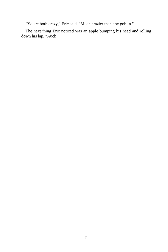"You're both crazy," Eric said. "Much crazier than any goblin."

The next thing Eric noticed was an apple bumping his head and rolling down his lap. "Auch!"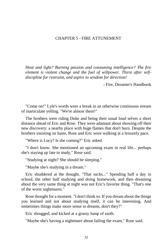#### CHAPTER 5 - FIRE ATTUNEMENT

*Heat and light? Burning passion and consuming intelligence? The fire element is violent change and the fuel of willpower. Thirst after selfdiscipline for restraint, and aspire to wisdom for direction!*

- Fire, Dreamer's Handbook

"Come on!" Lyle's words were a break in an otherwise continuous stream of inarticulate yelling. "We're almost there!"

The brothers were riding Duke and being their usual loud selves a short distance ahead of Eric and Rose. They were adamant about showing off their new discovery: a nearby place with huge flames that don't burn. Despite the brothers insisting on haste, Rose and Eric were walking at a leisurely pace.

"Where is Lucy? Is she coming?" Eric asked.

"I don't know. She mentioned an upcoming exam in real life... perhaps she's staying up late to study," Rose said.

"Studying at night? She should be sleeping."

"Maybe she's studying in a dream."

Eric shuddered at the thought. "That sucks..." Spending half a day in school, the other half studying and doing homework, and then dreaming about the very same thing at night was not Eric's favorite thing. "That's one of the worst nightmares."

Rose thought for a moment. "I don't think so. If you dream about the things you learned and not about studying itself, it can be interesting. And sometimes things make more sense in dreams, don't they?"

Eric shrugged, and kicked at a grassy lump of earth.

"Maybe she's having a nightmare about failing the exam," Rose said.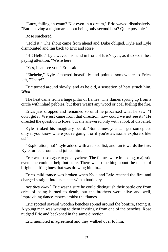"Lucy, failing an exam? Not even in a dream," Eric waved dismissively. "But... having a nightmare about being only second best? Quite possible."

Rose snickered.

"Hold it!" The shout came from ahead and Duke obliged. Kyle and Lyle dismounted and ran back to Eric and Rose.

"Hi! Hello!" Lyle waved his hand in front of Eric's eyes, as if to see if he's paying attention. "We're here!"

"Yes, I can see you," Eric said.

"Ehehehe," Kyle simpered boastfully and pointed somewhere to Eric's left, "There!"

Eric turned around slowly, and as he did, a sensation of heat struck him. *What...*

The heat came from a huge pillar of flames! The flames sprung up from a circle with inlaid pebbles, but there wasn't any wood or coal fueling the fire.

Eric's jaw dropped and remained so until he processed what he saw. "I don't get it. We just came from that direction, how could we not see it?" He directed the question to Rose, but she answered only with a look of disbelief.

Kyle stroked his imaginary beard. "Sometimes you can get someplace only if you know where you're going... or if you're awesome explorers like us!"

"Exploration, ho!" Lyle added with a raised fist, and ran towards the fire. Kyle turned around and joined him.

Eric wasn't so eager to go anywhere. The flames were imposing, majestic even - he couldn't help but stare. There was something about the dance of bright, shifting hues that was drawing him in...

Eric's mild trance was broken when Kyle and Lyle reached the fire, and charged straight into its center with a battle cry.

*Are they okay?* Eric wasn't sure he could distinguish their battle cry from cries of being burned to death, but the brothers were alive and well, improvising dance-moves amidst the flames.

Eric spotted several wooden benches spread around the bonfire, facing it. A young man was waving to them invitingly from one of the benches. Rose nudged Eric and beckoned in the same direction.

Eric mumbled in agreement and they walked over to him.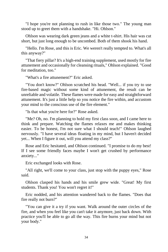"I hope you're not planning to rush in like those two." The young man stood up to greet them with a handshake. "Hi. Ohlson."

Ohlson was wearing dark green jeans and a white t-shirt. His hair was cut short, but just long enough to be uncombed. Both of them shook his hand.

"Hello. I'm Rose, and this is Eric. We weren't really tempted to. What's all this anyway?"

"That fiery pillar? It's a high-end training supplement, used mostly for fire attunement and occasionally for cleansing rituals," Ohlson explained. "Good for meditation, too."

"What's a fire attunement?" Eric asked.

"You don't know?" Ohlson scratched his head. "Well... if you try to use fire-based magic without some kind of attunement, the result can be unreliable and volatile. These flames were made for easy and straightforward attunement. It's just a little help so you notice the fire within, and accustom your mind to the conscious use of the fire element."

"Is that what you're here for?" Rose asked.

"Me? Oh, no. I'm planning to hold my first class soon, and I came here to think and prepare. Watching the flames relaxes me and makes thinking easier. To be honest, I'm not sure what I should teach!" Ohlson laughed nervously. "I have several ideas floating in my mind, but I haven't decided yet... When I figure it out, will you attend my class?"

Rose and Eric hesitated, and Ohlson continued. "I promise to do my best! If I see some friendly faces maybe I won't get crushed by performance anxiety..."

Eric exchanged looks with Rose.

"All right, we'll come to your class, just stop with the puppy eyes," Rose said.

Ohlson clasped his hands and his smile grew wide. "Great! My first students. Thank you! You won't regret it!"

Eric nodded, and his attention wandered back to the flames. "Does that fire really not burn?"

"You can give it a try if you want. Walk around the outer circles of the fire, and when you feel like you can't take it anymore, just back down. With practice you'll be able to go all the way. This fire burns your mind but not your body."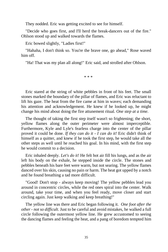They nodded. Eric was getting excited to see for himself.

"Decide who goes first, and I'll herd the break-dancers out of the fire." Ohlson stood up and walked towards the flames.

Eric bowed slightly, "Ladies first!"

"Hahaha, I don't think so. You're the brave one, go ahead," Rose waved him off.

"Ha! That was my plan all along!" Eric said, and strolled after Ohlson.

\* \* \*

Eric stared at the string of white pebbles in front of his feet. The small stones marked the boundary of the pillar of flames, and Eric was reluctant to lift his gaze. The heat from the fire came at him in waves; each demanding his attention and acknowledgement. He knew if he looked up, he might change his mind about doing the fire attunement ritual. *One step at a time.*

The thought of taking the first step itself wasn't so frightening; the short, yellow flames along the outer perimeter were almost imperceptible. Furthermore, Kyle and Lyle's fearless charge into the center of the pillar proved it could be done. *If they can do it - I can do it!* Eric didn't think of himself as a quitter, and knew if he took the first step, he would take all the other steps as well until he reached his goal. In his mind, with the first step he would commit to a decision.

Eric inhaled deeply. *Let's do it!* He felt hot air fill his lungs, and as the air left his body on the exhale, he stepped inside the circle. The stones and pebbles beneath his bare feet were warm, but not searing. The yellow flames danced over his skin, causing no pain or harm. The heat got upped by a notch and he found breathing a tad more difficult.

"Good! Don't stop - always keep moving! The yellow pebbles lead you around in concentric circles, while the red ones spiral into the center. Walk around, take your time, and when you feel ready, move closer and start circling again. Just keep walking and keep breathing!"

The yellow line was there and Eric began following it. *One foot after the other - not so difficult.* Just to be careful and avoid mistakes, he walked a full circle following the outermost yellow line. He grew accustomed to seeing the dancing flames and feeling the heat, and a pang of boredom tempted him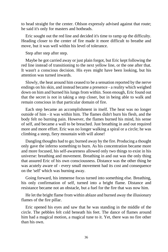to head straight for the center. Ohlson expressly advised against that route; he said it's only for masters and hotheads.

Eric sought out the red line and decided it's time to ramp up the difficulty. Heading closer to the center of fire made it more difficult to breathe and move, but it was well within his level of tolerance.

Step after step after step.

Maybe he got carried away or just plain forgot, but Eric kept following the red line instead of transitioning to the next yellow line, or the one after that. It wasn't a conscious decision. His eyes might have been looking, but his attention was turned inwards.

Slowly, the heat around him ceased to be a sensation reported by the nerve endings on his skin, and instead became a presence - a reality which weighed down on him and burned his lungs from within. Soon enough, Eric found out that the secret is not in taking a step closer, but in being able to walk and remain conscious in that particular domain of fire.

Each step became an accomplishment in itself. The heat was no longer outside of him - it was within him. The flames didn't burn his flesh, and the body felt no burning pain. However, the flames burned his mind, his sense of self, and became a wall to be breached. Just breathing in and out required more and more effort. Eric was no longer walking a spiral or a circle; he was climbing a steep, fiery mountain with will alone!

Dangling thoughts had to go; burned away by the fire. Producing a thought only gave the inferno something to burn. As his concentration became more and more focused, his self-awareness allowed only two things to exist in his universe: breathing and movement. Breathing in and out was the only thing that assured Eric of his own consciousness. Distance was the other thing he was acutely aware of - every small movement had its cost and consequence on the 'self' which was burning away.

Going forward, his immense focus turned into something else. Breathing, his only confirmation of self, turned into a bright flame. Distance and resistance became not an obstacle, but a fuel for the fire that was now him.

He let the bright flame from within ablaze and burned away the illusionary flames of the fire pillar.

Eric opened his eyes and saw that he was standing in the middle of the circle. The pebbles felt cold beneath his feet. The dance of flames around him had a magical motion, a magical tune to it. Yet, there was no fire other than his own.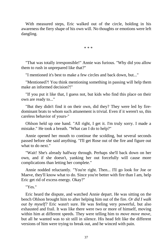With measured steps, Eric walked out of the circle, holding in his awareness the fiery shape of his own will. No thoughts or emotions were left dangling.

\* \* \*

"That was totally irresponsible!" Annie was furious. "Why did you allow them to rush in unprepared like that?"

"I mentioned it's best to make a few circles and back down, but..."

"Mentioned?! You think mentioning something in passing will help them make an informed decision?!"

"If you put it like that, I guess not, but kids who find this place on their own are ready to..."

"But they didn't find it on their own, did they? They were led by firedominant brats to whom such attunement is trivial. Even if it weren't so, this careless behavior of yours-"

Ohlson held up one hand. "All right, I get it. I'm truly sorry. I made a mistake." He took a breath. "What can I do to help?"

Annie opened her mouth to continue the scolding, but several seconds passed before she said anything. "I'll get Rose out of the fire and figure out what to do next."

"Wait! She's already halfway through. Perhaps she'll back down on her own, and if she doesn't, yanking her out forcefully will cause more complications than letting her complete."

Annie nodded reluctantly. "You're right. Then... I'll go look for Joe or Maeve, they'll know what to do. Since you're better with fire than I am, help Eric get rid of excess energy. Okay?"

"Yes."

Eric heard the dispute, and watched Annie depart. He was sitting on the bench Ohlson brought him to after helping him out of the fire. *Or did I walk out by myself?* Eric wasn't sure. He was feeling very powerful, but also exhausted and frail. It was like there were two or more of himself, moving within him at different speeds. They were telling him to *move move move*, but all he wanted was to sit still in silence. His head felt like the different versions of him were trying to break out, and he winced with pain.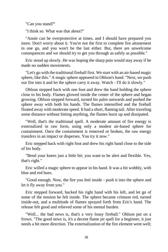"Can you stand?"

"I think so. What was that about?"

"Annie can be overprotective at times, and I should have prepared you more. Don't worry about it. You're not the first to complete fire attunement in one go, and you won't be the last either. But, there are unwelcome consequences and we should try to get you through as safely as possible."

Eric stood up slowly. He was hoping the sharp pain would stay away if he made no sudden movements.

"Let's go with the traditional fireball first. We start with an air-based magic sphere, like this." A magic sphere appeared in Ohlson's hand. "Next, we push our fire into it and let the sphere carry it away. Watch - I'll do it slowly."

Ohlson stepped back with one foot and drew the hand holding the sphere close to his body. Flames glowed inside the center of the sphere and began growing. Ohlson stepped forward, turned his palm outwards and pushed the sphere away with both his hands. The flames intensified and the fireball floated away with moderate speed. It had a short, flaming tail. After traveling some distance without hitting anything, the flames burst up and dissipated.

"Well, that's the traditional spell. A moderate amount of fire energy is externalized in raw form, using only a modest air-based sphere for containment. Once the containment is removed or broken, the raw energy transfers in an impact or disperses. You try it now."

Eric stepped back with right foot and drew his right hand close to the side of his body.

"Bend your knees just a little bit; you want to be alert and flexible. Yes, that's right."

Eric willed a magic sphere to appear in his hand. It was a bit wobbly, with blue and red hues.

"Good enough. Now, the fire you feel inside - push it into the sphere and let it fly away from you."

Eric stepped forward, backed his right hand with his left, and let go of some of the tension he felt inside. The sphere became crimson red, turned inside-out, and a multitude of flames sprayed forth from Eric's hand. The release felt good and relieved some of his mental burden.

"Well... the bad news is, that's a very lousy fireball." Ohlson put on a frown. "The good news is, it's a decent flame jet spell for a beginner, it just needs a bit more direction. The externalization of the fire element went well;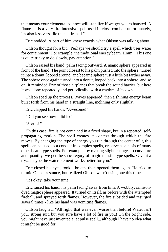that means your elemental balance will stabilize if we get you exhausted. A flame jet is a very fire-intensive spell used in close-combat; unfortunately, it's also less versatile than a fireball."

Eric nodded. A part of him knew exactly what Ohlson was talking about.

Ohlson thought for a bit. "Perhaps we should try a spell which uses water for containment? For example, the traditional energy beam. Hmm... This one is quite tricky to do slowly, pay attention."

Ohlson raised his hand, palm facing outward. A magic sphere appeared in front of the hand. The point closest to his palm pushed into the sphere, turned it into a donut, looped around, and became sphere just a little bit farther away. The sphere once again turned into a donut, looped back into a sphere, and so on. It reminded Eric of those airplanes that break the sound barrier, but here it was done repeatedly and periodically, with a rhythm of its own.

Ohlson sped up the process. Waves appeared, then a shining energy beam burst forth from his hand in a straight line, inclining only slightly.

Eric clapped his hands. "Awesome!"

"Did you see how I did it?"

"Sort of."

"In this case, fire is not contained in a fixed shape, but in a repeated, selfpropagating motion. The spell creates its context through which the fire moves. By changing the type of energy you run through the center of it, this spell can be used as a conduit in complex spells, or serve as a basis of many other beam type spells. For example, by making slight changes to curvature and quantity, we get the subcategory of magic missile type spells. Give it a try... maybe the water element works better for you."

Eric closed his eyes, took a breath, then opened them again. He tried to mimic Ohlson's stance, but realized Ohlson wasn't using one this time.

"It's okay, take your time."

Eric raised his hand, his palm facing away from him. A wobbly, crimsondyed magic sphere appeared. It turned on itself, as before with the attempted fireball, and sprayed forth flames. However, the fire subsided and resurged several times - like his hand was vomiting flames.

Ohlson laughed. "All right, that was even worse than before! Water isn't your strong suit, but you sure have a lot of fire in you! On the bright side, you might have just invented a jet pulse spell... although I have no idea what it might be good for."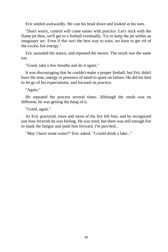Eric smiled awkwardly. He cast his head down and looked at his toes.

"Don't worry, control will come easier with practice. Let's stick with the flame jet then, we'll get to a fireball eventually. Try to keep the jet within an imaginary arc. Even if this isn't the best way to train, we have to get rid of the excess fire energy."

Eric assumed the stance, and repeated the moves. The result was the same too.

"Good, take a few breaths and do it again."

It was discouraging that he couldn't make a proper fireball, but Eric didn't have the time, energy or presence of mind to spare on failure. He did his best to let go of his expectations, and focused on practice.

"Again."

He repeated the process several times. Although the result was no different, he was getting the hang of it.

"Good, again."

As Eric practiced, more and more of the fire left him, and he recognized just how feverish he was feeling. He was tired, but there was still enough fire to mask the fatigue and push him forward. *I'm parched...*

"May I have some water?" Eric asked. "I could drink a lake..."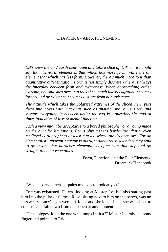# CHAPTER 6 - AIR ATTUNEMENT

*Let's skew the air / earth continuum and take a slice of it. Then, we could say that the earth element is that which has more form, while the air element that which has less form. However, there's much more to it than quantitative differentiation. Form is not simply discrete - there is always the interplay between form and awareness. When approaching either extreme, one splashes over into the other: much like background becomes foreground or existence becomes distinct from non-existence.*

*The attitude which takes the polarized extremes of the sliced view, puts them into boxes with markings such as 'matter' and 'dimension', and sweeps everything in-between under the rug is... questionable, and at times indicative of loss of mental function.*

*Such a view might be acceptable to a bored philosopher or a young mage on the hunt for limitations. For a physicist it's borderline idiotic; even medieval cartographers at least marked where the dragons are. For an elementalist, ignorant hauteur is outright dangerous: scientists may tend to go insane, but hardcore elementalists often skip that step and go straight to being vegetables.*

> - Form, Function, and the Four Elements, Dreamer's Handbook

"What a sorry bunch - it pains my eyes to look at you."

Eric was exhausted. He was looking at Master Joe, but also staring past him into the pillar of flames. Rose, sitting next to him on the bench, was no less weary. Lucy's eyes were off-focus and she looked as if she was about to collapse and fall down from the bench at any moment.

"Is the biggest idiot the one who jumps in first?" Master Joe raised a bony finger and pointed to Eric.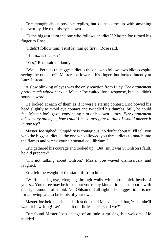Eric thought about possible replies, but didn't come up with anything noteworthy. He cast his eyes down.

"Is the biggest idiot the one who follows an idiot?" Master Joe turned his finger to Rose.

"I didn't follow him; I just let him go first," Rose said.

"Hmm... is that so?"

"Yes," Rose said defiantly.

"Well... Perhaps the biggest idiot is the one who follows two idiots despite seeing the outcome?" Master Joe lowered his finger, but looked intently at Lucy instead.

A slow blinking of eyes was the only reaction from Lucy. *The attunement pretty much wiped her out.* Master Joe waited for a response, but she didn't sound a word.

He looked at each of them as if it were a staring contest. Eric bowed his head slightly to avoid eye contact and twiddled his thumbs. Still, he could feel Master Joe's gaze, convincing him of his own idiocy. *Fire attunement*  takes many attempts, how could I be so arrogant to think I would master it *in one try?*

Master Joe sighed. "Stupidity is contagious, no doubt about it. I'll tell you who the biggest idiot is: the one who allowed you three idiots to march into the flames and wreck your elemental equilibrium."

Eric gathered his courage and looked up. "But, sir, it wasn't Ohlson's fault, he did prepare-"

"I'm not talking about Ohlson," Master Joe waved dismissively and laughed.

Eric felt the weight of the stare lift from him.

"Willful and gutsy, charging through walls with those thick heads of yours... You three may be idiots, but you're my kind of idiots: stubborn, with the right amount of stupid. No, Ohlson did all right. The biggest idiot is me for allowing *you* to be idiots of your own."

Master Joe held up his hand. "Just don't tell Maeve I said that, 'cause she'll want it in writing! Let's keep it our little secret, shall we?"

Eric found Master Joe's change of attitude surprising, but welcome. He nodded.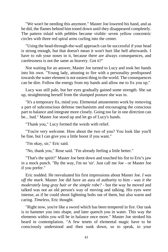"We won't be needing this anymore." Master Joe lowered his hand, and as he did, the flames behind him toned down until they disappeared completely. The pattern inlaid with pebbles became visible: seven yellow concentric circles with three red spiral arms curling into the center.

"Using the head-through-the-wall approach can be successful if your head is strong enough, but that doesn't mean it won't hurt like hell afterwards. I have to rub your noses in it, because there are always consequences, and carelessness is not the same as bravery. Got it?"

Not waiting for an answer, Master Joe turned to Lucy and took her hands into his own. "Young lady, attuning to fire with a personality predisposed towards the water element is not easiest thing in the world. The consequences can be dire. Follow the energy from my hands and allow me to fix you up."

Lucy was still pale, but her eyes gradually gained some strength. She sat up, straightening herself from the slumped posture she was in.

"It's a temporary fix, mind you. Elemental attunements work by removing a part of subconscious defense mechanisms and encouraging the conscious part to balance and integrate more closely. Going too far in one direction can be... bad." Master Joe stood up and let go of Lucy's hands.

"Thank you," Lucy formed the words with relief.

"You're very welcome. How about the two of you? You look like you'll be fine, but I can give you a little boost if you want."

"I'm okay, sir," Eric said.

"No, thank you," Rose said. "I'm already feeling a little better."

"That's the spirit!" Master Joe bent down and touched his fist to Eric's jaw in a mock punch. "By the way, I'm no 'sir'. Just call me Joe - or Master Joe if you prefer."

Eric nodded. He reevaluated his first impressions about Master Joe. *I was off the mark.* Master Joe did have an aura of authority to him - *was it the moderately long gray hair or the simple robe?* - but the way he moved and talked was not an old person's way of moving and talking. His eyes were intense, as if he could shoot lightning bolts out of them, but also warm and caring. *Timeless*, Eric thought.

"Right now, you're like a sword which has been tempered in fire. Our task is to hammer you into shape, and later quench you in water. This way the elements within you will be in balance once more." Master Joe stroked his beard in contemplation. "A few tenets of elemental magic have to be consciously understood and then sunk down, so to speak, to your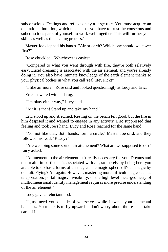subconscious. Feelings and reflexes play a large role. You must acquire an operational intuition, which means that you have to trust the conscious and subconscious parts of yourself to work well together. This will further your skills as well as the healing process."

Master Joe clapped his hands. "Air or earth? Which one should we cover first?"

Rose chuckled. "Whichever is easiest."

"Compared to what you went through with fire, they're both relatively easy. Lucid dreaming is associated with the air element, and you're already doing it. You also have intimate knowledge of the earth element thanks to your physical bodies in what you call 'real life'. Pick!"

"I like air more," Rose said and looked questioningly at Lucy and Eric.

Eric answered with a shrug.

"I'm okay either way," Lucy said.

"Air it is then! Stand up and take my hand."

Eric stood up and stretched. Resting on the bench felt good, but the fire in him despised it and wanted to engage in any activity. Eric suppressed that feeling and took Joe's hand. Lucy and Rose reached for the same hand.

"No, not like that. Both hands; form a circle," Master Joe said, and they followed his lead. "Ready?"

"Are we doing some sort of air attunement? What are we supposed to do?" Lucy asked.

"Attunement to the air element isn't really necessary for you. Dreams and this realm in particular is associated with air, so merely by being here you are able to do basic forms of air magic. The magic sphere? It's air magic by default. Flying? Air again. However, mastering more difficult magic such as teleportation, portal magic, invisibility, or the high level meta-geometry of multidimensional identity management requires more precise understanding of the air element."

Lucy gave a reluctant nod.

"I just need you outside of yourselves while I tweak your elemental balances. Your task is to fly upwards - don't worry about the rest, I'll take care of it."

\* \* \*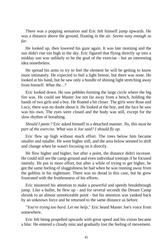There was a popping sensation and Eric felt himself jump upwards. He was a distance above the ground, floating in the air. *Seems easy enough so far.*

He looked up, then lowered his gaze again. It was late morning and the sun didn't rise too high in the sky. Eric figured that flying directly up into a midday sun was unlikely to be the goal of the exercise - but an interesting idea nonetheless.

He spread his arms to try to feel the element he will be getting to know more intimately. He expected to feel a light breeze, but there was none. He looked at his hand, but he saw only a bundle of shining light stretching away from himself. *What the...?*

Eric looked down. He saw pebbles forming the large circle where the big fire was. He could see Master Joe not far away from a bench, holding the hands of two girls and a boy. He floated a bit closer. The girls were Rose and Lucy, there was no doubt about it. He looked at the boy, and the face he saw was his own. The eyes were closed and the body was still, except for the slow rhythm of breathing.

*Should I panic?* Eric asked himself in a detached manner. *No, this must be part of the exercise. What was it Joe said? I should fly up.*

Eric flew up high without much effort. The trees below him became smaller and smaller. He went higher still, and the area below seemed to shift and change when he wasn't focusing on it directly.

He flew higher and higher, but after a point, the distance didn't increase. He could still see the camp ground and even individual treetops if he focused intently. He put in more effort, but after a while of trying to get higher, he got the same feeling of sluggishness he had when he was running away from the goblins in his nightmare. There was no dread in this case, but he grew frustrated with the fruitlessness of his efforts.

Eric mustered his attention to make a powerful and speedy breakthrough jump. Like a bullet, he flew up - and for several seconds the Dream Camp shrunk to an almost unnoticeable point - but his attention was yanked back by an unknown force and he returned to the same distance as before.

"*You're trying too hard. Let me help*," Eric heard Master Joe's voice from somewhere.

Eric felt being propelled upwards with great speed and his vision became a blur. He entered a cloudy mist and gradually lost the feeling of movement.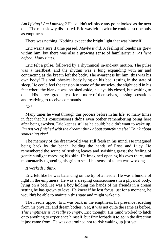*Am I flying? Am I moving?* He couldn't tell since any point looked as the next one. The mist slowly dissipated. Eric was left in what he could describe only as emptiness.

There was nothing. Nothing except the bright light that was himself.

Eric wasn't sure if time passed. *Maybe it did.* A feeling of loneliness grew within him, but there was also a growing sense of familiarity: *I was here before. Many times.*

Eric felt a pulse, followed by a rhythmical in-and-out motion. The pulse was a heartbeat, and the rhythm was a lung expanding with air and contracting as the breath left the body. The awareness hit him: this was his own body! His real, physical body lying on his bed, resting in the state of sleep. He could feel the tension in some of the muscles, the slight cold in his feet where the blanket was brushed aside, his eyelids closed, but waiting to open. His nerves gradually offered more of themselves, passing sensations and readying to receive commands...

### *No!*

Many times he went through this process before in his life, so many times in fact that his consciousness didn't even bother remembering being here after being awoken. Eric kept as still as he could; he didn't want to wake up. *I'm not yet finished with the dream; think about something else! Think about something else!*

The memory of the dreamworld was still fresh in his mind. He imagined being back by the bench, holding the hands of Rose and Lucy. He remembered the sound of rustling leaves and swishing grass; the feeling of gentle sunlight caressing his skin. He imagined opening his eyes there, and momentarily tightening his grip to see if his sense of touch was working.

### *It worked! I think.*

Eric felt like he was balancing on the tip of a needle. He was a bundle of light in the emptiness. He was a sleeping consciousness in a physical body, lying on a bed. He was a boy holding the hands of his friends in a dream setting he has grown to love. He knew if he lost focus just for a moment, he wouldn't be able to maintain this state and might wake up.

The needle tipped. Eric was back in the emptiness, his presence receding from his physical and dream bodies. Yet, it was not quite the same as before. *This emptiness isn't really so empty,* Eric thought. His mind worked to latch onto anything to experience himself, but Eric forbade it to go in the direction it just came from. He was determined not to risk waking up just yet.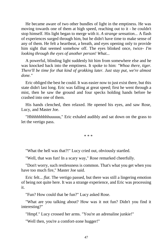He became aware of two other bundles of light in the emptiness. He was moving towards one of them at high speed, reaching out to it - he couldn't stop himself. His light began to merge with it. *A strange sensation...* A flash of experiences surged through him, but he didn't have time to make sense of any of them. He felt a heartbeat, a breath, and eyes opening only to provide him sight that seemed somehow off. The eyes blinked once, twice- *I'm looking through the eyes of another person! What...*

A powerful, blinding light suddenly hit him from somewhere else and he was knocked back into the emptiness. It spoke to him: *"Whoa there, tiger. There'll be time for that kind of grokking later. Just stay put, we're almost done."*

Eric obliged the best he could. It was easier now to just exist there, but this state didn't last long. Eric was falling at great speed; first he went through a mist, then he saw the ground and four specks holding hands before he crashed into one of them.

His hands clenched, then relaxed. He opened his eyes, and saw Rose, Lucy, and Master Joe.

"Hhhhhhhhhhuuuuu," Eric exhaled audibly and sat down on the grass to let the vertigo pass.

\* \* \*

"What the hell was that?!" Lucy cried out, obviously startled.

"Well, that was fun! In a scary way," Rose remarked cheerfully.

"Don't worry, such restlessness is common. That's what you get when you have too much fire," Master Joe said.

Eric felt... *flat*. The vertigo passed, but there was still a lingering emotion of being not quite here. It was a strange experience, and Eric was processing it.

"Fun? How could that be fun?" Lucy asked Rose.

"What are you talking about? How was it not fun? Didn't you find it interesting?"

"Hmpf." Lucy crossed her arms. "You're an adrenaline junkie!"

"Well then, you're a comfort-zone hugger!"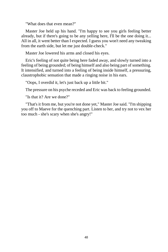"What does that even mean?"

Master Joe held up his hand. "I'm happy to see you girls feeling better already, but if there's going to be any yelling here, I'll be the one doing it... All in all, it went better than I expected. I guess you won't need any tweaking from the earth side, but let me just double-check."

Master Joe lowered his arms and closed his eyes.

Eric's feeling of not quite being here faded away, and slowly turned into a feeling of being grounded; of being himself and also being part of something. It intensified, and turned into a feeling of being inside himself, a pressuring, claustrophobic sensation that made a ringing noise in his ears.

"Oops, I overdid it, let's just back up a little bit."

The pressure on his psyche receded and Eric was back to feeling grounded.

"Is that it? Are we done?"

"That's it from me, but you're not done yet," Master Joe said. "I'm shipping you off to Maeve for the quenching part. Listen to her, and try not to vex her too much - she's scary when she's angry!"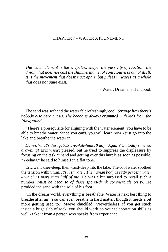### CHAPTER 7 - WATER ATTUNEMENT

*The water element is the shapeless shape, the passivity of reaction, the dream that does not cast the shimmering net of consciousness out of itself. It is the movement that doesn't act apart, but pulses in waves as a whole that does not quite exist.*

- Water, Dreamer's Handbook

The sand was soft and the water felt refreshingly cool. *Strange how there's nobody else here but us. The beach is always crammed with kids from the Playground.*

"There's a prerequisite for aligning with the water element: you have to be able to breathe water. Since you can't, you will learn now - just go into the lake and breathe the water in."

*Damn. What's this, get-Eric-to-kill-himself day? Again? On today's menu: drowning!* Eric wasn't pleased, but he tried to suppress the displeasure by focusing on the task at hand and getting over this hurdle as soon as possible. "Yeehaw," he said to himself in a flat tone.

Eric went knee-deep, then waist-deep into the lake. The cool water soothed the tension within him. *It's just water. The human body is sixty percent water - which is more than half of me.* He was a bit surprised to recall such a number. *Must be because of those sports-drink commercials on tv*. He prodded the sand with the sole of his foot.

"In the dream world, everything is breathable. Water is next best thing to breathe after air. You can even breathe in hard matter, though it needs a bit more getting used to." Maeve chuckled. "Nevertheless, if you get stuck inside a huge slab of rock, you should work on your teleportation skills as well - take it from a person who speaks from experience."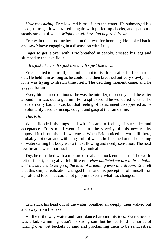*How reassuring.* Eric lowered himself into the water. He submerged his head just to get it wet, raised it again with puffed-up cheeks, and spat out a steady stream of water. *Might as well have fun before I drown.*

Eric waited, but no further instruction was forthcoming. He looked back, and saw Maeve engaging in a discussion with Lucy.

Eager to get it over with, Eric breathed in deeply, crossed his legs and slumped to the lake floor.

*...It's just like air. It's just like air. It's just like air...*

Eric chanted to himself, determined not to rise for air after his breath runs out. He held it in as long as he could, and then breathed out very slowly... as if he was trying to stretch time itself. The deciding moment came, and he gagged for air.

Everything turned ominous - he was the intruder, the enemy, and the water around him was out to get him! For a split second he wondered whether he made a really bad choice, but that feeling of detachment disappeared as he involuntarily tried to hiccup, cough, and gasp at the same time.

*This is it.*

Water flooded his lungs, and with it came a feeling of surrender and acceptance. Eric's mind went silent as the severity of this new reality imposed itself on his self-awareness. When Eric noticed he was still there, probably not dead and with lungs full of water, he breathed out. The feeling of water exiting his body was a thick, flowing and needy sensation. The next few breaths were more stable and rhythmical.

*Yay*, he remarked with a mixture of real and mock enthusiasm. The world felt different; being alive felt different. *How addicted we are to breathable air! It's so hard to let go of the idea of breathing even in a dream.* Eric felt that this simple realization changed him - and his perception of himself - on a profound level, but could not pinpoint exactly what has changed.

\* \* \*

Eric stuck his head out of the water, breathed air deeply, then walked out and away from the lake.

He liked the way water and sand danced around his toes. Ever since he was a kid, swimming wasn't his strong suit, but he had fond memories of turning over wet buckets of sand and proclaiming them to be sandcastles.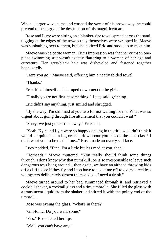When a larger wave came and washed the sweat of his brow away, he could pretend to be angry at the destruction of his magnificent art.

Rose and Lucy were sitting on a blanket-size towel spread across the sand, tugging at the edges of the towels they themselves were wrapped in. Maeve was sunbathing next to them, but she noticed Eric and stood up to meet him.

Maeve wasn't a petite woman. Eric's impression was that her crimson onepiece swimming suit wasn't exactly flattering to a woman of her age and curvature. Her grey-black hair was disheveled and fastened together haphazardly.

"Here you go," Maeve said, offering him a neatly folded towel.

"Thanks."

Eric dried himself and slumped down next to the girls.

"Finally you're not first at something!" Lucy said, grinning.

Eric didn't say anything, just smiled and shrugged.

"By the way, I'm still mad at you two for not waiting for me. What was so urgent about going through fire attunement that you couldn't wait?"

"Sorry, we just got carried away," Eric said.

"Yeah, Kyle and Lyle were so happy dancing in the fire, we didn't think it would be quite such a big ordeal. How about you choose the next class? I don't want you to be mad at me..." Rose made an overly sad face.

Lucy nodded. "Fine. I'm a little bit less mad at you, then."

"Hotheads," Maeve muttered. "You really should think some things through. I don't know why that numskull Joe is so irresponsible to leave such dangerous toys lying around... then again, we have an airhead throwing kids off a cliff to see if they fly and I too have to take time off to oversee reckless youngsters deliberately drown themselves... I need a drink."

Maeve turned around to her bag, rummaged through it, and retrieved a cocktail shaker, a cocktail glass and a tiny umbrella. She filled the glass with a translucent liquid from the shaker and stirred it with the pointy end of the umbrella.

Rose was eyeing the glass. "What's in there?"

"Gin-tonic. Do you want some?"

"Yes." Rose licked her lips.

"Well, you can't have any."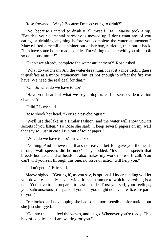Rose frowned. "Why? Because I'm too young to drink?"

"No, because I intend to drink it all myself. Ha!" Maeve took a sip. "Besides, your elemental harmony is messed up. I don't want any of you eating or drinking anything before you complete the water attunement." Maeve lifted a metallic container out of her bag, rattled it, then put it back. "I do have some home-made cookies I'm willing to share with you after. Oh so delicious, mmm!"

"Didn't we already complete the water attunement?" Rose asked.

"What do you mean? Ah, the water-breathing; it's just a nice trick. I guess it qualifies as a minor attunement, but it's not enough to offset the fire you have. We need the real deal for that."

"Oh. So what do we have to do?"

"Have you heard of what we psychologists call a 'sensory-deprivation chamber'?"

"I did," Lucy said.

Rose shook her head. "You're a psychologist?"

"We'll use the lake in a similar fashion, and the water will show you its secrets if you listen." To Rose she said: "I keep several papers on my wall that say so, just in case I run out of toilet paper."

"What do we have to do?" Eric asked.

"Nothing. And believe me, that's not easy. I bet Joe gave you the headthrough-wall speech, did he not?" They nodded. "It's a nice speech that breeds hotheads and airheads. It also makes my work more difficult. You can't will yourself through this one; no force or action will help you."

"I don't get it," Eric said.

Maeve sighed. "'Getting it', as you say, is optional. Understanding will let you down, especially if you wield it as a hammer to which everything is a nail. You have to be prepared to cast it aside. Trust yourself, your feelings, your subconscious - the parts of yourself you might not even realize are parts of you."

Eric looked at Lucy, hoping she had some more sensible information, but she just shrugged.

"Go into the lake, feel the waves, and let go. Whenever you're ready. This box of cookies and I are waiting for you."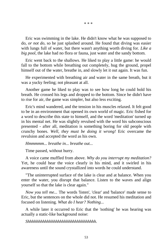\* \* \*

Eric was swimming in the lake. He didn't know what he was supposed to do, *or not do*, so he just splashed around. He found that diving was easier with lungs full of water, but there wasn't anything worth diving for. *Like a big pool,* the lake had no flora or fauna, just water and the sandy bottom.

Eric went back to the shallows. He liked to play a little game: he would fall to the bottom while breathing out completely, hug the ground, propel himself out of the water, breathe in, and slowly let it out again. It was fun.

He experimented with breathing air and water in the same breath, but it was a yucky feeling; not pleasant at all.

Another game he liked to play was to see how long he could hold his breath. He crossed his legs and dropped to the bottom. Since he didn't have to rise for air, the game was simpler, but also less exciting.

Eric's mind wandered, and the tension in his muscles relaxed. It felt good to be in an environment that opened its own world of magic. Eric fished for a word to describe this state to himself, and the word 'meditation' turned up in his mental net. He was slightly revulsed with the word his subconscious presented - after all, meditation is something boring for old people with crunchy bones. *Well, they must be doing it wrong!* Eric overcame the revulsion and accepted the word as his own.

*Hmmmmm... breathe in... breathe out...*

Time passed, without hurry.

A voice came muffled from above. *Why do you interrupt my meditation?*  Yet, he could hear the voice clearly in his mind, and it swirled in his awareness until the sound crystallized into words he could understand.

"The uninterrupted surface of the lake is clear and at balance. When you enter the water, you disrupt that balance. Listen to the waves and align yourself so that the lake is clear again."

*Now you tell me...* The words 'listen', 'clear' and 'balance' made sense to Eric, but the sentences on the whole did not. He resumed his meditation and focused on listening. *What do I hear? Nothing...*

A while later it occurred to Eric that the 'nothing' he was hearing was actually a static-like background noise:

*Shhhhhhhhhhhhhhhhhhhhhhhhhhhhhhhh.*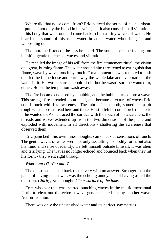Where did that noise come from? Eric noticed the sound of his heartbeat. It pumped not only the blood in his veins, but it also caused small vibrations in his body that went out and came back to him as tiny waves of water. He heard the sound of his underwater breath - water whooshing in and whooshing out.

The more he listened, the less he heard. The sounds became feelings on his skin; gentle touches of waves and vibrations.

He recalled the image of his will from the fire attunement ritual: the vision of a great, burning flame. The water around him threatened to extinguish that flame, wave by wave, touch by touch. For a moment he was tempted to lash out, let the flame loose and burn away the whole lake and evaporate all the water in it. He wasn't sure he could do it, but he wasn't sure he wanted to, either. He let the temptation wash away.

The fire became enclosed by a bubble, and the bubble turned into a wave. This strange fire threaded upon itself, and became a texture of waves Eric could touch with his awareness. The fabric felt smooth, sometimes a bit rough with a loose thread here and there. He still felt he could torch the fabric if he wanted to. As he traced the surface with the touch of his awareness, the threads and waves extended up from the two dimensions of the plane and exploded with movement in all directions - shattering the awareness that observed them.

Eric panicked - his own inner thoughts came back as sensations of touch. The gentle waves of water were not only assaulting his bodily form, but also his mind and sense of identity. He felt himself outside himself; it was alien and terrifying. The waves no longer echoed and bounced back when they hit his form - they went right through.

# *Where am I?! Who am I?*

The questions echoed back recursively with no answer. Stronger than the panic of having no answer, was the echoing annoyance of having asked the question. *Clarity,* Eric thought. *Clear surface of the lake.*

Eric, whoever that was, started punching waves in the multidimensional fabric to clear out the echo: a wave gets cancelled out by another wave. Action-reaction.

There was only the undisturbed water and its perfect symmetries.

\* \* \*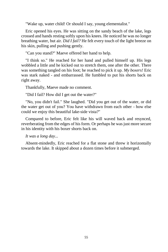"Wake up, water child! Or should I say, young elementalist."

Eric opened his eyes. He was sitting on the sandy beach of the lake, legs crossed and hands resting softly upon his knees. He noticed he was no longer breathing water, but air. *Did I fail?* He felt every touch of the light breeze on his skin, pulling and pushing gently.

"Can you stand?" Maeve offered her hand to help.

"I think so." He reached for her hand and pulled himself up. His legs wobbled a little and he kicked out to stretch them, one after the other. There was something tangled on his foot; he reached to pick it up. *My boxers!* Eric was stark naked - and embarrassed. He fumbled to put his shorts back on right away.

Thankfully, Maeve made no comment.

"Did I fail? How did I get out the water?"

"No, you didn't fail." She laughed. "Did you get out of the water, or did the water get out of you? You have withdrawn from each other - how else could we enjoy this beautiful lake-side vista?"

Compared to before, Eric felt like his will waved back and resynced, reverberating from the edges of his form. Or perhaps he was just more secure in his identity with his boxer shorts back on.

*It was a long day...*

Absent-mindedly, Eric reached for a flat stone and threw it horizontally towards the lake. It skipped about a dozen times before it submerged.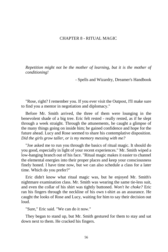# CHAPTER 8 - RITUAL MAGIC

*Repetition might not be the mother of learning, but it is the mother of conditioning!*

- Spells and Wizardry, Dreamer's Handbook

"Rose, right? I remember you. If you ever visit the Outpost, I'll make sure to find you a mentor in negotiation and diplomacy."

Before Mr. Smith arrived, the three of them were lounging in the benevolent shade of a big tree. Eric felt rested - really rested, as if he slept through a week straight. Through the attunements, he caught a glimpse of the many things going on inside him; he gained confidence and hope for the future ahead. Lucy and Rose seemed to share his contemplative disposition. *Did the girls grow taller, or is my memory messing with me?*

"Joe asked me to run you through the basics of ritual magic. It should do you good, especially in light of your recent experiences." Mr. Smith wiped a low-hanging branch out of his face. "Ritual magic makes it easier to channel the elemental energies into their proper places and keep your consciousness finely honed. I have time now, but we can also schedule a class for a later time. Which do you prefer?"

Eric didn't know what ritual magic was, but he enjoyed Mr. Smith's nightmare examination class. Mr. Smith was wearing the same tie-less suit, and even the collar of his shirt was tightly buttoned. *Won't he choke?* Eric ran his fingers through the neckline of his own t-shirt as an assurance. He caught the looks of Rose and Lucy, waiting for him to say their decision out loud.

"Sure," Eric said. "We can do it now."

They began to stand up, but Mr. Smith gestured for them to stay and sat down next to them. He cracked his fingers.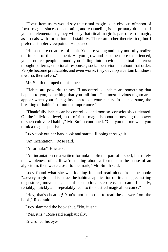"Focus item users would say that ritual magic is an obvious offshoot of focus magic, since concentrating and channeling is its primary domain. If you ask elementalists, they will say that ritual magic is part of earth magic, as it deals with formation and stability. There are other theories too, but I prefer a simpler viewpoint." He paused.

"Humans are creatures of habit. You are young and may not fully realize the impact of this statement. As you grow and become more experienced, you'll notice people around you falling into obvious habitual patterns: thought patterns, emotional responses, social behavior - in about that order. People become predictable, and even worse, they develop a certain blindness towards themselves."

Mr. Smith thumped on his knee.

"Habits are powerful things. If uncontrolled, habits are something that happen to you, something that you fall into. The most devious nightmares appear when your fear gains control of your habits. In such a state, the breaking of habits is of utmost importance."

"Thankfully, habits can be controlled, and moreso, consciously cultivated. On the individual level, most of ritual magic is about harnessing the power of such cultivated habits," Mr. Smith continued. "Can you tell me what you think a magic spell is?"

Lucy took out her handbook and started flipping through it.

"An incantation," Rose said.

"A formula?" Eric asked.

"An incantation or a written formula is often a part of a spell, but rarely the wholeness of it. If we're talking about a formula in the sense of an algorithm, then we're closer to the mark," Mr. Smith said.

Lucy found what she was looking for and read aloud from the book: "...every magic spell is in fact the habitual application of ritual magic: a string of gestures, movement, mental or emotional steps etc. that can efficiently, reliably, quickly and repeatably lead to the desired magical outcome."

"Hey, that's cheating! You're not supposed to read the answer from the book," Rose said.

Lucy slammed the book shut. "No, it isn't."

"Yes, it is," Rose said emphatically.

Eric rolled his eyes.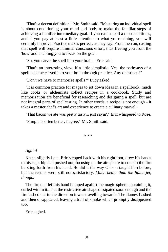"That's a decent definition," Mr. Smith said. "Mastering an individual spell is about conditioning your mind and body to make the familiar steps of achieving a familiar intermediary goal. If you cast a spell a thousand times, and if you pay at least a little attention to what you're doing, you will certainly improve. Practice makes perfect, as they say. From then on, casting that spell will require minimal conscious effort, thus freeing you from the 'how' and enabling you to focus on the goal."

"So, you carve the spell into your brain," Eric said.

"That's an interesting view, if a little simplistic. Yes, the pathways of a spell become carved into your brain through practice. Any questions?"

"Don't we have to memorize spells?" Lucy asked.

"It is common practice for mages to jot down ideas in a spellbook, much like cooks or alchemists collect recipes in a cookbook. Study and memorization are beneficial for researching and designing a spell, but are not integral parts of spellcasting. In other words, a recipe is not enough - it takes a master chef's art and experience to create a culinary marvel."

"That bacon we ate was pretty tasty... just sayin'," Eric whispered to Rose. "Simple is often better, I agree," Mr. Smith said.

\* \* \*

### *Again!*

Knees slightly bent, Eric stepped back with his right foot, drew his hands to his right hip and pushed out, focusing on the air sphere to contain the fire bursting forth from his hand. He did it the way Ohlson taught him before, but the results were still not satisfactory. *Much better than the flame jet, though.*

The fire that left his hand bumped against the magic sphere containing it, curled within it... but the restrictive air shape dissipated soon enough and the fire lashed out in the direction it was travelling towards. The flames flashed and then disappeared, leaving a trail of smoke which promptly disappeared too.

Eric sighed.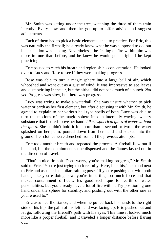Mr. Smith was sitting under the tree, watching the three of them train intently. Every now and then he got up to offer advice and suggest adjustments.

Each of them had to pick a basic elemental spell to practice. For Eric, this was naturally the fireball; he already knew what he was supposed to do, but his execution was lacking. Nevertheless, the feeling of fire within him was more in-tune than before, and he knew he would get it right if he kept practicing.

Eric paused to catch his breath and replenish his concentration. He looked over to Lucy and Rose to see if they were making progress.

Rose was able to turn a magic sphere into a large ball of air, which whooshed and went out as a gust of wind. It was impressive to see leaves and dust twirling in the air, but the airball did not pack much of a punch. *Not yet.* Progress was slow, but there was progress.

Lucy was trying to make a waterball. She was unsure whether to pick water or earth as her first element, but after discussing it with Mr. Smith, he agreed to explain to her various ball-type spells of both. Lucy was able to turn the motions of the magic sphere into an internally waving, watery substance that floated above her hand. *Like a spherical glass of water without the glass*. She couldn't hold it for more than a second or two - the water splashed on her palm, poured down from her hand and soaked into the ground. Her clothes were drenched from all the previous attempts.

Eric took another breath and repeated the process. A fireball flew out if his hand, but the containment shape dispersed and the flames lashed out in the direction of travel.

"That's a nice firebolt. Don't worry, you're making progress," Mr. Smith said to Eric. "You're just trying too forcefully. Here, like this," he stood next to Eric and assumed a similar training pose. "If you're pushing out with both hands, like you're doing now, you're imparting too much force and that makes containment difficult. It's good technique for earth or water personalities, but you already have a lot of fire within. Try positioning one hand under the sphere for stability, and pushing out with the other one as you're used to."

Eric assumed the stance, and when he pulled back his hands to the right side of his hip, the palm of his left hand was facing up. Eric pushed out and let go, following the fireball's path with his eyes. This time it looked much more like a proper fireball, and it traveled a longer distance before flaring out.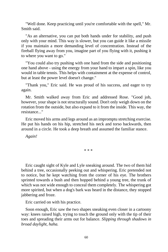"Well done. Keep practicing until you're comfortable with the spell," Mr. Smith said.

"As an alternative, you can put both hands under for stability, and push only with your mind. This way is slower, but you can guide it like a missile if you maintain a more demanding level of concentration. Instead of the fireball flying away from you, imagine part of you flying with it, pushing it to where you want to go."

"You could also try pushing with one hand from the side and positioning one hand above - using the energy from your hand to impart a spin, like you would in table tennis. This helps with containment at the expense of control, but at least the power level doesn't change."

"Thank you," Eric said. He was proud of his success, and eager to try again.

Mr. Smith walked away from Eric and addressed Rose. "Good job, however, your shape is not structurally sound. Don't only weigh down on the rotation from the outside, but also expand to it from the inside. This way, the resistance..."

Eric moved his arms and legs around as an impromptu stretching exercise. He put his hands on his hip, stretched his neck and torso backwards, then around in a circle. He took a deep breath and assumed the familiar stance.

*Again!*

\* \* \*

Eric caught sight of Kyle and Lyle sneaking around. The two of them hid behind a tree, occasionally peeking out and whispering. Eric pretended not to notice, but he kept watching from the corner of his eye. The brothers sprinted towards a bush and then hopped behind a young tree, the trunk of which was not wide enough to conceal them completely. The whispering got more spirited, but when a dog's bark was heard in the distance, they stopped jabbering and froze.

Eric carried on with his practice.

Soon enough, Eric saw the two shapes sneaking even closer in a cartoony way: knees raised high, trying to touch the ground only with the tip of their toes and spreading their arms out for balance. *Slipping through shadows in broad daylight, haha.*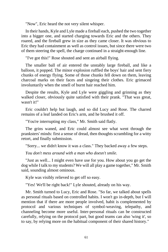"Now", Eric heard the not very silent whisper.

In their hands, Kyle and Lyle made a fireball each, pushed the two together into a bigger one, and started charging towards Eric and the others. They roared, and the fireball grew in size as they came closer. It was obvious to Eric they had containment as well as control issues, but since there were two of them steering the spell, the charge continued in a straight-enough line.

"I've got this!" Rose shouted and sent an airball flying.

The smaller ball of air entered the unstably large fireball, and like a balloon, it popped. The minor explosion ruffled the boys' hair and sent fiery chunks of energy flying. Some of those chunks fell down on them, leaving charcoal marks on their faces and singeing their clothes. Eric grimaced involuntarily when the smell of burnt hair reached him.

Despite the results, Kyle and Lyle were giggling and grinning as they walked closer, obviously quite satisfied with their prank. "That was great, wasn't it!"

Eric couldn't help but laugh, and so did Lucy and Rose. The charred remains of a leaf landed on Eric's arm, and he brushed it off.

"You're interrupting my class," Mr. Smith said flatly.

The grins waned, and Eric could almost see what went through the pranksters' minds: first a sense of dread, then thoughts scrambling for a witty retort, and finally submission.

"Sorry... we didn't know it was a class." They backed away a few steps.

*You don't mess around with a man who doesn't smile.*

"Just as well... I might even have use for you. How about you go get the dog while I talk to my students? We will all play a game together," Mr. Smith said, sounding almost ominous.

Kyle was visibly relieved to get off so easy.

"Yes! We'll be right back!" Lyle shouted, already on his way.

Mr. Smith turned to Lucy, Eric and Rose. "So far, we talked about spells as personal rituals based on controlled habits. I won't go in-depth, but I will mention that if there are more people involved, habit is complemented by protocol and various techniques of symbol-weaving, telepathy, and channeling become more useful. Inter-personal rituals can be constructed carefully, relying on the protocol part, but good teams can also 'wing it', so to say, by relying more on the habitual component of their shared history."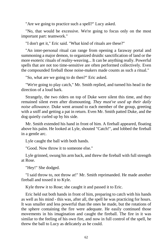"Are we going to practice such a spell?" Lucy asked.

"No, that would be excessive. We're going to focus only on the most important part: teamwork."

"I don't get it," Eric said. "What kind of rituals are these?"

"An inter-personal ritual can range from opening a faraway portal and summoning a major demon, to organized druidic sanctification of land or the more esoteric rituals of reality-weaving... It can be anything really. Powerful spells that are not too time-sensitive are often performed collectively. Even the compounded fireball those noise-makers made counts as such a ritual."

"So, what are we going to do then?" Eric asked.

"We're going to play catch," Mr. Smith replied, and turned his head in the direction of a loud bark.

Strangely, the two riders on top of Duke were silent this time, and they remained silent even after dismounting. *They must've used up their daily noise allowance.* Duke went around to each member of the group, greeting with a sniff and getting a pat in return. Even Mr. Smith patted Duke, and the dog quietly curled up by his side.

Mr. Smith extended his hand in front of him. A fireball appeared, floating above his palm. He looked at Lyle, shouted "Catch!", and lobbed the fireball in a gentle arc.

Lyle caught the ball with both hands.

"Good. Now throw it to someone else."

Lyle grinned, swung his arm back, and threw the fireball with full strength at Rose.

"Hey!" She dodged.

"I said throw to, not throw at!" Mr. Smith reprimanded. He made another fireball and tossed it to Kyle.

Kyle threw it to Rose; she caught it and passed it to Eric.

Eric held out both hands in front of him, preparing to catch with his hands as well as his mind - this was, after all, the spell he was practicing for hours. It was smaller and less powerful than the ones he made, but the rotations of the sphere containing the fire were adequate. He easily continued those movements in his imagination and caught the fireball. The fire in it was similar to the feeling of his own fire, and now in full control of the spell, he threw the ball to Lucy as delicately as he could.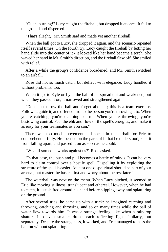"Ouch, burning!" Lucy caught the fireball, but dropped it at once. It fell to the ground and dispersed.

"That's alright," Mr. Smith said and made yet another fireball.

When the ball got to Lucy, she dropped it again, and the scenario repeated itself several times. On the fourth try, Lucy caught the fireball by letting her hand slide into the center of it - it looked like her hand became a torch. She waved her hand in Mr. Smith's direction, and the fireball flew off. She smiled with relief.

After a while the group's confidence broadened, and Mr. Smith switched to an airball.

Rose did not so much catch, but deflect with elegance. Lucy handled it without problems, too.

When it got to Kyle or Lyle, the ball of air spread out and weakened, but when they passed it on, it narrowed and strengthened again.

"Don't just throw the ball and forget about it; this is a team exercise. Follow it, guide it, and offer control to the person you're throwing it to. When you're catching, you're claiming control. When you're throwing, you're bestowing control. Feel the ebb and flow of the spell's energies, and make it as easy for your teammates as you can."

There was too much movement and speed in the airball for Eric to comprehend it fully. He focused on the parts of it that he understood, kept it from falling apart, and passed it on as soon as he could.

"What if someone works against us?" Rose asked.

"In that case, the push and pull becomes a battle of minds. It can be very hard to claim control over a hostile spell. Dispelling it by exploiting the structure of the spell is easier. At least one dispel ritual should be part of your arsenal, but master the basics first and worry about the rest later."

The waterball was next on the menu. When Lucy pitched, it seemed to Eric like moving stillness; translucent and ethereal. However, when he had to catch, it just shifted around his hand before slipping away and splattering on the ground.

After several tries, he came up with a trick: he imagined catching and throwing, catching and throwing, and so on many times while the ball of water flew towards him. It was a strange feeling, like when a raindrop shatters into even smaller drops: each reflecting light similarly, but separately. Despite the strangeness, it worked, and Eric managed to pass the ball on without splattering.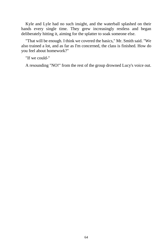Kyle and Lyle had no such insight, and the waterball splashed on their hands every single time. They grew increasingly restless and began deliberately hitting it, aiming for the splatter to soak someone else.

"That will be enough. I think we covered the basics," Mr. Smith said. "We also trained a lot, and as far as I'm concerned, the class is finished. How do you feel about homework?"

"If we could-"

A resounding "NO!" from the rest of the group drowned Lucy's voice out.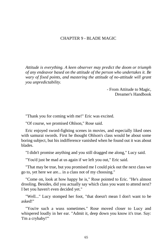## CHAPTER 9 - BLADE MAGIC

*Attitude is everything. A keen observer may predict the doom or triumph of any endeavor based on the attitude of the person who undertakes it. Be wary of fixed points, and mastering the attitude of no-attitude will grant you unpredictability.*

> - From Attitude to Magic, Dreamer's Handbook

"Thank you for coming with me!" Eric was excited.

"Of course, we promised Ohlson," Rose said.

Eric enjoyed sword-fighting scenes in movies, and especially liked ones with samurai swords. First he thought Ohlson's class would be about some boring subject, but his indifference vanished when he found out it was about blades.

"I didn't promise anything and you still dragged me along," Lucy said.

"You'd just be mad at us again if we left you out," Eric said.

"That may be true, but you promised me I could pick out the next class we go to, yet here we are... in a class not of my choosing."

"Come on, look at how happy he is," Rose pointed to Eric. "He's almost drooling. Besides, did you actually say which class you want to attend next? I bet you haven't even decided yet."

"Well..." Lucy stomped her foot, "that doesn't mean I don't want to be asked!"

"You're such a wuss sometimes." Rose moved closer to Lucy and whispered loudly in her ear. "Admit it, deep down you know it's true. Say: 'I'm a crybaby!'"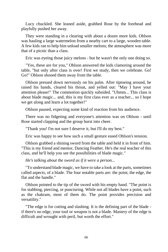Lucy chuckled. She leaned aside, grabbed Rose by the forehead and playfully pushed her away.

They were standing in a clearing with about a dozen more kids. Ohlson was hauling a large watermelon from a nearby cart to a large, wooden table. A few kids ran to help him unload smaller melons; the atmosphere was more that of a picnic than a class.

Eric was eyeing those juicy melons - but he wasn't the only one doing so.

"Yes, these are for you," Ohlson answered the kids clamoring around the table, "but only after class is over! First we study, then we celebrate. Go! Go!" Ohlson shooed them away from the table.

Ohlson pressed down nervously on his palm. After tiptoeing around, he raised his hands, cleared his throat, and yelled out: "May I have your attention please!" The commotion quickly subsided. "Uhmm... This class is about blade magic... and, this is my first class ever as a teacher... so I hope we get along and learn a lot together!"

Ohlson paused, expecting some kind of reaction from his audience.

There was no fidgeting and everyone's attention was on Ohlson - until Rose started clapping and the group burst into cheer.

"Thank you! I'm not sure I deserve it, but I'll do my best."

Eric was happy to see how such a small gesture eased Ohlson's tension.

Ohlson grabbed a shining sword from the table and held it in front of him. "This is my friend and mentor, Dancing Feather. He's the real teacher of this class, and he'll help you see the possibilities of blade magic."

*He's talking about the sword as if it were a person...*

"To understand blade magic, we have to take a look at the parts, sometimes called aspects, of a blade. The four notable parts are: the point, the edge, the flat and the handle."

Ohlson pointed to the tip of the sword with his empty hand. "The point is for stabbing, piercing, or puncturing. While not all blades have a point, such as the chakram, most of them do. The point provides precision and versatility."

"The edge is for cutting and slashing. It is the defining part of the blade if there's no edge, your tool or weapon is not a blade. Mastery of the edge is difficult and wrought with peril, but worth the effort."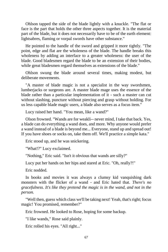Ohlson tapped the side of the blade lightly with a knuckle. "The flat or face is the part that holds the other three aspects together. It is the material part of the blade, but it does not necessarily have to be of the earth element: lightsabres, flaming or vorpal swords have other substance."

He pointed to the handle of the sword and gripped it more tightly. "The point, edge and flat are the wholeness of the blade. The handle breaks this wholeness by adding an interface to a greater wholeness: the user of the blade. Good bladesmen regard the blade to be an extension of their bodies, while great bladesmen regard themselves as extensions of the blade."

Ohlson swung the blade around several times, making modest, but deliberate movements.

"A master of blade magic is not a specialist in the way swordsmen, lumberjacks or surgeons are. A master blade mage uses the essence of the blade rather than a particular implementation of it - such a master can cut without slashing, puncture without piercing and grasp without holding. For us less capable blade magic users, a blade also serves as a focus item."

Lucy raised her hand. "You mean, like a wand?"

Olson frowned. "Wands are for weakli-- never mind, I take that back. Yes, a blade can do everything a wand does, and more. Why anyone would prefer a wand instead of a blade is beyond me... Everyone, stand up and spread out! If you have shoes or socks on, take them off. We'll practice a simple kata."

Eric stood up, and he was snickering.

"What!?" Lucy exclaimed.

"Nothing," Eric said. "Isn't it obvious that wands are silly?"

Lucy put her hands on her hips and stared at Eric. "Oh, really?!"

Eric nodded.

In books and movies it was always a clumsy kid vanquishing dark monsters with the flicker of a wand - and Eric hated that. *There's no gracefulness. It's like they pretend the magic is in the wand, and not in the person.*

"Well then, guess which class we'll be taking next! Yeah, that's right; focus magic! You promised, remember?"

Eric frowned. He looked to Rose, hoping for some backup.

"I like wands," Rose said plainly.

Eric rolled his eyes. "All right..."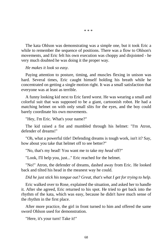The kata Ohlson was demonstrating was a simple one, but it took Eric a while to remember the sequence of positions. There was a flow to Ohlson's movements, and Eric felt his own execution was choppy and disjointed - he very much doubted he was doing it the proper way.

\* \* \*

#### *He makes it look so easy.*

Paying attention to posture, timing, and muscles flexing in unison was hard. Several times, Eric caught himself holding his breath while he concentrated on getting a single motion right. It was a small satisfaction that everyone was at least as terrible.

A funny looking kid next to Eric fared worst. He was wearing a small and colorful suit that was supposed to be a giant, cartoonish robot. He had a matching helmet on with only small slits for the eyes, and the boy could barely coordinate his own movements.

"Hey, I'm Eric. What's your name?"

The kid raised a fist and mumbled through his helmet: "I'm Atron, defender of dreams!"

"Oh, what a powerful title! Defending dreams is tough work, isn't it? Say, how about you take that helmet off to see better?"

"No, that's my head! You want me to take my *head* off?"

"Look, I'll help you, just..." Eric reached for the helmet.

"No!" Atron, the defender of dreams, dashed away from Eric. He looked back and tilted his head in the meanest way he could.

*Did he just stick his tongue out? Great, that's what I get for trying to help.*

Eric walked over to Rose, explained the situation, and asked her to handle it. After she agreed, Eric returned to his spot. He tried to get back into the rhythm of the kata, which was easy, because he didn't have much sense of the rhythm in the first place.

After more practice, the girl in front turned to him and offered the same sword Ohlson used for demonstration.

"Here, it's your turn! Take it!"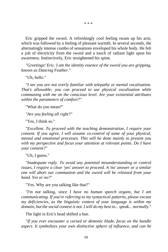\* \* \*

Eric gripped the sword. A refreshingly cool feeling swam up his arm, which was followed by a feeling of pleasant warmth. In several seconds, the alternatingly intense combo of sensations enveloped his whole body. He felt a jolt of electricity from the sword and a touch of radiant light upon his awareness. Instinctively, Eric straightened his spine.

*"Greetings! Eric. I am the identity essence of the sword you are gripping, known as Dancing Feather."*

"Uh, hello."

*"I see you are not overly familiar with telepathy or mental vocalization. That's allowable; you can proceed to use physical vocalization while communing with me on the conscious level. Are your existential attributes within the parameters of comfort?"*

"What do you mean?"

*"Are you feeling all right?"*

"Yes, I think so."

*"Excellent. To proceed with the teaching demonstration, I require your consent. If you agree, I will assume co-control of some of your physical, mental and emotional processes. This will be done mainly to present you with my perspective and focus your attention at relevant points. Do I have your consent?"*

"Uh, I guess."

*"Inadequate reply. To avoid any potential misunderstanding or control issues, I require a clear 'yes' answer to proceed. A 'no' answer or a similar one will abort our communion and the sword will be released from your hand. Yes or no?"*

"Yes. Why are you talking like that?"

*"I'm not talking, since I have no human speech organs, but I am communicating. If you're referring to my syntactical patterns, please excuse my deficiencies, as the linguistic context of your language is within my domain, but the social context is not. I will do my best to... speak... normally."*

The light in Eric's head shifted a hue.

*"If you ever encounter a cursed or demonic blade, focus on the handle aspect. It symbolizes your own distinctive sphere of influence, and can be*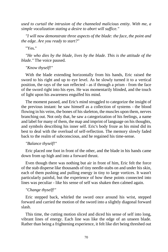*used to curtail the intrusion of the channeled malicious entity. With me, a simple vocalization stating a desire to abort will suffice."*

*"I will now demonstrate three aspects of the blade: the face, the point and the edge. Are you ready to start?"*

"Yes."

*"He who dies by the blade, lives by the blade. This is the attitude of the blade."* The voice paused.

*"Know thyself!"*

With the blade extending horizontally from his hands, Eric raised the sword to his right and up to eye level. As he slowly turned it to a vertical position, the rays of the sun reflected - as if through a prism - from the face of the sword right into his eyes. He was momentarily blinded, and the touch of light upon his awareness engulfed his mind.

The moment passed, and Eric's mind struggled to categorize the insight of the previous instant: he saw himself as a collection of systems - the blood flowing in his veins, the bones of his skeleton, the muscles upon them, nerves branching out. Not only that, he saw a categorization of his feelings, a name and label for many of them, the map and imprint of language on his thoughts, and symbols describing his inner self. Eric's body froze as his mind did its best to deal with the overload of self-reflection. The memory slowly faded back to the realm of subconscious, and he regained his time-sense.

*"Balance thyself!"*

Eric placed one foot in front of the other, and the blade in his hands came down from up high and into a forward thrust.

Even though there was nothing but air in front of him, Eric felt the force of the stab disperse like thousands of tiny needle-stabs on and under his skin, each of them pushing and pulling energy in tiny to large vortices. It wasn't particularly painful, but the experience of how these points connected into lines was peculiar - like his sense of self was shaken then calmed again.

## *"Change thyself!"*

Eric stepped back, whirled the sword once around his wrist, stepped forward and carried the motion of the sword into a slightly diagonal forward slash.

This time, the cutting motion sliced and diced his sense of self into long, vibrant lines of energy. Each line was like the edge of an unseen blade. Rather than being a frightening experience, it felt like dirt being threshed out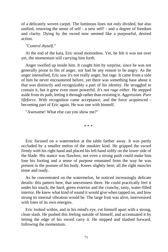of a delicately woven carpet. The luminous lines not only divided, but also unified, restoring the sense of self - a new self! - and a degree of freedom and clarity. Dying by the sword now seemed like a purposeful, desired action.

### *"Control thyself."*

At the end of the kata, Eric stood motionless. Yet, he felt it was not over yet, the momentum still carrying him forth.

Anger swelled up inside him. It caught him by surprise, since he was not generally prone to fits of anger, nor had he any reason to be angry. As the anger intensified, Eric saw it's not really anger, but rage. It came from a side of him he never encountered before, yet there was something base about it that was distinctly and recognizably a part of his identity. He struggled to contain it, but it grew even more powerful. *It's not rage either.* He stepped aside from its path, letting it through rather than resisting it. *Aggression. Pure lifeforce.* With recognition came acceptance, and the force acquiesced becoming part of Eric again. He was one with himself.

"Awesome! What else can you show me?"

\* \* \*

Eric focused on a watermelon at the table farther away. It was partly occluded by a smaller melon of the muskier kind. He gripped the sword firmly with his right hand and placed his left hand softly on the lower side of the blade. His stance was flawless; not even a strong push could make him lose his footing and a sense of purpose emanated from the way he was present in the posture of his body. Knees slightly bent; all the right muscles tense and ready.

As he concentrated on the watermelon, he noticed increasingly delicate details: this pattern here, that unevenness there. He could practically feel it under his touch; the hard, green exterior and the crunchy, tasty, water-filled interior. He knew what kind of sound it would give when tapped on, and how strong its internal vibration would be. The large fruit was alive, interweaved with lines of its own energies.

Eric looked within, and in his mind's eye, cut himself apart with a strong, clean slash. He pushed this feeling outside of himself, and accentuated it by letting the edge of his sword carry it. He stepped and slashed forward, following the momentum.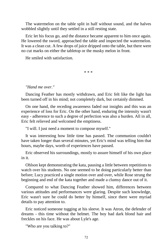The watermelon on the table split in half without sound, and the halves wobbled slightly until they settled in a still resting state.

Eric let his focus go, and the distance became apparent to him once again. He lowered the sword, approached the table and inspected the watermelon. It was a clean cut. A few drops of juice dripped onto the table, but there were no cut marks on either the tabletop or the musky melon in front.

He smiled with satisfaction.

\* \* \*

### *"Hand me over."*

Dancing Feather has mostly withdrawn, and Eric felt like the light has been turned off in his mind; not completely dark, but certainly dimmed.

On one hand, the receding awareness faded out insights and this was an experience of loss for Eric. On the other hand, enduring the intensity wasn't easy - adherence to such a degree of perfection was also a burden. All in all, Eric felt relieved and welcomed the emptiness.

"I will. I just need a moment to compose myself."

It was interesting how little time has passed. The communion couldn't have taken longer than several minutes, yet Eric's mind was telling him that hours, maybe days, worth of experiences have passed.

Eric observed his surroundings, mostly to assure himself of his own place in it.

Ohlson kept demonstrating the kata, pausing a little between repetitions to watch over his students. No one seemed to be doing particularly better than before; Lucy practiced a single motion over and over, while Rose strung the beginning and end of the kata together and made a clumsy dance out of it.

Compared to what Dancing Feather showed him, differences between various attitudes and performances were glaring. Despite such knowledge, Eric wasn't sure he could do better by himself, since there were myriad details to pay attention to.

Eric noticed someone tugging at his sleeve. It was Atron, the defender of dreams - this time without the helmet. The boy had dark blond hair and freckles on his face. He was about Lyle's age.

"Who are you talking to?"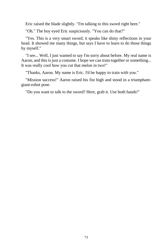Eric raised the blade slightly. "I'm talking to this sword right here."

"Oh." The boy eyed Eric suspiciously. "You can do that?"

"Yes. This is a very smart sword; it speaks like shiny reflections in your head. It showed me many things, but says I have to learn to do those things by myself."

"I see... Well, I just wanted to say I'm sorry about before. My real name is Aaron, and this is just a costume. I hope we can train together or something... It was really cool how you cut that melon in two!"

"Thanks, Aaron. My name is Eric. I'd be happy to train with you."

"Mission success!" Aaron raised his fist high and stood in a triumphantgiant-robot pose.

"Do you want to talk to the sword? Here, grab it. Use both hands!"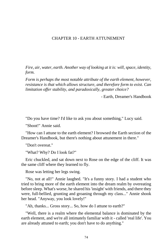## CHAPTER 10 - EARTH ATTUNEMENT

*Fire, air, water, earth. Another way of looking at it is: will, space, identity, form.*

*Form is perhaps the most notable attribute of the earth element, however, resistance is that which allows structure, and therefore form to exist. Can limitation offer stability, and paradoxically, greater choice?*

- Earth, Dreamer's Handbook

"Do you have time? I'd like to ask you about something," Lucy said.

"Shoot!" Annie said.

"How can I attune to the earth element? I browsed the Earth section of the Dreamer's Handbook, but there's nothing about attunement in there."

"Don't overeat."

"What? Why? Do I look fat?"

Eric chuckled, and sat down next to Rose on the edge of the cliff. It was the same cliff where they learned to fly.

Rose was letting her legs swing.

"No, not at all!" Annie laughed. "It's a funny story. I had a student who tried to bring more of the earth element into the dream realm by overeating before sleep. What's worse, he shared his 'insight' with friends, and there they were, full-bellied, grunting and groaning through my class..." Annie shook her head. "Anyway, you look lovely!"

"Ah, thanks... Gross story... So, how do I attune to earth?"

"Well, there is a realm where the elemental balance is dominated by the earth element, and we're all intimately familiar with it - called 'real life'. You are already attuned to earth; you don't have to do anything."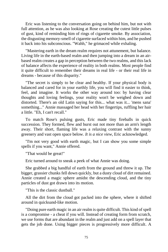Eric was listening to the conversation going on behind him, but not with full attention, as he was also looking at Rose creating the cutest little pulses of gust, kind of reminding him of rings of cigarette smoke. By association, the disgusting memory-smell of cigarette surfaced within him, and he pushed it back into his subconscious. "Wahh," he grimaced while exhaling.

"Mastering earth in the dream realm requires not attunement, but balance. Living life in the earth-based realm and then jumping into a dream in an airbased realm creates a gap in perception between the two realms, and this lack of balance affects the experience of reality in both realms. Most people find it quite difficult to remember their dreams in real life - or their real life in dreams - because of this disparity."

"The secret is simply to be clear and healthy. If your physical body is balanced and cared for in your earthly life, you will find it easier to think, feel, and imagine. It works the other way around too: by having clear thoughts and loving feelings, your reality won't be weighed down and distorted. There's an old Latin saying for this... what was it... 'mens sana' something..." Annie massaged her head with her fingertips, ruffling her hair a little. "Eh, I can't recall."

To match Rose's pulsing gusts, Eric made tiny fireballs in quick succession. They formed, flew and burst out not more than an arm's length away. Their short, flaming life was a relaxing contrast with the sunny greenery and vast open space below. *It is a nice view*, Eric acknowledged.

"I'm not very good with earth magic, but I can show you some simple spells if you want," Annie offered.

"That would be great!"

Eric turned around to sneak a peek of what Annie was doing.

She grabbed a big handful of earth from the ground and threw it up. The bigger, grassier chunks fell down quickly, but a dusty cloud of dirt remained. Annie created a magic sphere amidst the descending cloud, and the tiny particles of dust got drawn into its motion.

"This is the classic dustball."

All the dirt from the cloud got packed into the sphere, where it shifted around in quicksand-like motion.

"Doing pure earth magic in an air realm is quite difficult. This kind of spell is a compromise - a cheat if you will. Instead of creating form from scratch, we use forms that are abundant in the realm and just add on a spell layer that gets the job done. Using bigger pieces is progressively more difficult. A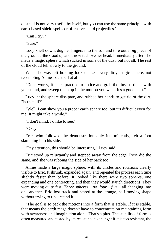dustball is not very useful by itself, but you can use the same principle with earth-based shield spells or offensive shard projectiles."

"Can I try?"

"Sure."

Lucy knelt down, dug her fingers into the soil and tore out a big piece of the ground. She stood up and threw it above her head. Immediately after, she made a magic sphere which sucked in some of the dust, but not all. The rest of the cloud fell slowly to the ground.

What she was left holding looked like a very dirty magic sphere, not resembling Annie's dustball at all.

"Don't worry, it takes practice to notice and grab the tiny particles with your mind, and sweep them up in the motion you want. It's a good start."

Lucy let the sphere dissipate, and rubbed her hands to get rid of the dirt. "Is that all?"

"Well, I can show you a proper earth sphere too, but it's difficult even for me. It might take a while."

"I don't mind, I'd like to see."

"Okay."

Eric, who followed the demonstration only intermittently, felt a foot slamming into his side.

"Pay attention, this should be interesting," Lucy said.

Eric stood up reluctantly and stepped away from the edge. Rose did the same, and she was rubbing the side of her back too.

Annie made a large magic sphere, with its circles and rotations clearly visible to Eric. It shrunk, expanded again, and repeated the process each time slightly faster than before. It looked like there were two spheres, one expanding and one contracting, and then they would switch directions. They were moving quite fast. *Three spheres... no, four... five...* all changing into one another. Eric lost track and stared at the strange, self-moving shape without trying to understand it.

"The goal is to pack the motions into a form that is stable. If it is stable, that means the earth mage doesn't have to concentrate on maintaining form with awareness and imagination alone. That's a plus. The stability of form is often measured and tested by its resistance to change: if it is too resistant, the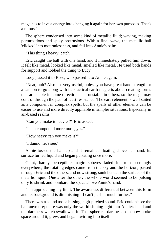mage has to invest energy into changing it again for her own purposes. That's a minus."

The sphere condensed into some kind of metallic fluid; waving, making perturbations and spiky protrusions. With a final wave, the metallic ball 'clicked' into motionlessness, and fell into Annie's palm.

"This thing's heavy, catch."

Eric caught the ball with one hand, and it immediately pulled him down. It felt like metal, looked like metal, smelled like metal. He used both hands for support and lobbed the thing to Lucy.

Lucy passed it to Rose, who passed it to Annie again.

"Neat, huh? Also not very useful, unless you have great hand strength or a cannon to go along with it. Practical earth magic is about creating forms that are stable in some directions and unstable in others, so the mage may control through the path of least resistance. The earth element is well suited as a component in complex spells, but the spells of other elements can be easier to use and more directly appliable in simpler situations. Especially in air-based realms."

"Can you make it heavier?" Eric asked.

"I can compound more mass, yes."

"How heavy can you make it?"

"I dunno, let's see."

Annie tossed the ball up and it remained floating above her hand. Its surface turned liquid and began pulsating once more.

Giant, barely perceptible magic spheres faded in from seemingly everywhere; the rotating edges came from the sky and the horizon, passed through Eric and the others, and now strong, sunk beneath the surface of the metallic liquid. One after the other, the whole world seemed to be pulsing only to shrink and bombard the space above Annie's hand.

"I'm approaching my limit. The awareness differential between this form and its background is diminishing - I can't push it much further."

There was a sound too: a hissing, high-pitched sound. Eric couldn't see the ball anymore; there was only the world shining light into Annie's hand and the darkness which swallowed it. That spherical darkness somehow broke space around it, grew, and began twirling into itself.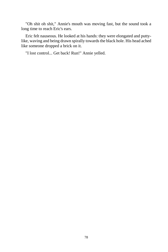"Oh shit oh shit," Annie's mouth was moving fast, but the sound took a long time to reach Eric's ears.

Eric felt nauseous. He looked at his hands: they were elongated and puttylike, waving and being drawn spirally towards the black hole. His head ached like someone dropped a brick on it.

"I lost control... Get back! Run!" Annie yelled.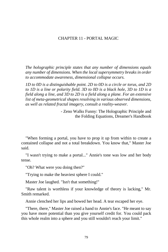# CHAPTER 11 - PORTAL MAGIC

*The holographic principle states that any number of dimensions equals any number of dimensions. When the local supersymmetry breaks in order to accommodate awareness, dimensional collapse occurs.*

*1D to 0D is a distinguishable point. 2D to 0D is a circle or torus, and 2D to 1D is a line or polarity field. 3D to 0D is a black hole, 3D to 1D is a field along a line, and 3D to 2D is a field along a plane. For an extensive list of meta-geometrical shapes resolving in various observed dimensions, as well as related fractal imagery, consult a reality-weaver.*

> - Zeno Walks Funny: The Holographic Principle and the Folding Equations, Dreamer's Handbook

"When forming a portal, you have to prop it up from within to create a contained collapse and not a total breakdown. You know that," Master Joe said.

"I wasn't trying to make a portal..." Annie's tone was low and her body tense.

"Oh? What were you doing then?"

"Trying to make the heaviest sphere I could."

Master Joe laughed. "Isn't that something!"

"Raw talent is worthless if your knowledge of theory is lacking," Mr. Smith remarked.

Annie clenched her lips and bowed her head. A tear escaped her eye.

"There, there," Master Joe raised a hand to Annie's face. "He meant to say you have more potential than you give yourself credit for. You could pack this whole realm into a sphere and you still wouldn't reach your limit."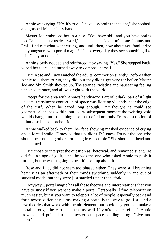Annie was crying. "No, it's true... I have less brain than talent," she sobbed, and grasped Master Joe's hand.

Master Joe embraced her in a hug. "You have skill and you have brains too. Talent is just a useless word," he consoled. "No harm's done. Johnny and I will find out what went wrong, and until then, how about you familiarize the youngsters with portal magic? It's not every day they see something like this. Can you do that?"

Annie slowly nodded and reinforced it by saying "Yes." She stepped back, wiped her tears, and turned away to compose herself.

Eric, Rose and Lucy watched the adults' commotion silently. Before when Annie told them to run, they did, but they didn't get very far before Master Joe and Mr. Smith showed up. The strange, twisting and nauseating feeling vanished at once, and all was right with the world.

Except for the area with Annie's handiwork. Part of it dark, part of it light - a semi-translucent contortion of space was floating violently near the edge of the cliff. When he gazed long enough, Eric thought he could see geometrical shapes within, but every subsequent moment the twisting void would change into something else that defied not only Eric's description of it, but also his comprehension.

Annie walked back to them, her face showing masked evidence of crying and a forced smile. "I messed that up, didn't I? I guess I'm not the one who should be chastising others for being irresponsible." She shook her head and facepalmed.

Eric chose to interpret the question as rhetorical, and remained silent. He did feel a tinge of guilt, since he was the one who asked Annie to push it further, but he wasn't going to beat himself up about it.

Rose and Lucy did not seem too phased either. They were still breathing heavily as an aftermath of their minds switching suddenly in and out of survival mode, but they were just startled rather than afraid.

"Anyway... portal magic has all these theories and interpretations that you have to study if you want to make a portal. Personally, I find teleportation much easier, but if you want to teleport a lot of people, especially back and forth across different realms, making a portal is the way to go. I studied a few theories that work with the air element, but obviously you can make a portal through the earth element as well if you're not careful..." Annie frowned and pointed to the mysterious space-bending thing. "Live and learn."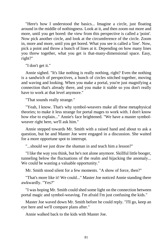"Here's how I understood the basics... Imagine a circle, just floating around in the middle of nothingness. Look at it, and then zoom out more and more, until you get bored: the view from this perspective is called a 'point'. Now pick another circle, and look at the circumference of the circle. Zoom in, more and more, until you get bored. What you see is called a 'line'. Now, pick a point and throw a bunch of lines at it. Depending on how many lines you threw together, what you get is that-many-dimensional space. Easy, right?"

"I don't get it."

Annie sighed. "It's like nothing is really nothing, right? Even the nothing is a sandwich of perspectives, a bunch of circles stitched together, moving and waving and looking. When you make a portal, you're just magnifying a connection that's already there, and you make it stable so you don't really have to work at that level anymore."

"That sounds really strange."

"Yeah, I know. That's why symbol-weavers make all these metaphysical theories; to make it less strange for portal mages to work with. I don't know how else to explain..." Annie's face brightened. "We have a master symbolweaver right here, we'll ask him."

Annie stepped towards Mr. Smith with a raised hand and about to ask a question, but he and Master Joe were engaged in a discussion. She waited for a more opportune spot to interrupt.

"...should we just draw the shaman in and teach him a lesson?"

"I like the way you think, but he's not alone anymore. Skillful little booger, tunneling below the fluctuations of the realm and hijacking the anomaly... We could be wasting a valuable opportunity."

Mr. Smith stood silent for a few moments. "A show of force, then?"

"That's more like it! We could..." Master Joe noticed Annie standing there awkwardly. "Yes?"

"I was hoping Mr. Smith could shed some light on the connection between portal magic and symbol-weaving. I'm afraid I'm just confusing the kids."

Master Joe waved down Mr. Smith before he could reply. "I'll go, keep an eye here and we'll compare plans after."

Annie walked back to the kids with Master Joe.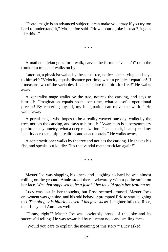"Portal magic is an advanced subject; it can make you crazy if you try too hard to understand it," Master Joe said. "How about a joke instead? It goes like this..."

\* \* \*

A mathematician goes for a walk, carves the formula " $v = s / t$ " onto the trunk of a tree, and walks on by.

Later on, a physicist walks by the same tree, notices the carving, and says to himself: "Velocity equals distance per time, what a practical equation! If I measure two of the variables, I can calculate the third for free!" He walks away.

A generalist mage walks by the tree, notices the carving, and says to himself: "Imagination equals space per time, what a useful operational precept! By centering myself, my imagination can move the world!" He walks away.

A portal mage, who hopes to be a reality-weaver one day, walks by the tree, notices the carving, and says to himself: "Awareness is supersymmetry per broken symmetry, what a deep realization! Thanks to it, I can spread my identity across multiple realities and enact portals." He walks away.

A zen practitioner walks by the tree and notices the carving. He shakes his fist, and speaks out loudly: "It's that vandal mathematician again!"

\* \* \*

Master Joe was slapping his knees and laughing so hard he was almost rolling on the ground. Annie stood there awkwardly with a polite smile on her face. *Was that supposed to be a joke? I bet the old guy's just trolling us.*

Lucy was lost in her thoughts, but Rose seemed amused. Master Joe's enjoyment was genuine, and his odd behavior prompted Eric to start laughing too. *The old guy is hilarious even if his joke sucks.* Laughter infected Rose, then Lucy and Annie as well.

"Funny, right?" Master Joe was obviously proud of the joke and its successful telling. He was rewarded by reluctant nods and smiling faces.

"Would you care to explain the meaning of this story?" Lucy asked.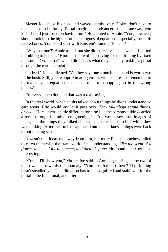Master Joe shook his head and waved dismissively. "Jokes don't have to make sense to be funny. Portal magic is an advanced subject anyway; you kids should just focus on having fun." He pointed to Annie. "You, however, should look into the higher order analogues of equations, especially the earth related ones. You could start with Einstein's famous  $E = mc^2$ ."

"Why that one?" Annie asked, but she didn't receive an answer and started mumbling to herself. "Hmm... square of c... solving for m... folding by fixed measure... Oh, so that's what I did! That's what they mean by making a portal through the earth element!"

"Indeed," Joe confirmed. "As they say, one stone in the hand is worth two in the bush. Still, you're approximating circles with squares, so remember to normalize your equations to keep errors from popping up in the wrong places."

Eric very much doubted that was a real saying.

In the real world, when adults talked about things he didn't understand or care about, Eric would just let it pass over. *They talk about stupid things, anyway.* Here, it was a little different for him: like the persons talking carried a torch through his mind, enlightening it. Eric would see little images of ideas, and the things they talked about made some sense to him while they were talking. After the torch disappeared into the darkness, things were back to not making sense.

It wasn't that ideas ran away from him, but more like he somehow failed to catch them with the framework of his understanding. *Like the scent of a flower you smell for a moment, and then it's gone.* He found the experience interesting.

"Come, I'll show you," Master Joe said to Annie, gesturing as the two of them walked towards the anomaly. "You see that part there? The rippling hasn't steadied yet. That direction has to be magnified and stabilized for the portal to be functional, and after..."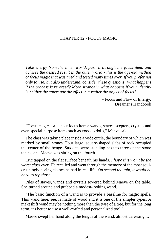# CHAPTER 12 - FOCUS MAGIC

*Take energy from the inner world, push it through the focus item, and achieve the desired result in the outer world - this is the age-old method of focus magic that was tried and tested many times over. If you prefer not only to use, but also understand, consider these questions: What happens if the process is reversed? More strangely, what happens if your identity is neither the cause nor the effect, but rather the object of focus?*

> - Focus and Flow of Energy, Dreamer's Handbook

"Focus magic is all about focus items: wands, staves, scepters, crystals and even special purpose items such as voodoo dolls," Maeve said.

The class was taking place inside a wide circle, the boundary of which was marked by small stones. Four large, square-shaped slabs of rock occupied the center of the henge. Students were standing next to three of the stone tables, and Maeve was sitting on the fourth.

Eric tapped on the flat surface beneath his hands. *I hope this won't be the worst class ever.* He recalled and went through the memory of the most soulcrushingly boring classes he had in real life. *On second thought, it would be hard to top those.*

Piles of staves, wands and crystals towered behind Maeve on the table. She turned around and grabbed a modest-looking wand.

"The basic function of a wand is to provide a baseline for magic spells. This wand here, see, is made of wood and it is one of the simpler types. A makeshift wand may be nothing more than the twig of a tree, but for the long term, it's better to use a well-crafted and personalized tool."

Maeve swept her hand along the length of the wand, almost caressing it.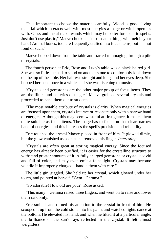"It is important to choose the material carefully. Wood is good, living material which interacts well with most energies a mage or witch operates with. Glass and metal make wands which may be better for specific spells. Just don't use plastic," Maeve chuckled, "those damn things will melt in your hand! Animal bones, too, are frequently crafted into focus items, but I'm not fond of such."

Maeve hopped down from the table and started rummaging through a pile of crystals.

The fourth person at Eric, Rose and Lucy's table was a black-haired girl. She was so little she had to stand on another stone to comfortably look down on the top of the table. Her hair was straight and long, and her eyes deep. She bobbed her head once in a while as if she was listening to music.

"Crystals and gemstones are the other major group of focus items. They are the filters and batteries of magic." Maeve grabbed several crystals and proceeded to hand them out to students.

"The most notable attribute of crystals is clarity. When magical energies are focused upon them, crystals interact or resonate only with a narrow band of energies. Although this may seem wasteful at first glance, it makes them quite suitable as focus items. The mage has to focus on that clear, narrow band of energies, and this increases the spell's precision and reliability."

Eric touched the crystal Maeve placed in front of him. It glowed dimly, but the glow vanished as soon as he removed his finger. *Interesting.*

"Crystals are often great at storing magical energy. Since the focused energy has already been purified, it is easier for the crystalline structure to withstand greater amounts of it. A fully charged gemstone or crystal is vivid and full of color, and may even emit a faint light. Crystals may become volatile if improperly charged - handle them with care."

The little girl giggled. She held up her crystal, which glowed under her touch, and pointed at herself. "Gem - Gemma."

"So adorable! How old are you?" Rose asked.

"This many!" Gemma raised three fingers, and went on to raise and lower them randomly.

Eric smiled, and turned his attention to the crystal in front of him. He scooped it up from the cold stone into his palm, and watched lights dance at the bottom. He elevated his hand, and when he tilted it at a particular angle, the brilliance of the sun's rays reflected in the crystal. It felt almost weightless.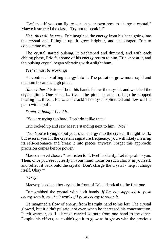"Let's see if you can figure out on your own how to charge a crystal," Maeve instructed the class. "Try not to break it!"

*Heh, this will be easy.* Eric imagined the energy from his hand going into the crystal and filling it up. It grew brighter, and encouraged Eric to concentrate more.

The crystal started pulsing. It brightened and dimmed, and with each ebbing phase, Eric felt some of his energy return to him. Eric kept at it, and the pulsing crystal began vibrating with a slight hum.

### *Yes! It must be working!*

He continued stuffing energy into it. The pulsation grew more rapid and the hum became a high pitch.

*Almost there!* Eric put both his hands below the crystal, and watched the crystal jitter. One second... two... the pitch became so high he stopped hearing it... three... four... and crack! The crystal splintered and flew off his palm with a puff.

*Damn. I thought I had it.*

"You are trying too hard. Don't do it like that."

Eric looked up and saw Maeve standing next to him. "No?"

"No. You're trying to put your own energy into the crystal. It might work, but even if you hit the crystal's signature frequency, you will likely mess up its self-resonance and break it into pieces anyway. Forget this approach; precision comes before power."

Maeve moved closer. "Just listen to it. Feel its clarity. Let it speak to you. Then, once you see it clearly in your mind, focus on such clarity in yourself, and reflect it back onto the crystal. Don't charge the crystal - help it charge itself. Okay?"

"Okay."

Maeve placed another crystal in front of Eric, identical to the first one.

Eric grabbed the crystal with both hands. *If I'm not supposed to push energy into it, maybe it works if I push energy through it.*

He imagined a flow of energy from his right hand to his left. The crystal glowed, but it didn't pulsate, not even when he increased his concentration. It felt warmer, as if a breeze carried warmth from one hand to the other. Despite his efforts, he couldn't get it to glow as bright as with the previous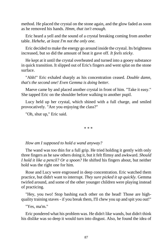method. He placed the crystal on the stone again, and the glow faded as soon as he removed his hands. *Hmm, that isn't enough.*

Eric heard a yell and the sound of a crystal breaking coming from another table. *Hehehe, at least I'm not the only one.*

Eric decided to make the energy go around inside the crystal. Its brightness increased, but so did the amount of heat it gave off. *It feels sticky.*

He kept at it until the crystal overheated and turned into a gooey substance in quick transition. It slipped out of Eric's fingers and went splat on the stone surface.

"Ahh!" Eric exhaled sharply as his concentration ceased. *Double damn, that's the second one! Even Gemma is doing better.*

Maeve came by and placed another crystal in front of him. "Take it easy." She tapped Eric on the shoulder before walking to another pupil.

Lucy held up her crystal, which shined with a full charge, and smiled provocatively. "Are you enjoying the class?"

"Oh, shut up," Eric said.

\* \* \*

*How am I supposed to hold a wand anyway?*

The wand was too thin for a full grip. He tried holding it gently with only three fingers as he saw others doing it, but it felt flimsy and awkward. *Should I hold it like a pencil? Or a spoon?* He shifted his fingers about, but neither hold was the right one for him.

Rose and Lucy were engrossed in deep concentration. Eric watched them practice, but didn't want to interrupt. *They sure picked it up quickly.* Gemma twirled around, and some of the other younger children were playing instead of practicing.

"Hey, you two! Stop bashing each other on the head! Those are highquality training staves - if you break them, I'll chew you up and spit you out!"

"Yes, ma'm."

Eric pondered what his problem was. He didn't like wands, but didn't think his dislike was so deep it would turn into disgust. Also, he found the idea of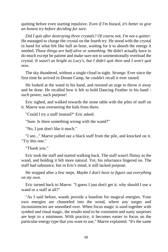quitting before even starting repulsive. *Even if I'm biased, it's better to give an honest try before deciding for sure.*

*Did I quit after destroying three crystals? Of course not, I'm not a quitter.*  He managed to charge the crystal on the fourth try. He stood with the crystal in hand for what felt like half an hour, waiting for it to absorb the energy it needed. *Those things are half-alive or something.* He didn't actually have to do much except be patient and make sure not to unintentionally overload the crystal. *It wasn't as bright as Lucy's, but I didn't quit then and I won't quit now.*

The sky thundered, without a single cloud in sight. *Strange.* Ever since the first time he arrived in Dream Camp, he couldn't recall it ever rained.

He looked at the wand in his hand, and resisted an urge to throw it away and be done. He recalled how it felt to hold Dancing Feather in his hand such power, such purpose!

Eric sighed, and walked towards the stone table with the piles of stuff on it. Maeve was overseeing the kids from there.

"Could I try a staff instead?" Eric asked.

"Sure. Is there something wrong with the wand?"

"No, I just don't like it much."

"I see..." Maeve pulled out a black staff from the pile, and knocked on it. "Try this one."

"Thank you."

Eric took the staff and started walking back. The staff wasn't flimsy as the wand, and holding it felt more natural. Yet, his reluctance lingered on. The staff had substance, but in Eric's mind, it still lacked purpose.

He stopped after a few steps. *Maybe I don't have to figure out everything on my own.*

Eric turned back to Maeve. "I guess I just don't get it; why should I use a wand or a staff at all?"

"As I said before, wands provide a baseline for magical energies. Your own energies are channeled into the wood, where any surges and inconsistencies are smoothed over. When focus magic is used together with symbol and ritual magic, the results tend to be consistent and nasty surprises are kept to a minimum. With practice, it becomes easier to focus on the particular energy type that you want to use," Maeve explained. "It's the same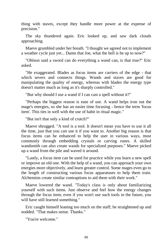thing with staves, except they handle more power at the expense of precision."

The sky thundered again. Eric looked up, and saw dark clouds approaching.

Maeve grumbled under her breath. "I thought we agreed not to implement a weather cycle just yet... Damn that Joe, what the hell is he up to now?"

"Ohlson said a sword can do everything a wand can, is that true?" Eric asked.

"He exaggerated. Blades as focus items are carriers of the edge - that which severs and connects things. Wands and staves are good for manipulating the quality of energy, whereas with blades the energy type doesn't matter much as long as it's sharply controlled."

"But why should I use a wand if I can cast a spell without it?"

"Perhaps the biggest reason is ease of use. A wand helps iron out the mage's energies, so she has an easier time focusing - hence the term 'focus item'. This ties in well with the use of habit in ritual magic."

"But isn't that only a kind of crutch?"

Maeve shrugged. "A tool is a tool. It doesn't mean you have to use it all the time, just that you *can* use it if you want to. Another big reason is that focus items can be enhanced to help the user in various ways, most commonly through embedding crystals or carving runes. A skilled wandsmith can also create wands for specialized purposes." Maeve picked up a wand from the pile and waved it around.

"Lastly, a focus item can be used for practice while you learn a new spell or improve an old one. With the help of a wand, you can approach your own energies more objectively, and learn greater control. Some mages even go to the length of constructing various focus apparatuses to help them train. Alchemists create similar contraptions to aid them with their work."

Maeve lowered the wand. "Today's class is only about familiarizing yourself with such items. Just observe and feel how the energy changes through the focus item; even if you won't use such tools in the future, you will have still learned something."

Eric caught himself leaning too much on the staff; he straightened up and nodded. "That makes sense. Thanks."

"You're welcome."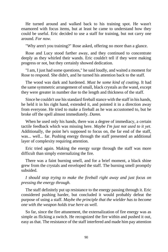He turned around and walked back to his training spot. He wasn't enamored with focus items, but at least he came to understand how they could be useful. Eric decided to use a staff for training, but not carry one around. *For now.*

"Why aren't you training?" Rose asked, offering no more than a glance.

Rose and Lucy stood farther away, and they continued to concentrate deeply as they whirled their wands. Eric couldn't tell if they were making progress or not, but they certainly showed dedication.

"I am, I just had some questions," he said loudly, and waited a moment for Rose to respond. She didn't, and he turned his attention back to the staff.

The wood was dark and hardened. *Must be some kind of coating.* It had the same symmetric arrangement of small, black crystals as the wand, except they were greater in number due to the length and thickness of the staff.

Since he couldn't use his standard fireball stance with the staff in his hands, he held it in his right hand, extended it, and pointed it in a direction away from everyone. He tried to make a fireball as he was accustomed to, but he broke off the spell almost immediately. *Damn.*

When he used only his hands, there was a degree of immediacy, a certain tactile feedback which was missing here. *Maybe I'm just not used to it yet.* Additionally, the point he's supposed to focus on, the far end of the staff, was... well... far. Pushing energy through the staff presented an additional layer of complexity requiring attention.

Eric tried again. Making the energy surge through the staff was more difficult than simply externalizing the fire.

There was a faint burning smell, and for a brief moment, a black shine grew from the crystals and enveloped the staff. The burning smell promptly subsided.

*I should stop trying to make the fireball right away and just focus on pressing the energy through.*

The staff definitely put up resistance to the energy passing through it. Eric considered pushing harder, but concluded it would probably defeat the purpose of using a staff. *Maybe the principle that the wielder has to become one with the weapon holds true here as well.*

So far, since the fire attunement, the externalization of fire energy was as simple as flicking a switch. He recognized the fire within and pushed it out, easy as that. The resistance of the staff interfered and made him pay attention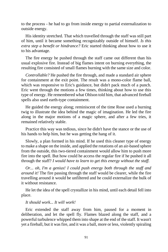to the process - he had to go from inside energy to partial externalization to outside energy.

His identity stretched. That which travelled through the staff was still part of him, until it became something recognizably outside of himself. *Is this extra step a benefit or hindrance?* Eric started thinking about how to use it to his advantage.

The fire energy he pushed through the staff came out different than his usual explosive fire. Instead of big flames intent on burning everything, the resulting fire consisted of small flames burning with the same size and color.

*Controllable?* He pushed the fire through, and made a standard air sphere for containment at the exit point. The result was a mono-color flame ball, which was responsive to Eric's guidance, but didn't pack much of a punch. Eric went through the motions a few times, thinking about how to use this type of energy. He remembered what Ohlson told him, that advanced fireball spells also used earth-type containment.

He guided the energy along; reminiscent of the time Rose used a burning twig to illustrate the idea behind the magic of imagination. He led the fire along in the major motions of a magic sphere, and after a few tries, it remained relatively stable.

Practice this way was tedious, since he didn't have the stance or the use of his hands to help him, but he was getting the hang of it.

Slowly, a plan formed in his mind. If he used this cleaner type of energy to make a shape on the inside, and applied the rotations of an air-based sphere from the outside, this two-tiered containment would allow him to push more fire into the spell. But how could he access the regular fire if he pushed it all through the staff? *I would have to learn to get this energy without the staff.*

*Or... oh, I'm a genius! I could push energy both through the staff and around it!* The fire passing through the staff would be clearer, while the fire travelling around it would be unfiltered and he could externalize the bulk of it without resistance.

He let the idea of the spell crystallize in his mind, until each detail fell into place.

### *It should work... It will work!*

Eric extended the staff away from him, paused for a moment in deliberation, and let the spell fly. Flames blazed along the staff, and a powerful turbulence whipped them into shape at the end of the staff. It wasn't yet a fireball, but it was fire, and it was a ball, more or less, violently spiraling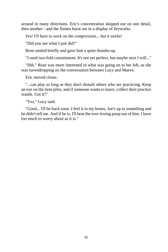around in many directions. Eric's concentration skipped out on one detail, then another - and the flames burst out in a display of fireworks.

*Yes! I'll have to work on the compression... but it works!*

"Did you see what I just did?"

Rose smiled briefly and gave him a quiet thumbs-up.

"I used two-fold containment. It's not yet perfect, but maybe next I will..."

"Shh." Rose was more interested in what was going on to her left, as she was eavesdropping on the conversation between Lucy and Maeve.

Eric moved closer.

"...can play as long as they don't disturb others who are practicing. Keep an eye on the item piles, and if someone wants to leave, collect their practice wands. Got it?"

"Yes," Lucy said.

"Good... I'll be back soon. I feel it in my bones, Joe's up to something and he didn't tell me. And if he is, I'll beat the ever-loving poop out of him. I have too much to worry about as it is."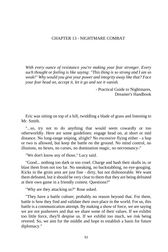## CHAPTER 13 - NIGHTMARE COMBAT

*With every ounce of resistance you're making your fear stronger. Every such thought or feeling is like saying: "This thing is so strong and I am so weak!" Why would you give your power and integrity away like that? Face your fear head on, accept it, let it go and see it vanish.*

> - Practical Guide to Nightmares, Dreamer's Handbook

Eric was sitting on top of a hill, twiddling a blade of grass and listening to Mr. Smith.

"...so, try not to do anything that would seem cowardly or too otherworldly. Here are some guidelines: engage head on, at short or mid distance. No long-range sniping, alright? No excessive flying either - a hop or two is allowed, but keep the battle on the ground. No mind control, no illusions, no hexes, no curses, no domination magic, no necromancy-"

"We don't know any of those," Lucy said.

"Good... nothing too dark or too cruel. Charge and bash their skulls in, or blast them from not too far. No sneaking, no backstabbing, no eye-gouging. Kicks in the groin area are just fine - dirty, but not dishonorable. We want them defeated, but it should be very clear to them that they are being defeated at their own game in a friendly contest. Questions?"

"Why are they attacking us?" Rose asked.

"They have a battle culture; probably no reason beyond that. For them, battle is how they find and validate their own place in the world. For us, this battle is a communication attempt. By making a show of force, we are saying we are not pushovers and that we share some of their values. If we exhibit too little force, they'll despise us. If we exhibit too much, we risk being revered. So, we aim for the middle and hope to establish a basis for future diplomacy."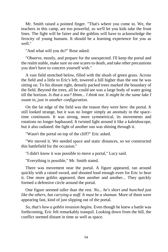Mr. Smith raised a pointed finger. "That's where you come in. We, the teachers in this camp, are too powerful, so we'll let you kids take the front lines. The fight will be fairer and the goblins will have to acknowledge the ferocity of young humans. It should be a learning experience for you as well."

"And what will you do?" Rose asked.

"Observe, mostly, and prepare for the unexpected. I'll keep the portal and the realm stable, make sure no one scares to death, and take other precautions you don't have to concern yourself with."

A vast field stretched below, filled with the shush of green grass. Across the field and a little to Eric's left, towered a hill higher than the one he was sitting on. To his distant right, densely packed trees marked the boundary of the field. Beyond the trees, all he could see was a large body of water going till the horizon. *Is that a sea? Hmm... I think not. It might be the same lake I swam in, just in another configuration.*

On the far edge of the field was the reason they were here: the portal. It still looked strange, but it was no longer simply an anomaly in the spacetime continuum. It was strong, more symmetrical, its movements and rotations no longer haphazard. It twisted light around it like a kaleidoscope, but it also radiated: the light of another sun was shining through it.

"Wasn't the portal on top of the cliff?" Eric asked.

"We moved it. We needed space and static distances, so we constructed this battlefield for the occasion."

"I didn't know it was possible to move a portal," Lucy said.

"Everything is possible," Mr. Smith stated.

There was movement near the portal. A figure appeared, ran around quickly with a raised sword, and shouted loud enough even for Eric to hear it. One more goblin appeared, then another and another... They quickly formed a defensive circle around the portal.

One figure seemed taller than the rest. *No... he's short and hunched just like the others, but carrying a staff. It must be a shaman.* More of them were appearing fast, kind of just slipping out of the portal.

*So, that's how a goblin invasion begins.* Even though he knew a battle was forthcoming, Eric felt remarkably tranquil. Looking down from the hill, the conflict seemed distant in time as well as space.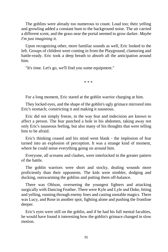The goblins were already too numerous to count. Loud too; their yelling and growling added a constant hum to the background noise. The air carried a different scent, and the grass near the portal seemed to grow darker. *Maybe I'm just imagining it.*

Upon recognizing other, more familiar sounds as well, Eric looked to the left. Groups of children were coming in from the Playground, clamoring and battle-ready. Eric took a deep breath to absorb all the anticipation around him.

"It's time. Let's go, we'll find you some equipment."

\* \* \*

For a long moment, Eric stared at the goblin warrior charging at him.

They locked eyes, and the shape of the goblin's ugly grimace mirrored into Eric's stomach; constricting it and making it nauseous.

Eric did not simply freeze, in the way fear and indecision are known to affect a person. The fear punched a hole in his abdomen, taking away not only Eric's nauseous feeling, but also many of his thoughts that were telling him to be afraid.

Eric's thinking ceased and his mind went blank - the implosion of fear turned into an explosion of perception. It was a strange kind of moment, where he could sense everything going on around him.

Everyone, all screams and clashes, were interlocked in the greater pattern of the battle.

The goblin warriors were short and stocky, dealing wounds more proficiently than their opponents. The kids were nimbler, dodging and ducking, outswarming the goblins and putting them off-balance.

There was Ohlson, overseeing the youngest fighters and attacking surgically with Dancing Feather. There were Kyle and Lyle and Duke, biting and yelling, running through enemy lines and casting unstable magics. There was Lucy, and Rose in another spot, fighting alone and pushing the frontline deeper.

Eric's eyes were still on the goblin, and if he had his full mental faculties, he would have found it interesting how the goblin's grimace changed in slow motion.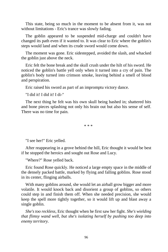This state, being so much in the moment to be absent from it, was not without limitations - Eric's trance was slowly fading.

The goblin appeared to be suspended mid-charge and couldn't have changed its path even if it wanted to. It was clear to Eric where the goblin's steps would land and when its crude sword would come down.

The moment was gone. Eric sidestepped, avoided the slash, and whacked the goblin just above the neck.

Eric felt the bone break and the skull crush under the hilt of his sword. He noticed the goblin's battle yell only when it turned into a cry of pain. The goblin's body turned into crimson smoke, leaving behind a smell of blood and perspiration.

Eric raised his sword as part of an impromptu victory dance.

"I did it! I did it! I di-"

The next thing he felt was his own skull being bashed in; shattered bits and bone pieces splashing not only his brain out but also his sense of self. There was no time for pain.

\* \* \*

"I see her!" Eric yelled.

After reappearing in a grove behind the hill, Eric thought it would be best if he stopped the heroics and sought out Rose and Lucy.

"Where?" Rose yelled back.

Eric found Rose quickly. He noticed a large empty space in the middle of the densely packed battle, marked by flying and falling goblins. Rose stood in its center, flinging airballs.

With many goblins around, she would let an airball grow bigger and more volatile. It would knock back and disorient a group of goblins, so others could step in and finish them off. When she needed precision, she would keep the spell more tightly together, so it would lift up and blast away a single goblin.

*She's too reckless,* Eric thought when he first saw her fight. *She's wielding that flimsy wand well, but she's isolating herself by pushing too deep into enemy territory.*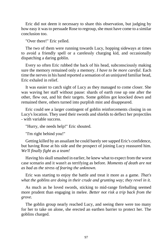Eric did not deem it necessary to share this observation, but judging by how easy it was to persuade Rose to regroup, she must have come to a similar conclusion too.

"Over there!" Eric yelled.

The two of them were running towards Lucy, hopping sideways at times to avoid a friendly spell or a carelessly charging kid, and occasionally dispatching a daring goblin.

Every so often Eric rubbed the back of his head, subconsciously making sure the memory remained only a memory. *I have to be more careful.* Each time the nerves in his hand reported a sensation of an uninjured familiar head, Eric exhaled in relief.

It was easier to catch sight of Lucy as they managed to come closer. She was waving her staff without pause: shards of earth rose up one after the other, flew out, and hit their targets. Some goblins got knocked down and remained there, others turned into purplish mist and disappeared.

Eric could see a larger contingent of goblin reinforcements closing in on Lucy's location. They used their swords and shields to deflect her projectiles - with variable success.

"Hurry, she needs help!" Eric shouted.

"I'm right behind you!"

Getting killed by an assailant he could barely see sapped Eric's confidence, but having Rose at his side and the prospect of joining Lucy reassured him. *We'll finally fight as a team!*

Having his skull smashed in earlier, he knew what to expect from the worst case scenario and it wasn't as terrifying as before. *Moments of death are not as bad as the stress of fearing the unknown.*

Eric was starting to enjoy the battle and treat it more as a game. *That's what the goblins are doing in their crude and grunting way; they revel in it.*

As much as he loved swords, sticking to mid-range fireballing seemed more prudent than engaging in melee. *Better not risk a trip back from the grove.*

The goblin group nearly reached Lucy, and seeing there were too many for her to take on alone, she erected an earthen barrier to protect her. The goblins charged.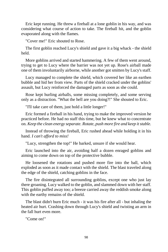Eric kept running. He threw a fireball at a lone goblin in his way, and was considering what course of action to take. The fireball hit, and the goblin evaporated along with the flames.

"Cover me!" Eric shouted to Rose.

The first goblin reached Lucy's shield and gave it a big whack - the shield held.

More goblins arrived and started hammering. A few of them went around, trying to get to Lucy where the barrier was not yet up. Rose's airball made one of them involuntarily airborne, while another got smitten by Lucy's staff.

Lucy managed to complete the shield, which covered her like an earthen bubble and hid her from view. Parts of the shield cracked under the goblins' assault, but Lucy reinforced the damaged parts as soon as she could.

Rose kept hurling airballs, some missing completely, and some serving only as a distraction. "What the hell are you doing?!" She shouted to Eric.

"I'll take care of them, just hold a little longer!"

Eric formed a fireball in his hand, trying to make the improved version he practiced before. He had no staff this time, but he knew what to concentrate on. *Keep the clean energy separate. Rotate, push more fire and keep it stable.*

Instead of throwing the fireball, Eric rushed ahead while holding it in his hand. *I can't afford to miss!*

"Lucy, strengthen the top!" He barked, unsure if she would hear.

Eric launched into the air, avoiding half a dozen enraged goblins and aiming to come down on top of the protective bubble.

He loosened the rotations and pushed more fire into the ball, which exploded as soon as it made contact with the shield. The blast traveled along the edge of the shield, catching goblins in the face.

The fire disintegrated all surrounding goblins, except one who just lay there groaning. Lucy walked to the goblin, and slammed down with her staff. This goblin puffed away too; a breeze carried away the reddish smoke along with the earthy remains of the shield.

The blast didn't burn Eric much - it was his fire after all - but inhaling the heated air hurt. Crashing down through Lucy's shield and twisting an arm in the fall hurt even more.

"Come on!"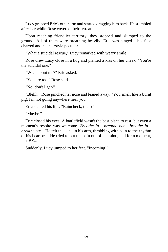Lucy grabbed Eric's other arm and started dragging him back. He stumbled after her while Rose covered their retreat.

Upon reaching friendlier territory, they stopped and slumped to the ground. All of them were breathing heavily. Eric was singed - his face charred and his hairstyle peculiar.

"What a suicidal rescue," Lucy remarked with weary smile.

Rose drew Lucy close in a hug and planted a kiss on her cheek. "You're the suicidal one."

"What about me?" Eric asked.

"You are too," Rose said.

"No, don't I get-"

"Blehh," Rose pinched her nose and leaned away. "You smell like a burnt pig; I'm not going anywhere near you."

Eric slanted his lips. "Raincheck, then?"

"Maybe."

Eric closed his eyes. A battlefield wasn't the best place to rest, but even a moment's respite was welcome. *Breathe in... breathe out... breathe in... breathe out...* He felt the ache in his arm, throbbing with pain to the rhythm of his heartbeat. He tried to put the pain out of his mind, and for a moment, just BE...

Suddenly, Lucy jumped to her feet. "Incoming!"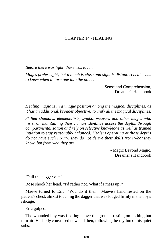# CHAPTER 14 - HEALING

*Before there was light, there was touch.*

*Mages prefer sight; but a touch is close and sight is distant. A healer has to know when to turn one into the other.*

> - Sense and Comprehension, Dreamer's Handbook

*Healing magic is in a unique position among the magical disciplines, as it has an additional, broader objective: to unify all the magical disciplines.*

*Skilled shamans, elementalists, symbol-weavers and other mages who insist on maintaining their human identities access the depths through compartmentalization and rely on selective knowledge as well as trained intuition to stay reasonably balanced. Healers operating at those depths do not have such luxury: they do not derive their skills from what they know, but from who they are.*

> - Magic Beyond Magic, Dreamer's Handbook

"Pull the dagger out."

Rose shook her head. "I'd rather not. What if I mess up?"

Maeve turned to Eric. "You do it then." Maeve's hand rested on the patient's chest, almost touching the dagger that was lodged firmly in the boy's ribcage.

Eric gulped.

The wounded boy was floating above the ground, resting on nothing but thin air. His body convulsed now and then, following the rhythm of his quiet sobs.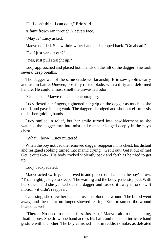"I... I don't think I can do it," Eric said.

A faint frown ran through Maeve's face.

"May I?" Lucy asked.

Maeve nodded. She withdrew her hand and stepped back. "Go ahead."

"Do I just yank it out?"

"Yes, just pull straight up."

Lucy approached and placed both hands on the hilt of the dagger. She took several deep breaths.

The dagger was of the same crude workmanship Eric saw goblins carry and use in battle. Uneven, possibly rusted blade, with a dirty and deformed handle. He could almost smell the unwashed odor.

"Go ahead," Maeve repeated, encouraging.

Lucy flexed her fingers, tightened her grip on the dagger as much as she could, and gave it a big yank. The dagger dislodged and shot out effortlessly under her guiding hands.

Lucy smiled in relief, but her smile turned into bewilderment as she watched the dagger turn into mist and reappear lodged deeply in the boy's chest.

"What... how-" Lucy muttered.

When the boy noticed the removed dagger reappear in his chest, his distant and resigned sobbing turned into manic crying. "Get it out! Get it out of me! Get it out! Get-" His body rocked violently back and forth as he tried to get up.

Lucy backpedaled.

Maeve acted swiftly: she moved in and placed one hand on the boy's brow. "That's right, just go to sleep." The wailing and the body-jerks stopped. With her other hand she yanked out the dagger and tossed it away in one swift motion - it didn't reappear.

Caressing, she drew her hand across the bloodied wound. The blood went away, and the t-shirt no longer showed tearing; Eric presumed the wound healed as well.

"There... No need to make a fuss. Just rest," Maeve said to the sleeping, floating boy. She drew one hand across his hair, and made an intricate hand gesture with the other. The boy vanished - not in reddish smoke, as defeated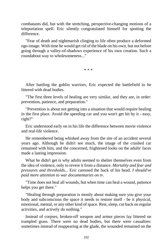combatants did, but with the stretching, perspective-changing motions of a teleportation spell. Eric silently congratulated himself for spotting the difference.

"Fear of death and nightmarish clinging to life often produce a deformed ego-image. With time he would get rid of the blade on his own, but not before going through a valley-of-shadows experience of his own creation. Such a roundabout way to wholesomeness..."

\* \* \*

After battling the goblin warriors, Eric expected the battlefield to be littered with dead bodies.

"The first three levels of healing are very similar, and they are, in order: prevention, patience, and preparation."

"Prevention is about not getting into a situation that would require healing in the first place. Avoid the speeding car and you won't get hit by it - easy, right?"

Eric understood early on in his life the difference between movie violence and real-life violence.

He remembered being whisked away from the site of an accident several years ago. Although he didn't see much, the image of the crushed car remained with him, and the concerned, frightened looks on the adults' faces made a lasting impression.

What he didn't get is why adults seemed to shelter themselves even from the idea of violence, only to revere it from a distance. *Mortality and fear and pressures and thresholds...* Eric caressed the back of his head. *I should've paid more attention to war documentaries on tv.*

"Time does not heal all wounds, but when time can heal a wound, patience helps you get there."

"Healing through preparation is mostly about making sure you give your body and subconscious the space it needs to restore itself - be it physical, emotional, mental, or any other kind of space. Rest, sleep, cut back on regular activities, and actively do nothing."

Instead of corpses, broken-off weapon and armor pieces lay littered on trampled grass. There were no dead bodies, but there were casualties: sometimes instead of reappearing at the glade, the wounded remained on the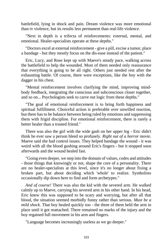battlefield, lying in shock and pain. Dream violence was more emotional than tv violence, but its results less permanent than real-life violence.

"Next in depth is a trifecta of reinforcements: external, mental, and emotional. Healer-specialists operate at these depths."

"Doctors excel at external reinforcement - give a pill, excise a tumor, place a bandage - but they mostly focus on the dis-ease instead of the patient."

Eric, Lucy, and Rose kept up with Maeve's steady pace, walking across the battlefield to help the wounded. Most of them needed only reassurance that everything is going to be all right. Others just needed rest after the exhausting battle. Of course, there were exceptions, like the boy with the dagger in his chest.

"Mental reinforcement involves clarifying the mind, improving mindbody feedback, integrating the conscious and subconscious closer together, and so on... Psychologists seek to carve out logic from these depths."

"The goal of emotional reinforcement is to bring forth happiness and spiritual fulfillment. Choiceful action is preferable over unwilled reaction, but there has to be balance between being ruled by emotions and suppressing them with frigid discipline. For emotional reinforcement, there is rarely a better healer than a trusted friend."

There was also the girl with the wide gash on her upper leg - Eric didn't think he ever saw a person bleed so profusely. *Right out of a horror movie.* Maeve said she had control issues. They helped bandage the wound - it was weird with all the blood gushing around Eric's fingers - but it stopped soon afterwards and the wound healed fast.

"Going even deeper, we step into the domain of values, codes and attitudes - those things that knowingly or not, shape the core of a personality. There are no healer-specialists at this level, since it's no longer about fixing a broken part, but about deciding which 'whole' to realize. Symbolists occasionally dip down here to find and form archetypes."

*And of course!* There was also the kid with the severed arm. He walked calmly up to Maeve, carrying his severed arm in his other hand. In his head, Eric knew this was supposed to be scary and worrying, but after all that blood, the situation seemed morbidly funny rather than serious. *Must be a mild shock.* That boy healed quickly too - the three of them held the arm in place until it got reattached. There remained no marks of the injury and the boy regained full movement in his arm and fingers.

"Language becomes increasingly useless as we go deeper."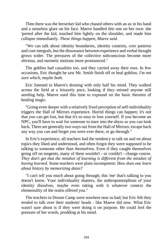Then there was the berserker kid who chased others with an ax in his hand and a senseless glare on his face. Maeve handled this one on her own: she 'ported after the kid, touched him lightly on the shoulder, and made him collapse immediately. *These things happen, Maeve said.*

"We can talk about identity boundaries, identity contexts, core patterns and core integrals, but the dissonance between experience and verbal thought grows wider. The pressures of the collective subconscious become more obvious, and memetic motions more pronounced."

The goblins had casualties too, and they carried away their own. In few occasions, Eric thought he saw Mr. Smith finish off or heal goblins. *I'm not sure which, maybe both.*

Eric listened to Maeve's droning with only half his mind. They walked across the field at a leisurely pace, looking if they missed anyone still needing help. Maeve used this time to expound on the basic theories of healing magic.

"Going even deeper with a relatively fixed perception of self-individuality triggers the Hall of Mirrors experience. Horrid things can happen; it's not that you can get lost, but that it's so easy to lose yourself. If you become an NPC, you'll have to wait for someone to stare into the abyss so you can look back. There are generally two ways out from the Hall of Mirrors: escape back any way you can and forget you were ever there, or go through."

In Eric's experience, all teachers had the tendency to talk on and on about topics they liked and understood, and often forgot they were supposed to be talking to someone other than themselves. Even if they caught themselves going off on tangents, many of them wouldn't - or couldn't - change course. *They don't get that the mindset of learning is different from the mindset of having learned.* Some teachers were plain incompetent: *How does one learn about history by memorizing dates?*

"I can't tell you much about going through; this 'me' that's talking to you doesn't know. Your individuality shatters, the anthropomorphism of your identity dissolves, maybe even taking with it whatever context the elementality of the realm offered you."

The teachers in Dream Camp were nowhere near as bad, but Eric felt they tended to talk over their students' heads - like Maeve did now. What Eric wasn't sure about is if they were doing it on purpose. He could feel the pressure of her words, prodding at his mind.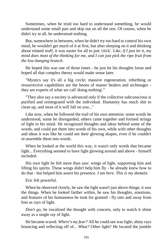Sometimes, when he tried too hard to understand something, he would understand some small part and skip out on all the rest. Of course, when he didn't try at all, he understood nothing.

But, somewhere in between, when he didn't try too hard to control his own mind, he wouldn't get much of it at first, but after sleeping on it and thinking about related stuff, it was easier for all to just 'click'. *Like, if I just let it, my mind does most of the thinking for me, and I can just pick the ripe fruit from the low-hanging branch.*

He hoped this was one of those times - he just let his thoughts loose and hoped all that complex theory would make sense later.

"Mystics say it's all a big circle; massive regeneration, rebirthing or ressurrective capabilities are the boons of master healers and archmages they are experts of what we call 'doing nothing'."

"They also say a society is advanced only if the collective subconscious is purified and reintegrated with the individual. Humanity has much shit to clean up, and most of it will fall on you..."

Like now, when he followed the trail of his own attention: some words he understood, some he disregarded, others came together and formed strings of light in his mind. He recognized thoughts and ideas behind some of the words, and could put them into words of his own, while with other thoughts and ideas it was like he could see their glowing shapes, even if he couldn't re-assemble them into words.

When he looked at the world this way, it wasn't only words that became light... Everything seemed to have light glowing around and above - himself included.

His own light he felt more than saw: wings of light, supporting him and lifting his spirits. These wings didn't help him fly - he already knew how to do that - but helped him assert his presence. *I am here. This is my domain.*

Eric felt powerful.

When he observed closely, he saw the light wasn't just above things; it *was* the things. When he looked farther within, he saw his thoughts, emotions, and features of his humanness he took for granted - fly into and away from him as rays of light.

*Don't go*, he vocalized the thought with concern, only to watch it shine away as a single ray of light.

He became scared. *Where's my fear?* All he could see was light; shiny rays bouncing and reflecting off of... *What?* Other light? He located the jumble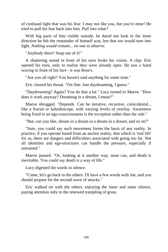of confused light that was his fear. *I may not like you, but you're mine!* He tried to pull his fear back into him. *Pull into what?*

With big parts of him visible outside, he dared not look in the inner direction he felt the remainder of himself was, lest that too would turn into light. *Nothing would remain... no one to observe.*

"Anybody there? Snap out of it!"

A shattering sound in front of his eyes broke his vision. *A clap.* Eric opened his eyes, only to realize they were already open. He saw a hand waving in front of his face - it was Rose's.

"Are you all right? You haven't said anything for some time."

Eric cleared his throat. "I'm fine. Just daydreaming, I guess."

"Daydreaming? Again? You do that a lot." Lucy turned to Maeve. "How does it work anyway? Dreaming in a dream, I mean?"

Maeve shrugged. "Depends. Can be iterative, recursive, coincidental... like a fractal or kaleidoscope, with varying levels of overlay. Awareness being fixed to an ego-consciousness is the exception rather than the rule."

"But, can you like, dream in a dream in a dream in a dream, and so on?"

"Sure, you could say such movement forms the basis of any reality. In practice, if you operate based from an anchor reality, that which is 'real life' for us, there are dangers and difficulties associated with going too far. Not all identities and ego-structures can handle the pressure, especially if untrained."

Maeve paused. "Or, looking at it another way, none can, and death is inevitable. You could say death is a way of life."

Lucy digested the words in silence.

"Come, let's go back to the others. I'll have a few words with Joe, and you should prepare for the second wave of attacks."

Eric walked on with the others, enjoying the inner and outer silence, paying attention only to the renewed trampling of grass.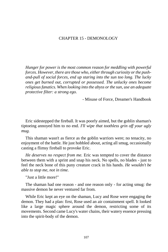# CHAPTER 15 - DEMONOLOGY

*Hunger for power is the most common reason for meddling with powerful forces. However, there are those who, either through curiosity or the pushand-pull of social forces, end up staring into the sun too long. The lucky ones get burned out, corrupted or possessed. The unlucky ones become religious fanatics. When looking into the abyss or the sun, use an adequate protective filter: a strong ego.*

- Misuse of Force, Dreamer's Handbook

Eric sidestepped the fireball. It was poorly aimed, but the goblin shaman's tiptoeing annoyed him to no end. *I'll wipe that toothless grin off your ugly mug.*

This shaman wasn't as fierce as the goblin warriors were; no tenacity, no enjoyment of the battle. He just hobbled about, acting all smug, occasionally casting a flimsy fireball to provoke Eric.

*He deserves no respect from me.* Eric was tempted to cover the distance between them with a sprint and snap his neck. No spells, no blades - just to feel the neck bone of this puny creature crack in his hands. *He wouldn't be able to stop me, not in time.*

"Just a little more!"

The shaman had one reason - and one reason only - for acting smug: the massive demon he never ventured far from.

While Eric kept an eye on the shaman, Lucy and Rose were engaging the demon. They had a plan: first, Rose used an air containment spell. It looked like a large magic sphere around the demon, restricting some of its movements. Second came Lucy's water chains, their watery essence pressing into the spirit-body of the demon.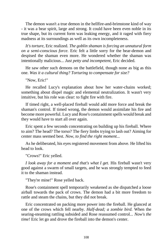The demon wasn't a true demon in the hellfire-and-brimstone kind of way - it was a bear spirit, large and strong. It could have been even noble in its true shape, but its current form was leaking energy, and it raged with fiery madness at its surroundings as well as its own incompleteness.

*It's torture*, Eric realized. *The goblin shaman is forcing an unnatural form on a semi-conscious force.* Eric felt a little sorry for the bear-demon and despised the shaman even more. He wondered whether the shaman was intentionally malicious... *Just petty and incompetent,* Eric decided*.*

He saw other such demons on the battlefield, though none as big as this one. *Was it a cultural thing? Torturing to compensate for size?*

"Now, Eric!"

He recalled Lucy's explanation about how her water-chains worked; something about dispel magic and elemental neutralization. It wasn't very intuitive, but his role was clear: to fight fire with fire.

If timed right, a well-placed fireball would add more force and break the shaman's control. If timed wrong, the demon would assimilate his fire and become more powerful. Lucy and Rose's containment spells would break and they would have to start all over again.

Eric spent a few seconds concentrating on building up his fireball. Where to aim? The head? The torso? The fiery limbs trying to lash out? Aiming for center mass seemed best. *Now, to find the right moment...*

As he deliberated, his eyes registered movement from above. He lifted his head to look.

"Crows!" Eric yelled.

*I look away for a moment and that's what I get. His fireball wasn't very* good against a swarm of small targets, and he was strongly tempted to feed it to the shaman instead.

"They're mine!" Rose yelled back.

Rose's containment spell temporarily weakened as she dispatched a loose airball towards the pack of crows. The demon had a bit more freedom to rattle and steam the chains, but they did not break.

Eric concentrated on packing more power into the fireball. He glanced at one of the crows which fell nearby. *Half-dead; a zombie bird.* When the searing-steaming rattling subsided and Rose reassumed control... *Now's the time!* Eric let go and drove the fireball into the demon's center.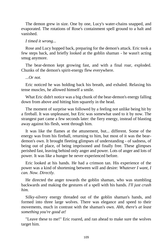The demon grew in size. One by one, Lucy's water-chains snapped, and evaporated. The rotations of Rose's containment spell ground to a halt and vanished.

#### *I timed it wrong...*

Rose and Lucy hopped back, preparing for the demon's attack. Eric took a few steps back, and briefly looked at the goblin shaman - he wasn't acting smug anymore.

The bear-demon kept growing fast, and with a final roar, exploded. Chunks of the demon's spirit-energy flew everywhere.

# *...Or not.*

Eric noticed he was holding back his breath, and exhaled. Relaxing his tense muscles, he allowed himself a smile.

What Eric didn't notice was a big chunk of the bear-demon's energy falling down from above and hitting him squarely in the head.

The moment of surprise was followed by a feeling not unlike being hit by a fireball. It was unpleasant, but Eric was somewhat used to it by now. The strangest part came a few seconds later: the fiery energy, instead of blasting away against his flesh, went through him.

It was like the flames at the attunement, but... different. Some of the energy was from his fireball, returning to him, but most of it was the beardemon's own. It brought fleeting glimpses of understanding - of sadness, of being out of place, of being imprisoned and finally free. These glimpses perished fast, leaving behind only anger and power. Lots of anger and lots of power. It was like a hunger he never experienced before.

Eric looked at his hands. He had a crimson tan. His experience of the power was a kind of shortening between will and desire: *Whatever I want, I can. Now. Directly.*

He directed the anger towards the goblin shaman, who was stumbling backwards and making the gestures of a spell with his hands. *I'll just crush him.*

Silky-silvery energy threaded out of the goblin shaman's hands, and formed into three large wolves. There was elegance and speed to their movements, much in contrast with the shaman's own. *Ahh, there's at least something you're good at!*

"Leave these to me!" Eric roared, and ran ahead to make sure the wolves target him.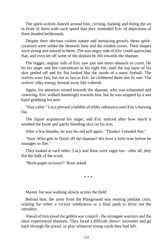The spirit-wolves danced around him, circling, barking and biting the air in front of them with such speed that they reminded Eric of depictions of three-headed hellhounds.

Despite their obvious violent nature and menacing growls, these spiritcreatures were unlike the demonic bear and the zombie crows. Their shapes were strong and natural to them. The non-angry side of Eric could appreciate that, and even let off some of the disdain he felt towards the shaman.

The bigger, angrier side of Eric saw just one more obstacle to crush. He let his anger and fire concentrate in his right fist, until the top layer of his skin peeled off and his fist looked like the inside of a nasty fireball. The wolves were fast, but not as fast as Eric: he clobbered them one by one. The wolves' silky energy burned away like cobweb.

Again, his attention turned towards the shaman, who was exhausted and cowering. Eric walked dauntingly towards him, but he was stopped by a wet hand grabbing his arm.

"Stay calm." Lucy pressed a bubble of milky substance onto Eric's burning fist.

The liquid acquiesced his anger, and Eric noticed after how much it soothed the burnt and partly bleeding skin on his arm.

After a few breaths, he was his old self again. "Thanks! I needed that."

"Sure. Who gets to finish off the shaman? We have a little time before he manages to flee."

They looked at each other. Lucy and Rose were eager too - after all, they did the bulk of the work.

"Rock-paper-scissors?" Rose asked.

\* \* \*

Master Joe was walking slowly across the field.

Behind him, the army from the Playground was venting jubilant cries; waiting for either a victory celebration or a final push to drive out the intruders.

Ahead of him stood the goblin war council - the strongest warriors and the most experienced shamans. They faced a difficult choice: surrender and go back through the portal, or play whatever trump cards they had left.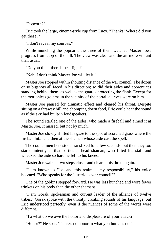"Popcorn?"

Eric took the large, cinema-style cup from Lucy. "Thanks! Where did you get these?"

"I don't reveal my sources."

While munching the popcorn, the three of them watched Master Joe's progress from atop of the hill. The view was clear and the air more vibrant than usual.

"Do you think there'll be a fight?"

"Nah, I don't think Master Joe will let it."

Master Joe stopped within shouting distance of the war council. The dozen or so bigshots all faced in his direction; so did their aides and apprentices standing behind them, as well as the guards protecting the flank. Except for the motionless golems in the vicinity of the portal, all eyes were on him.

Master Joe paused for dramatic effect and cleared his throat. Despite sitting on a faraway hill and chomping down food, Eric could hear the sound as if the sky had built-in loudspeakers.

The sound startled one of the aides, who made a fireball and aimed it at Master Joe. It missed, but not by much.

Master Joe slowly shifted his gaze to the spot of scorched grass where the fireball hit... and then at the shaman whose aide cast the spell.

The councilmembers stood transfixed for a few seconds, but then they too stared intently at that particular head shaman, who lifted his staff and whacked the aide so hard he fell to his knees.

Master Joe walked two steps closer and cleared his throat again.

"I am known as 'Joe' and this realm is my responsibility," his voice boomed. "Who speaks for the illustrious war council?"

One of the goblins stepped forward. He was less hunched and wore fewer trinkets on his body than the other shamans.

"I am Gorak, spokesman and current leader of the alliance of twelve tribes." Gorak spoke with the throaty, croaking sounds of his language, but Eric understood perfectly, even if the nuances of some of the words were different.

"To what do we owe the honor and displeasure of your attack?"

"Honor?" He spat. "There's no honor in what you humans do."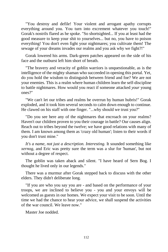"You destroy and defile! Your violent and arrogant apathy corrupts everything around you. You turn into excrement whatever you touch!" Gorak's nostrils flared as he spoke. "So shortsighted... If you at least had the good measure to keep your shit to yourselves... but no, you have to poison everything! You don't even fight your nightmares; you cultivate them! The sewage of your dreams invades our realms and you ask why we fight?!"

Gorak lowered his arms. Dark-green patches appeared on the side of his face and the outburst left him short of breath.

"The bravery and veracity of goblin warriors is unquestionable, as is the intelligence of the mighty shaman who succeeded in opening this portal. Yet, do you hold the wisdom to distinguish between friend and foe? We are not your enemies. This is a realm where human children learn the self-discipline to battle nightmares. How would you react if someone attacked *your* young ones?"

"We can't let our tribes and realms be overrun by human hubris!" Gorak exploded, and it took him several seconds to calm down enough to continue. He clawed on his staff with one finger. "...why should we trust you?"

"Do you see here any of the nightmares that encroach on your realms? Haven't our children proven to you their courage in battle? Our causes align. Reach out to tribes beyond the twelve; we have good relations with many of them. I am known among them as 'crazy old human'; listen to their words if you don't trust mine."

*It's a name, not just a description. Interesting.* It sounded something like *xernog*, and Eric was pretty sure the term was a slur for 'human', but not without a degree of respect.

The goblin was taken aback and silent. "I have heard of Sern Bog. I thought he lived only in our legends."

There was a murmur after Gorak stepped back to discuss with the other elders. They didn't deliberate long.

"If you are who you say you are - and based on the performance of your troops, we are inclined to believe you - you and your envoys will be welcomed as guests in our homes. We expect your visit to be soon. Until the time we had the chance to hear your advice, we shall suspend the activities of the war council. We leave now."

Master Joe nodded.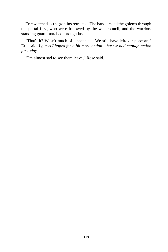Eric watched as the goblins retreated. The handlers led the golems through the portal first, who were followed by the war council, and the warriors standing guard marched through last.

"That's it? Wasn't much of a spectacle. We still have leftover popcorn," Eric said. *I guess I hoped for a bit more action... but we had enough action for today.*

"I'm almost sad to see them leave," Rose said.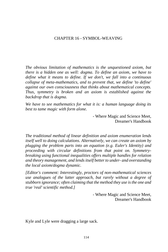# CHAPTER 16 - SYMBOL-WEAVING

*The obvious limitation of mathematics is the unquestioned axiom, but there is a hidden one as well: dogma. To define an axiom, we have to define what it means to define. If we don't, we fall into a continuous collapse of meta-mathematics, and to prevent that, we define 'to define' against our own consciousness that thinks about mathematical concepts. Thus, symmetry is broken and an axiom is established against the backdrop that is dogma.*

*We have to see mathematics for what it is: a human language doing its best to tame magic with form alone.*

> - Where Magic and Science Meet, Dreamer's Handbook

*The traditional method of linear definition and axiom enumeration lends itself well to doing calculations. Alternatively, we can create an axiom by plugging the problem parts into an equation (e.g. Euler's Identity) and proceeding with circular definitions from that point on. Symmetrybreaking using functional inequalities offers multiple handles for relation and theory management, and lends itself better to under- and overstanding the local axiom/dogma dynamic.*

*[Editor's comment: Interestingly, proctors of non-mathematical sciences use analogues of the latter approach, but rarely without a degree of stubborn ignorance; often claiming that the method they use is the one and true 'real' scientific method.]*

> - Where Magic and Science Meet, Dreamer's Handbook

Kyle and Lyle were dragging a large sack.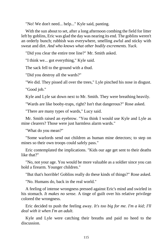"No! We don't need... help..." Kyle said, panting.

With the sun about to set, after a long afternoon combing the field for litter left by goblins, Eric was glad the day was nearing its end. The goblins weren't an orderly bunch; rubbish was everywhere, smelling awful and sticky with sweat and dirt. *And who knows what other bodily excrements. Yuck.*

"Did you clear the entire tree line?" Mr. Smith asked.

"I think we... got everything," Kyle said.

The sack fell to the ground with a thud.

"Did you destroy all the wards?"

"We did. They pissed all over the trees," Lyle pinched his nose in disgust. "Good job."

Kyle and Lyle sat down next to Mr. Smith. They were breathing heavily.

"Wards are like booby-traps, right? Isn't that dangerous?" Rose asked.

"There are many types of wards," Lucy said.

Mr. Smith raised an eyebrow. "You think I would use Kyle and Lyle as mine clearers? Those were just harmless alarm wards."

"What do you mean?"

"Some warlords send out children as human mine detectors; to step on mines so their own troops could safely pass."

Eric contemplated the implications. "Kids our age get sent to their deaths like that?"

"No, not your age. You would be more valuable as a soldier since you can hold a firearm. Younger children."

"But that's horrible! Goblins really do these kinds of things?" Rose asked.

"No. Humans do, back in the real world."

A feeling of intense wrongness pressed against Eric's mind and swirled in his stomach. *It makes no sense.* A tinge of guilt over his relative privilege colored the wrongness.

Eric decided to push the feeling away. *It's too big for me. I'm a kid; I'll deal with it when I'm an adult.*

Kyle and Lyle were catching their breaths and paid no heed to the discussion.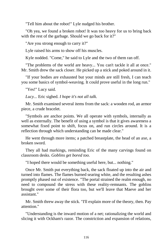"Tell him about the robot!" Lyle nudged his brother.

"Oh yea, we found a broken robot! It was too heavy for us to bring back with the rest of the garbage. Should we go back for it?"

"Are you strong enough to carry it?"

Lyle raised his arms to show off his muscles.

Kyle nodded. "Come," he said to Lyle and the two of them ran off.

"The problems of the world are heavy... You can't tackle it all at once." Mr. Smith drew the sack closer. He picked up a stick and poked around in it.

"If your bodies are exhausted but your minds are still fresh, I can teach you some basics of symbol-weaving. It could prove useful in the long run."

"Yes!" Lucy said.

*Lucy...* Eric sighed. *I hope it's not all talk.*

Mr. Smith examined several items from the sack: a wooden rod, an armor piece, a crude bracelet.

"Symbols are anchor points. We all operate with symbols, internally as well as externally. The benefit of using a symbol is that it gives awareness a somewhat fixed point to shift, focus on, and run circles around. It is a reflection through which understanding can be made clear."

He went through more items; a patched breastplate, the head of an axe, a broken sword.

They all had markings, reminding Eric of the many carvings found on classroom desks. *Goblins get bored too.*

"I hoped there would be something useful here, but... nothing."

Once Mr. Smith put everything back, the sack floated up into the air and turned into flames. The flames burned searing white, and the resulting ashes promptly phased out of existence. "The portal strained the realm enough, no need to compound the stress with these reality-remnants. The goblins brought over some of their flora too, but we'll leave that Maeve and her assistant."

Mr. Smith threw away the stick. "I'll explain more of the theory, then. Pay attention."

"Understanding is the inward motion of a net; rationalizing the world and slicing it with Ockham's razor. The constriction and expansion of relations,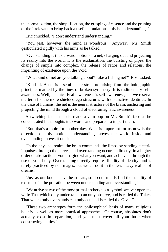the normalization, the simplification, the grasping of essence and the pruning of the irrelevant to bring back a useful simulation - this is 'understanding'."

Eric chuckled. "I don't understand understanding."

"You jest, however, the mind is wondrous... Anyway," Mr. Smith gesticulated rigidly with his arms as he talked.

"Overstanding is the outward motion of a net; charging out and projecting its reality into the world. It is the exclamation, the bursting of pipes, the change of simple into complex, the release of ratios and relations, the imprinting of existence upon the Void."

"What kind of net are you talking about? Like a fishing net?" Rose asked.

"Kind of. A net is a semi-stable structure arising from the holographic principle, marked by the lines of broken symmetry. It is rudimentary selfawareness. Well, technically all awareness is self-awareness, but we reserve the term for the more shielded ego-structures with distinctive identities. In the case of humans, the net is the neural structure of the brain, anchoring and projecting the mind through a cloud of electromagnetic awareness."

A twitching facial muscle made a vein pop on Mr. Smith's face as he concentrated his thoughts into words and prepared to impart them.

"But, that's a topic for another day. What is important for us now is the direction of this motion: understanding moves the world inside and overstanding moves it outside."

"In the physical realm, the brain commands the limbs by sending electric impulses through the nerves, and overstanding occurs indirectly, in a higher order of abstraction - you imagine what you want, and achieve it through the use of your body. Overstanding directly requires fluidity of identity, and is rarely practiced by non-mages, but we all do it in the less heavy realms of dreams."

"Just as our bodies have heartbeats, so do our minds find the stability of existence in the pulsation between understanding and overstanding."

"We arrive at two of the most primal archetypes a symbol-weaver operates with: That which only understands can only observe, and is called the Taker. That which only overstands can only act, and is called the Giver."

"These two archetypes form the philosophical basis of many religious beliefs as well as more practical approaches. Of course, absolutes don't actually exist in separation, and you must cover all your base when constructing deities."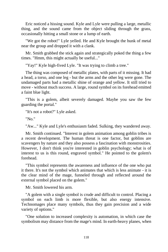Eric noticed a hissing sound. Kyle and Lyle were pulling a large, metallic thing, and the sound came from the object sliding through the grass, occasionally hitting a small stone or a lump of earth.

"We got the robot!" Lyle yelled. He and Kyle brought the hunk of metal near the group and dropped it with a clank.

Mr. Smith grabbed the stick again and strategically poked the thing a few times. "Hmm, this might actually be useful..."

"Yay!" Kyle high-fived Lyle. "It was trying to climb a tree."

The thing was composed of metallic plates, with parts of it missing. It had a head, a torso, and one leg - but the arms and the other leg were gone. The undamaged parts had a metallic shine of orange and yellow. It still tried to move - without much success. A large, round symbol on its forehead emitted a faint blue light.

"This is a golem, albeit severely damaged. Maybe you saw the few guarding the portal."

"It's not a robot?" Lyle asked.

"No."

"Aw..." Kyle and Lyle's enthusiasm faded. Sulking, they wandered away.

Mr. Smith continued. "Interest in golem animation among goblin tribes is a recent development. The human threat is one factor, but goblins are scavengers by nature and they also possess a fascination with monstrosities. However, I don't think you're interested in goblin psychology; what is of interest to us is this round, engraved symbol." He pointed to the golem's forehead.

"This symbol represents the awareness and influence of the one who put it there. It's not the symbol which animates that which is less animate - it is the clear mind of the mage, funneled through and reflected around the external symbol placed on the golem."

Mr. Smith lowered his arm.

"A golem with a single symbol is crude and difficult to control. Placing a symbol on each limb is more flexible, but also energy intensive. Technomages place many symbols, thus they gain precision and a wide variety of options."

"One solution to increased complexity is automation, in which case the symbolism may distance from the mage's mind. In earth-heavy planes, when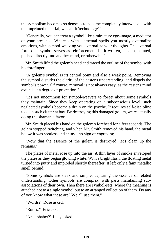the symbolism becomes so dense as to become completely interweaved with the imprinted material, we call it 'technology'."

"Generally, you can treat a symbol like a miniature ego-image, a mediator of your presence. Whereas with elemental spells you mostly externalize emotions, with symbol-weaving you externalize your thoughts. The external form of a symbol serves as reinforcement, be it written, spoken, painted, pushed directly into another mind, or otherwise."

Mr. Smith lifted the golem's head and traced the outline of the symbol with his forefinger.

"A golem's symbol is its central point and also a weak point. Removing the symbol disturbs the clarity of the caster's understanding, and dispels the symbol's power. Of course, removal is not always easy, as the caster's mind extends it a degree of protection."

"It's not uncommon for symbol-weavers to forget about some symbols they maintain. Since they keep operating on a subconscious level, such neglected symbols become a drain on the psyche. It requires self-discipline to keep such clutter at bay. By destroying this damaged golem, we're actually doing the shaman a favor."

Mr. Smith placed his hand on the golem's forehead for a few seconds. The golem stopped twitching, and when Mr. Smith removed his hand, the metal below it was spotless and shiny - no sign of engraving.

"Now that the essence of the golem is destroyed, let's clean up the remains."

The plates of metal rose up into the air. A thin layer of smoke enveloped the plates as they began glowing white. With a bright flash, the floating metal turned into putty and imploded shortly thereafter. It left only a faint metallic smell behind.

"Some symbols are sleek and simple, capturing the essence of related understanding. Other symbols are complex, with parts maintaining subassociations of their own. Then there are symbol-sets, where the meaning is attached not to a single symbol but to an arranged collection of them. Do any of you know what these are? We all use them."

"Words?" Rose asked.

"Runes?" Eric asked.

"An alphabet?" Lucy asked.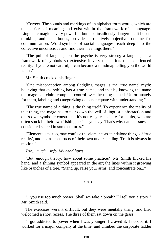"Correct. The sounds and markings of an alphabet form words, which are the carriers of meaning and exist within the framework of a language. Linguistic magic is very powerful, but also insidiously dangerous. It boosts thinking, and as a bonus, provides a relatively objective baseline for communication. Word-symbols of social languages reach deep into the collective unconscious and find their meanings there."

"The pull of language on the psyche is very strong; a language is a framework of symbols so extensive it very much tints the experienced reality. If you're not careful, it can become a mindmap telling you the world is flat."

Mr. Smith cracked his fingers.

"One misconception among fledgling mages is the 'true name' myth: believing that everything has a 'true name', and that by knowing the name the mage can claim complete control over the thing named. Unfortunately for them, labeling and categorizing does not equate with understanding."

"The true name of a thing is the thing itself. To experience the reality of that thing, the mage has to tear down the veil of linguistic abstraction and one's own symbolic constructs. It's not easy, especially for adults, who are often stuck in their own 'fishing net', as you say. That's why namelessness is considered sacred in some cultures."

"Elementalists, too, may confuse the elements as standalone things of 'true reality', and not as constructs of their own understanding. Truth is always in motion."

#### *Too... much... info. My head hurts...*

"But, enough theory, how about some practice?" Mr. Smith flicked his hand, and a shining symbol appeared in the air; the lines within it growing like branches of a tree. "Stand up, raise your arms, and concentrate on..."

\* \* \*

"...you use too much power. Shall we take a break? I'll tell you a story," Mr. Smith said.

The exercises weren't difficult, but they were mentally tiring, and Eric welcomed a short recess. The three of them sat down on the grass.

"I got addicted to power when I was younger. I craved it, I needed it. I worked for a major company at the time, and climbed the corporate ladder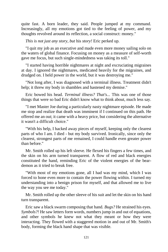quite fast. A born leader, they said. People jumped at my command. Increasingly, all my emotions got tied to the feeling of power, and my thoughts revolved around its reflection, a social construct: money."

*This is not just any story, but* his *story!* Eric perked up.

"I quit my job as an executive and made even more money sailing solo on the waters of global finance. Focusing on money as a measure of self-worth gave me focus, but such single-mindedness was taking its toll."

"I started having horrible nightmares at night and excruciating migraines at day. I ignored the nightmares, medicated heavily for the migraines, and drudged on. I held power in the world, but it was destroying me."

"Not long after, I was diagnosed with a terminal illness. Treatment didn't help; it threw my body in shambles and hastened my demise."

Eric bowed his head. *Terminal illness? That's...* This was one of those things that were so bad Eric didn't know what to think about, much less say.

"I met Master Joe during a particularly nasty nightmare episode. He made me stop and realize that death was imminent if I continued on this path. He offered me an out; it came with a heavy price, but considering the alternative it wasn't a difficult choice."

"With his help, I hacked away pieces of myself, keeping only the clearest parts of who I am. I died - but my body survived. Ironically, since only the clearest, strongest parts of me remained, I could handle even greater power than before."

Mr. Smith rolled up his left sleeve. He flexed his fingers a few times, and the skin on his arm turned transparent. A flow of red and black energies constituted the hand, reminding Eric of the violent energies of the beardemon as it tried to break free.

"With most of my emotions gone, all I had was my mind, which I was forced to hone even more to contain the power flowing within. I turned my understanding into a benign prison for myself, and that allowed me to live the way you see me today."

Mr. Smith rolled up the other sleeve of his suit and let the skin on his hand turn transparent.

Eric saw a black swarm composing that hand. *Bugs?* He strained his eyes. *Symbols?!* He saw letters form words, numbers jump in and out of equations, and other symbols he knew not what they meant or how they were interacting. They flowed with a staggered motion in and out of Mr. Smith's body, forming the black hand shape that was visible.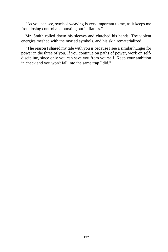"As you can see, symbol-weaving is very important to me, as it keeps me from losing control and bursting out in flames."

Mr. Smith rolled down his sleeves and clutched his hands. The violent energies meshed with the myriad symbols, and his skin rematerialized.

"The reason I shared my tale with you is because I see a similar hunger for power in the three of you. If you continue on paths of power, work on selfdiscipline, since only you can save you from yourself. Keep your ambition in check and you won't fall into the same trap I did."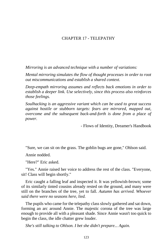# CHAPTER 17 - TELEPATHY

*Mirroring is an advanced technique with a number of variations:*

*Mental mirroring simulates the flow of thought processes in order to root out miscommunications and establish a shared context.*

*Deep-empath mirroring assumes and reflects back emotions in order to establish a deeper link. Use selectively, since this process also reinforces those feelings.*

*Soulhacking is an aggressive variant which can be used to great success against hostile or stubborn targets: fears are mirrored, mapped out, overcome and the subsequent back-and-forth is done from a place of power.*

- Flows of Identity, Dreamer's Handbook

"Sure, we can sit on the grass. The goblin bugs are gone," Ohlson said.

Annie nodded.

"Here?" Eric asked.

"Yes." Annie raised her voice to address the rest of the class. "Everyone, sit! Class will begin shortly."

Eric caught a falling leaf and inspected it. It was yellowish-brown; some of its similarly tinted cousins already rested on the ground, and many were still on the branches of the tree, yet to fall. *Autumn has arrived. Whoever said there were no seasons here, lied.*

The pupils who came for the telepathy class slowly gathered and sat down, forming an arc around Annie. The majestic corona of the tree was large enough to provide all with a pleasant shade. Since Annie wasn't too quick to begin the class, the idle chatter grew louder.

*She's still talking to Ohlson. I bet she didn't prepare... Again.*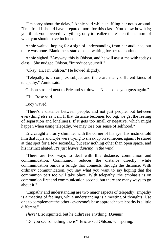"I'm sorry about the delay," Annie said while shuffling her notes around. "I'm afraid I should have prepared more for this class. You know how it is; you think you covered everything, only to realize there's ten times more of what you should have included."

Annie waited, hoping for a sign of understanding from her audience, but there was none. Blank faces stared back, waiting for her to continue.

Annie sighed. "Anyway, this is Ohlson, and he will assist me with today's class." She nudged Ohlson. "Introduce yourself."

"Okay. Hi, I'm Ohlson." He bowed slightly.

"Telepathy is a complex subject and there are many different kinds of telepathy," Annie said.

Ohlson strolled next to Eric and sat down. "Nice to see you guys again."

"Hi," Rose said.

Lucy waved.

"There's a distance between people, and not just people, but between everything else as well. If that distance becomes too big, we get the feeling of separation and loneliness. If it gets too small or negative, which might happen when using telepathy, we may lose our sense of selfhood."

Eric caught a blurry shimmer with the corner of his eye. His instinct told him that Kyle and Lyle were trying to sneak up on someone, again. He stared at that spot for a few seconds... but saw nothing other than open space, and his instinct abated. *It's just leaves dancing in the wind.*

"There are two ways to deal with this distance: communion and communication. Communion reduces the distance directly, while communication builds a bridge that connects through the distance. With ordinary communication, you say what you want to say hoping that the communion part too will take place. With telepathy, the emphasis is on communion first and communication second, but there are many ways to go about it."

"Empathy and understanding are two major aspects of telepathy: empathy is a meeting of feelings, while understanding is a meeting of thoughts. Use one to complement the other - everyone's base approach to telepathy is a little different."

*There!* Eric squinted, but he didn't see anything. *Dammit.*

"Do you see something there?" Eric asked Ohlson, whispering.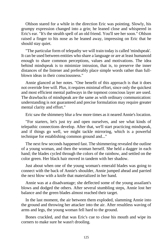Ohlson stared for a while in the direction Eric was pointing. Slowly, his grumpy expression changed into a grin; he leaned close and whispered in Eric's ear. "It's the stealth spell of an old friend. You'll see her soon." Ohlson raised a finger to his nose as he leaned away, impressing on Eric that he should stay quiet.

"The particular form of telepathy we will train today is called 'mindspeak'. It can be used between entities who share a language or are at least humanoid enough to share common perceptions, values and motivations. The idea behind mindspeak is to minimize intrusion, that is, to preserve the inner distances of the listener and preferably place simple words rather than fullblown ideas in their consciousness."

Annie glanced at her notes. "One benefit of this approach is that it does not override free will. Plus, it requires minimal effort, since only the quickest and most efficient mental pathways in the topmost conscious layer are used. The drawbacks of mindspeak are the same as with ordinary communication: understanding is not guaranteed and precise formulation may require greater mental clarity and effort."

Eric saw the shimmery blur a few more times as it neared Annie's location.

"For starters, let's just try and open ourselves, and see what kinds of telepathic connections develop. After that, we'll start practicing mindspeak, and if things go well, we might tackle mirroring, which is a powerful technique for establishing common ground and..."

The next few seconds happened fast. The shimmering revealed the outline of a young woman, and then the woman herself. She held a dagger in each hand; the blades cycled through the colors of the rainbow, and settled on the color green. Her black hair moved in tandem with her shadow.

Just about when one of the young woman's emerald blades was going to connect with the back of Annie's shoulder, Annie jumped ahead and parried the next blow with a knife that materialized in her hand.

Annie was at a disadvantage; she deflected some of the young assailant's blows and dodged the others. After several stumbling steps, Annie lost her balance and the green blades almost reached their target.

In the last moment, the air between them exploded, slamming Annie into the ground and throwing her attacker into the air. After resultless waving of arms and legs, the young woman fell hard to the ground.

Bones crackled, and that was Eric's cue to close his mouth and wipe its corners to make sure he wasn't drooling.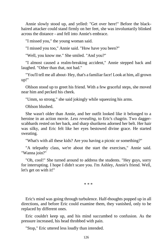Annie slowly stood up, and yelled: "Get over here!" Before the blackhaired attacker could stand firmly on her feet, she was involuntarily blinked across the distance - and fell into Annie's embrace.

"I missed you," the young woman said.

"I missed you too," Annie said. "How have you been?"

"Well, you know me." She smiled. "And you?"

"I almost caused a realm-breaking accident," Annie stepped back and laughed. "Other than that, not bad."

"You'll tell me all about- Hey, that's a familiar face! Look at him, all grown up!"

Ohlson stood up to greet his friend. With a few graceful steps, she moved near him and pecked his cheek.

"Umm, so strong," she said jokingly while squeezing his arms.

Ohlson blushed.

She wasn't older than Annie, and her outfit looked like it belonged to a heroine in an action movie. *Less revealing,* to Eric's chagrin. Two daggerscabbards rested on her back, and sharp shurikens adorned her belt. Her hair was silky, and Eric felt like her eyes bestowed divine grace. He started sweating.

"What's with all these kids? Are you having a picnic or something?"

"A telepathy class, we're about the start the exercises," Annie said. "Wanna join?"

"Oh, cool!" She turned around to address the students. "Hey guys, sorry for interrupting. I hope I didn't scare you. I'm Ashley, Annie's friend. Well, let's get on with it!"

\* \* \*

Eric's mind was going through turbulence. Half-thoughts popped up in all directions, and before Eric could examine them, they vanished, only to be replaced by different ones.

Eric couldn't keep up, and his mind succumbed to confusion. As the pressure increased, his head throbbed with pain.

"Stop," Eric uttered less loudly than intended.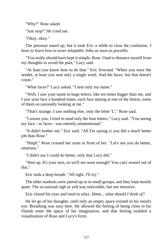"Why?" Rose asked.

"Just stop!" He cried out.

"Okay, okay."

The pressure eased up, but it took Eric a while to clear the confusion. *I have to learn how to sever telepathic links as soon as possible.*

"You really should have kept it simple, Rose. I had to distance myself from my thoughts to avoid the pain," Lucy said.

"At least you know how to do that." Eric frowned. "When you were the sender, at least you sent only a single word. And the faces, but that doesn't count."

"What faces?" Lucy asked. "I sent only my name."

"Well, I saw your name in huge letters, like ten times bigger than me, and I saw your face a hundred times, each face staring at one of the letters, some of them occasionally looking at me."

"That's strange. I saw nothing else, only the letter 'L'," Rose said.

"I assure you, I tried to send only the four letters," Lucy said. "You seeing my face - or faces - was entirely unintentional."

"It didn't bother me," Eric said. "All I'm saying is you did a much better iob than Rose."

"Hmpf." Rose crossed her arms in front of her. "Let's see you do better, smartass."

"I didn't say I could do better, only that Lucy did."

"Shut up. It's your turn, so we'll see soon enough! You can't weasel out of this."

Eric took a deep breath. "All right. I'll try."

The other students were paired up or in small groups, and they kept mostly quiet. The occasional sigh or yell was noticeable, but not intrusive.

Eric closed his eyes and tried to relax. *Hmm... what should I think of?*

He let go of his thoughts, until only an empty space existed in his mind's eye. Breathing was easy here. He allowed the feeling of being close to his friends enter the space of his imagination, and that feeling enabled a visualization of Rose and Lucy's form.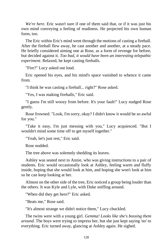*We're here.* Eric wasn't sure if one of them said that, or if it was just his own mind conveying a feeling of readiness. He projected his own human form, too.

The Eric within Eric's mind went through the motions of casting a fireball. After the fireball flew away, he cast another and another, at a steady pace. He briefly considered aiming one at Rose, as a form of revenge for before, but decided against it. *Too bad, it would have been an interesting telepathic experiment.* Relaxed, he kept casting fireballs.

"Fire?" Lucy asked out loud.

Eric opened his eyes, and his mind's space vanished to whence it came from.

"I think he was casting a fireball... right?" Rose asked.

"Yes, I was making fireballs," Eric said.

"I guess I'm still woozy from before. It's your fault!" Lucy nudged Rose gently.

Rose frowned. "Look, I'm sorry, okay? I didn't know it would be so awful for you."

"Take it easy, I'm just messing with you," Lucy acquiesced. "But I wouldn't mind some time off to get myself together."

"Yeah, let's just rest," Eric said.

Rose nodded.

The tree above was solemnly shedding its leaves.

Ashley was seated next to Annie, who was giving instructions to a pair of students. Eric would occasionally look at Ashley, feeling warm and fluffy inside, hoping that she would look at him, and hoping she won't look at him so he can keep looking at her.

Almost on the other side of the tree, Eric noticed a group being louder than the others. It was Kyle and Lyle, with Duke sniffing around.

"When did they get here?" Eric asked.

"Beats me," Rose said.

"It's almost strange we didn't notice them," Lucy chuckled.

The twins were with a young girl. *Gemma! Looks like she's bossing them around.* The boys were trying to impress her, but she just kept saying 'no' to everything. Eric turned away, glancing at Ashley again. He sighed.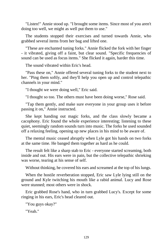"Listen!" Annie stood up. "I brought some items. Since most of you aren't doing too well, we might as well put them to use."

The students stopped their exercises and turned towards Annie, who grabbed several items from her bag and lifted one.

"These are enchanted tuning forks." Annie flicked the fork with her finger - it vibrated, giving off a faint, but clear sound. "Specific frequencies of sound can be used as focus items." She flicked it again, harder this time.

The sound vibrated within Eric's head.

"Pass these on," Annie offered several tuning forks to the student next to her. "Ping them softly, and they'll help you open up and control telepathic channels in your mind."

"I thought we were doing well," Eric said.

"I thought so too. The others must have been doing worse," Rose said.

"Tap them gently, and make sure everyone in your group uses it before passing it on," Annie instructed.

She kept handing out magic forks, and the class slowly became a cacophony. Eric found the whole experience interesting; listening to these quiet, seemingly random sounds turn into music. The forks he used sounded off a relaxing feeling, opening up new places in his mind to be aware of.

The mental music ceased abruptly when Lyle got his hands on two forks at the same time. He banged them together as hard as he could.

The result felt like a sharp stab to Eric - everyone started screaming, both inside and out. His ears were in pain, but the collective telepathic shrieking was worse, tearing at his sense of self.

Without thinking, he covered his ears and screamed at the top of his lungs.

When the hostile reverberation stopped, Eric saw Lyle lying still on the ground and Kyle twitching his mouth like a rabid animal. Lucy and Rose were stunned; most others were in shock.

Eric grabbed Rose's hand, who in turn grabbed Lucy's. Except for some ringing in his ears, Eric's head cleared out.

"You guys okay?"

"Yeah."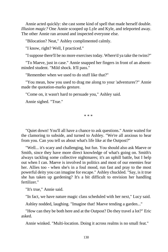Annie acted quickly: she cast some kind of spell that made herself double. *Illusion magic?* One Annie scooped up Lyle and Kyle, and teleported away. The other Annie ran around and inspected everyone else.

"Bilocation? Neat," Ashley complimented calmly.

"I know, right? Well, I practiced."

"I suppose there'll be no more exercises today. Where'd ya take the twins?"

"To Maeve, just in case." Annie snapped her fingers in front of an absentminded student. "Mild shock. It'll pass."

"Remember when we used to do stuff like that?"

"You mean, how you used to drag me along to your 'adventures'?" Annie made the quotation-marks gesture.

"Come on, it wasn't hard to persuade you," Ashley said.

Annie sighed. "True."

\* \* \*

"Quiet down! You'll all have a chance to ask questions." Annie waited for the clamoring to subside, and turned to Ashley. "We're all anxious to hear from you. Can you tell us about what's life like at the Outpost?"

"Well... it's scary and challenging, but fun. You should also ask Maeve or Smith, since they have more direct knowledge of what's going on. Smith's always tackling some collective nightmares; it's an uphill battle, but I help out when I can. Maeve is involved in politics and most of our enemies fear her. Allies too - when she's in a foul mood, run fast and pray to the most powerful deity you can imagine for escape." Ashley chuckled. "Say, is it true she has taken up gardening? It's a bit difficult to envision her handling fertilizer."

"It's true," Annie said.

"In fact, we have nature magic class scheduled with her next," Lucy said.

Ashley nodded, laughing. "Imagine that! Maeve tending a garden..."

"How can they be both here and at the Outpost? Do they travel a lot?" Eric asked.

Annie winked. "Multi-location. Doing it across realms is no small feat."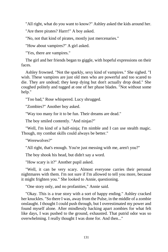"All right, what do you want to know?" Ashley asked the kids around her.

"Are there pirates? Harrr!" A boy asked.

"No, not that kind of pirates, mostly just mercenaries."

"How about vampires?" A girl asked.

"Yes, there are vampires."

The girl and her friends began to giggle, with hopeful expressions on their faces.

Ashley frowned. "Not the sparkly, sexy kind of vampires." She sighed. "I wish. These vampires are just old men who are powerful and too scared to die. They are undead; they keep dying but don't actually drop dead." She coughed politely and tugged at one of her phase blades. "Not without some help."

"Too bad," Rose whispered. Lucy shrugged.

"Zombies?" Another boy asked.

"Way too many for it to be fun. Their dreams are dead."

The boy smiled contently. "And ninjas?"

"Well, I'm kind of a half-ninja; I'm nimble and I can use stealth magic. Though, my combat skills could always be better."

"Werewolves?"

"All right, that's enough. You're just messing with me, aren't you?"

The boy shook his head, but didn't say a word.

"How scary is it?" Another pupil asked.

"Well, it can be very scary. Almost everyone carries their personal nightmares with them. I'm not sure if I'm allowed to tell you more, because it might frighten you." She looked to Annie, questioning.

"One story only, and no profanities," Annie said.

"Okay. This is a true story with a sort of happy ending." Ashley cracked her knuckles. "So there I was, away from the Pulse, in the middle of a zombie onslaught. I thought I could push through, but I overestimated my power and found myself alone. After mindlessly hacking apart zombies for what felt like days, I was pushed to the ground, exhausted. That putrid odor was so overwhelming. I really thought I was done for. And then..."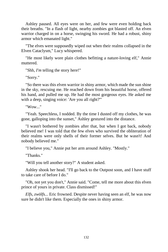Ashley paused. All eyes were on her, and few were even holding back their breaths. "In a flash of light, nearby zombies got blasted off. An elven warrior charged in on a horse, swinging his sword. He had a robust, shiny armor which emanated light."

"The elves were supposedly wiped out when their realms collapsed in the Elven Cataclysm," Lucy whispered.

"He most likely wore plain clothes befitting a nature-loving elf," Annie muttered.

"Shh, *I'm* telling the story here!"

"Sorry."

"So there was this elven warrior in shiny armor, which made the sun shine in the sky, rescuing me. He reached down from his beautiful horse, offered his hand, and pulled me up. He had the most gorgeous eyes. He asked me with a deep, singing voice: 'Are you all right?'"

"Wow..."

"Yeah. Speechless, I nodded. By the time I dusted off my clothes, he was gone, galloping into the sunset," Ashley gestured into the distance.

"I wasn't bothered by zombies after that, but when I got back, nobody believed me! I was told that the few elves who survived the obliteration of their realms were only shells of their former selves. But he wasn't! And nobody believed me."

"I believe you," Annie put her arm around Ashley. "Mostly."

"Thanks."

"Will you tell another story?" A student asked.

Ashley shook her head. "I'll go back to the Outpost soon, and I have stuff to take care of before I do."

"Oh, not yet you don't," Annie said. "Come, tell me more about this elven prince of yours in private. Class dismissed!"

*Elfs, zwölfs...* Eric frowned. Despite never having seen an elf, he was now sure he didn't like them. Especially the ones in shiny armor.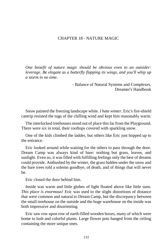# CHAPTER 18 - NATURE MAGIC

*One benefit of nature magic should be obvious even to an outsider: leverage. Be elegant as a butterfly flapping its wings, and you'll whip up a storm in no time.*

> - Balance of Natural Systems and Complexes, Dreamer's Handbook

Snow painted the freezing landscape white. *I hate winter.* Eric's fire-shield cantrip resisted the tugs of the chilling wind and kept him reasonably warm.

The interlocked treehouses stood out of place this far from the Playground. There were six in total, their rooftops covered with sparkling snow.

One of the kids climbed the ladder, but others like Eric just hopped up to the entrance.

Eric looked around while waiting for the others to pass through the door. Dream Camp was always kind of bare: nothing but grass, leaves, and sunlight. Even so, it was filled with fulfilling feelings only the best of dreams could provide. Ambushed by the winter, the grass hidden under the snow and the bare trees told a solemn goodbye, of death, and of things that will never be.

Eric closed the door behind him.

Inside was warm and little globes of light floated above like little suns. *This place is enormous!* Eric was used to the slight distortions of distance that were common and natural to Dream Camp, but the discrepancy between the small treehouse on the outside and the huge warehouse on the inside was both impressive and disorienting.

Eric saw row upon row of earth-filled wooden boxes, many of which were home to lush and colorful plants. Large flower pots hanged from the ceiling containing the more unique ones.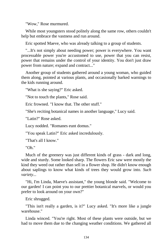"Wow," Rose murmured.

While most youngsters stood politely along the same row, others couldn't help but embrace the vastness and run around.

Eric spotted Maeve, who was already talking to a group of students.

"...It's not simply about needing power; power is everywhere. You want processable power you're accustomed to use, power that you can resist, power that remains under the control of your identity. You don't just draw power from nature; expand and contract..."

Another group of students gathered around a young woman, who guided them along, pointed at various plants, and occasionally barked warnings to the kids running around.

"What is she saying?" Eric asked.

"Not to touch the plants," Rose said.

Eric frowned. "I know that. The other stuff."

"She's reciting botanical names in another language," Lucy said.

"Latin?" Rose asked.

Lucy nodded. "Romanes eunt domus."

"You speak Latin?" Eric asked incredulously.

"That's all I know."

"Oh."

Much of the greenery was just different kinds of grass - dark and long, wide and sturdy. Some looked sharp. The flowers Eric saw were mostly the kind they weed out rather than sell in a flower shop. He didn't know enough about saplings to know what kinds of trees they would grow into. *Such variety...*

"Hi, I'm Linda, Maeve's assistant," the young blonde said. "Welcome to our garden! I can point you to our prettier botanical marvels, or would you prefer to look around on your own?"

Eric shrugged.

"This isn't really a garden, is it?" Lucy asked. "It's more like a jungle warehouse."

Linda winced. "You're right. Most of these plants were outside, but we had to move them due to the changing weather conditions. We gathered all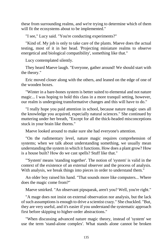these from surrounding realms, and we're trying to determine which of them will fit the ecosystems about to be implemented."

"I see," Lucy said. "You're conducting experiments?"

"Kind of. My job is only to take care of the plants. Maeve does the actual testing, most of it in her head. 'Projecting miniature realms to observe energetical and biological compatibility', something like that."

Lucy contemplated silently.

They heard Maeve laugh. "Everyone, gather around! We should start with the theory."

Eric moved closer along with the others, and leaned on the edge of one of the wooden boxes.

"Winter in a bare-bones system is better suited to elemental and not nature magic... I was hoping to hold this class in a more tranquil setting, however, our realm is undergoing transformative changes and this will have to do."

"I really hope you paid attention in school, because nature magic uses all the knowledge you acquired, especially natural sciences." She continued by muttering under her breath, "Except for all the thick-headed misconceptions stuck in your brain like thorns."

Maeve looked around to make sure she had everyone's attention.

"On the rudimentary level, nature magic requires comprehension of systems; when we talk about understanding something, we usually mean understanding the system in which it functions. How does a plant grow? How is a house built? How do we cast spells? Stuff like that."

"'System' means 'standing together'. The notion of 'system' is valid in the context of the existence of an external observer and the process of analysis. With analysis, we break things into pieces in order to understand them."

An older boy raised his hand. "That sounds more like computers... Where does the magic come from?"

Maeve smirked. "An observant pipsqueak, aren't you? Well, you're right."

"A mage does not insist on external observation nor analysis, but the lack of such assumptions is enough to drive a scientist crazy." She chuckled. "But, they are very useful, and it's easier if you understand the systematic approach first before skipping to higher-order abstractions."

"When discussing advanced nature magic theory, instead of 'system' we use the term 'stand-alone complex'. What stands alone cannot be broken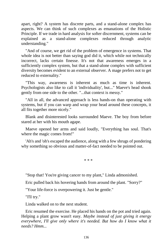apart, right? A system has discrete parts, and a stand-alone complex has aspects. We can think of such complexes as emanations of the Holistic Principle. If we trade in hard analysis for softer discernment, systems can be explained as a stand-alone complexes reduced through analytic understanding."

"And of course, we get rid of the problem of emergence in systems. That whole idea is not better than saying god did it, which while not technically incorrect, lacks certain finesse. It's not that awareness emerges in a sufficiently complex system, but that a stand-alone complex with sufficient diversity becomes evident to an external observer. A mage prefers not to get reduced to externality."

"This way, awareness is inherent as much as time is inherent. Psychologists also like to call it 'individuality', but..." Maeve's head shook gently from one side to the other. "...that context is messy."

"All in all, the advanced approach is less hands-on than operating with systems, but if you can warp and wrap your head around these concepts, it all fits together more nicely."

Blank and disinterested looks surrounded Maeve. The boy from before stared at her with his mouth agape.

Maeve opened her arms and said loudly, "Everything has soul. That's where the magic comes from!"

'Ah's and 'oh's escaped the audience, along with a few shrugs of pondering why something so obvious and matter-of-fact needed to be pointed out.

\* \* \*

"Stop that! You're giving cancer to my plant," Linda admonished.

Eric pulled back his hovering hands from around the plant. "Sorry?"

"Your life-force is overpowering it. Just be gentle."

"I'll try."

Linda walked on to the next student.

Eric resumed the exercise. He placed his hands on the pot and tried again. Helping a plant grow wasn't easy. *Maybe instead of just giving it energy everywhere, I'll give only where it's needed. But how do I know what it needs? Hmm...*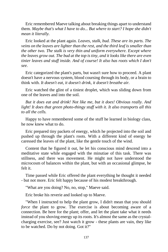Eric remembered Maeve talking about breaking things apart to understand them. *Maybe that's what I have to do... But where to start? I hope she didn't mean it literally.*

Eric looked at the plant again. *Leaves, stalk, bud. These are its parts. The veins on the leaves are lighter than the rest, and the third leaf is smaller than the other two. The stalk is very thin and uniform everywhere. Except where the leaves grow out. The bud at the top is tiny, and it looks like there are even tinier leaves and stuff inside. And of course! It also has roots which I don't see.*

Eric categorized the plant's parts, but wasn't sure how to proceed. A plant doesn't have a nervous system, blood coursing through its body, or a brain to think with. *It doesn't eat, it doesn't drink, it doesn't breathe air.*

Eric watched the glint of a tiniest droplet, which was sliding down from one of the leaves and into the soil.

*But it does eat and drink! Not like me, but it does! Obvious really. And light! It does that green photo-thingy stuff with it. It also transports all this to all the cells.*

Happy to have remembered some of the stuff he learned in biology class, he now knew what to do.

Eric prepared tiny packets of energy, which he projected into the soil and pushed up through the plant's roots. With a different kind of energy he caressed the leaves of the plant, like the gentle touch of the wind.

Content that he figured it out, he let his conscious mind descend into a meditative state while engaged with the minutiae of this task. There was stillness, and there was movement. He might not have understood the microcosm of balances within the plant, but with an occasional glimpse, he felt it.

Time passed while Eric offered the plant everything he thought it needed - but not more. Eric felt happy because of his modest breakthrough.

"What are you doing? No, no, stop," Maeve said.

Eric broke his reverie and looked up to Maeve.

"When I instructed to help the plant grow, I didn't mean that you should *force* the plant to grow. The exercise is about becoming aware of a connection. Be here for the plant; offer, and let the plant take what it needs instead of you shoving energy up its roots. It's almost the same as the crystalcharging exercise, see? Just watch it grow - these plants are vain, they like to be watched. Do by not doing. Got it?"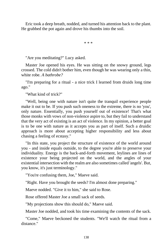Eric took a deep breath, nodded, and turned his attention back to the plant. He grabbed the pot again and drove his thumbs into the soil.

\* \* \*

"Are you meditating?" Lucy asked.

Master Joe opened his eyes. He was sitting on the snowy ground, legs crossed. The cold didn't bother him, even though he was wearing only a thin, white robe. *A bathrobe?*

"I'm preparing for a ritual - a nice trick I learned from druids long time ago."

"What kind of trick?"

"Well, being one with nature isn't quite the tranquil experience people make it out to be. If you push such oneness to the extreme, there is no 'you', only nature. Essentially, you push yourself out of existence! That's what those monks with vows of non-violence aspire to, but they fail to understand that the very act of existing is an act of violence. In my opinion, a better goal is to be one with nature as it accepts you as part of itself. Such a druidic approach is more about accepting higher responsibility and less about chasing a feeling of ecstasy."

"In this state, you project the structure of existence of the world around you - and inside equals outside, to the degree you're able to preserve your individuality. Energy is the back-and-forth movement, leylines are lines of existence your being projected on the world, and the angles of your existential intersection with the realm are also sometimes called 'angels'. But, you know, it's just terminology."

"You're confusing them, Joe," Maeve said.

"Right. Have you brought the seeds? I'm almost done preparing."

Maeve nodded. "Give it to him," she said to Rose.

Rose offered Master Joe a small sack of seeds.

"My projections show this should do," Maeve said.

Master Joe nodded, and took his time examining the contents of the sack.

"Come," Maeve beckoned the students. "We'll watch the ritual from a distance."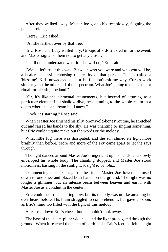After they walked away, Master Joe got to his feet slowly, feigning the pains of old age.

"Here?" Eric asked.

"A little farther, over by that tree."

Eric, Rose and Lucy waited idly. Groups of kids trickled in for the event, and Maeve signaled them not to get any closer.

"I still don't understand what it is he will do," Eric said.

"Well... let's try it this way. Between who you were and who you will be, a healer can assist choosing the reality of that person. This is called a 'blessing'. Kids nowadays call it a 'buff' - don't ask me why. Curses work similarly, on the other end of the spectrum. What Joe's going to do is a major ritual for blessing the land."

"Or, it's like the elemental attunements, but instead of attuning to a particular element in a shallow dive, he's attuning to the whole realm in a depth where he can dream it all anew."

"Look, it's starting," Rose said.

When Master Joe finished his silly 'oh-my-old-bones' routine, he stretched out and raised his hands to the sky. He was chanting or singing something, but Eric couldn't quite make out the words or the melody.

What little fog there was dissipated, and the sun shined its light more brightly than before. More and more of the sky came apart to let the rays through.

The light danced around Master Joe's fingers, lit up his hands, and slowly enveloped his whole body. The chanting stopped, and Master Joe stood motionless, basking in the sunlight. *A sight to behold...*

Commencing the next stage of the ritual, Master Joe lowered himself down to one knee and placed both hands on the ground. The light was no longer a glimmer, but an intense beam between heaven and earth, with Master Joe as a conduit in the center.

Eric could hear the chanting now, but its melody was unlike anything he ever heard before. His brain struggled to comprehend it, but gave up soon, as Eric's mind too filled with the light of this melody.

A tear ran down Eric's cheek, but he couldn't look away.

The base of the beam-pillar widened, and the light propagated through the ground. When it reached the patch of earth under Eric's feet, he felt a slight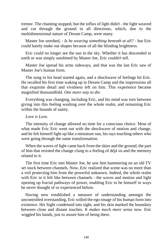tremor. The chanting stopped, but the influx of light didn't - the light weaved and cut through the ground in all directions, which, due to the multidimensional nature of Dream Camp, were many.

Master Joe unrobed, *- Is he wearing something beneath at all? -* but Eric could barely make out shapes because of all the blinding brightness.

Eric could no longer see the sun in the sky. Whether it has descended to earth or was simply outshined by Master Joe, Eric couldn't tell.

Master Joe spread his arms sideways, and that was the last Eric saw of Master Joe's human form.

The song in his head started again, and a shockwave of feelings hit Eric. He recalled his first time waking up in Dream Camp and the impressions all that exquisite detail and vividness left on him. This experience became magnified thousandfold. *One more way to die.*

Everything was changing, including Eric, and his mind was torn between giving into this feeling washing over the whole realm, and remaining Eric within the bounds of sanity.

### *Love is Love.*

The intensity of change allowed no time for a conscious choice. Most of what made Eric Eric went out with the shockwave of motion and change, and he felt himself light up like a miniature sun, his rays touching others who were going through the same transformation.

When the waves of light came back from the skies and the ground, the part of him that resisted the change clung to a feeling of déjà vu and the memory related to it.

The first time Eric met Master Joe, he saw him hammering on an old TV set stuck between channels. Now, Eric realized that scene was no more than a veil protecting him from the powerful unknown. Indeed, the whole realm with Eric in it felt like between channels - the waves and motion and light opening up fractal pathways of power, enabling Eric to be himself in ways he never thought of or experienced before.

Having now established a measure of understanding amongst the uncontrolled overstanding, Eric willed the ego-image of his human form into existence. His Sight condensed into sight, and his skin marked the boundary between close and distant touches. *It makes much more sense now.* Eric wiggled his hands, just to assure him of being there.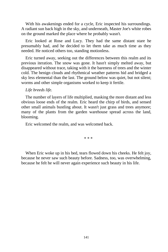With his awakenings ended for a cycle, Eric inspected his surroundings. A radiant sun back high in the sky, and underneath, Master Joe's white robes on the ground marked the place where he probably wasn't.

Eric looked at Rose and Lucy. They had the same distant stare he presumably had, and he decided to let them take as much time as they needed. He noticed others too, standing motionless.

Eric turned away, seeking out the differences between this realm and its previous iteration. The snow was gone. It hasn't simply melted away, but disappeared without trace, taking with it the bareness of trees and the winter cold. The benign clouds and rhythmical weather patterns hid and bridged a sky less elemental than the last. The ground below was quiet, but not silent; worms and other simple organisms worked to keep it fertile.

*Life breeds life.*

The number of layers of life multiplied, masking the more distant and less obvious loose ends of the realm. Eric heard the chirp of birds, and sensed other small animals bustling about. It wasn't just grass and trees anymore; many of the plants from the garden warehouse spread across the land, blooming.

Eric welcomed the realm, and was welcomed back.

\* \* \*

When Eric woke up in his bed, tears flowed down his cheeks. He felt joy, because he never saw such beauty before. Sadness, too, was overwhelming, because he felt he will never again experience such beauty in his life.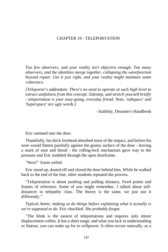# CHAPTER 19 - TELEPORTATION

*Too few observers, and your reality isn't objective enough. Too many observers, and the identities merge together, collapsing the wavefunction beyond repair. Get it just right, and your reality might maintain some coherence.*

*[Teleporter's addendum: There's no need to operate at such high level to extract usefulness from this concept. Sidestep, and stretch yourself briefly - teleportation is your easy-going, everyday friend. Note, 'subspace' and 'hyperspace' are ugly words.]*

- Stability, Dreamer's Handbook

Eric rammed into the door.

Thankfully, his thick forehead absorbed most of the impact, and before his nose would flatten painfully against the grainy surface of the door - leaving a mark of snot and blood - the rolling-lock mechanism gave way to the pressure and Eric tumbled through the open doorframe.

"Next!" Annie yelled.

Eric stood up, dusted off and closed the door behind him. While he walked back to the end of the line, other students repeated the process.

"Teleportation is about pushing and pulling distance, fixed points and frames of reference. Some of you might remember, I talked about selfdistances in telepathy class. The theory is the same, we just use it differently."

*Typical Annie; making us do things before explaining what it actually is we're supposed to do.* Eric chuckled. *She probably forgot.*

"The blink is the easiest of teleportations and requires only minor displacement within. It has a short range, and what you lack in understanding or finesse, you can make up for in willpower. It often occurs naturally, as a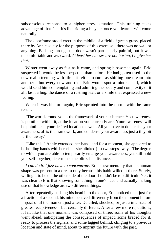subconscious response to a higher stress situation. This training takes advantage of that fact. It's like riding a bicycle; once you learn it will come naturally."

The doorframe stood erect in the middle of a field of green grass, placed there by Annie solely for the purposes of this exercise - there was no wall or anything. Bashing through the door wasn't particularly painful, but it was uncomfortable and awkward. *At least her classes are not boring, I'll give her that.*

Winter went away as fast as it came, and spring blossomed again. Eric suspected it would be less perpetual than before. He had gotten used to the new realm teeming with life - it felt as natural as shifting one dream into another - but every now and then Eric would spot a minor detail, which would send him contemplating and admiring the beauty and complexity of it all; be it a bug, the dance of a rustling leaf, or a smile that expressed a new feeling.

When it was his turn again, Eric sprinted into the door - with the same result.

"The world around you is the framework of your existence. You awareness is pointlike within it, at the location you currently are. Your awareness will be pointlike at your desired location as well. All you have to do is raise your awareness, affix the framework, and condense your awareness just a tiny bit farther away."

"Like this." Annie extended her hand, and for a moment, she appeared to be holding hands with herself as she blinked just two steps away. "The degree to which you are able to temporarily enlarge your awareness, yet still hold yourself together, determines the blinkable distance."

*I can do it. I just have to concentrate.* Eric knew mentally that his human shape was present in a dream only because his habit willed it there. Surely, willing it to be on the other side of the door shouldn't be too difficult. Yet, it was clear to Eric that knowing something in one's head and actually making use of that knowledge are two different things.

After repeatedly bashing his head into the door, Eric noticed that, just for a fraction of a second, his mind behaved differently from the moment before impact until the moment just after. Derailed, shocked, or just a in a state of greater receptiveness - but certainly different. After a few more repetitions, it felt like that one moment was composed of three: some of his thoughts went ahead, anticipating the consequences of impact, some braced for it, ready to process the signals, and some lagged behind, clinging to a previous location and state of mind, about to imprint the future with the past.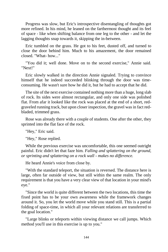Progress was slow, but Eric's introspective disentangling of thoughts got more refined. In his mind, he leaned on the farthermost thought and its feel of space - like when shifting balance from one leg to the other - and let the lagging thoughts snap towards it, skipping the in-between.

Eric tumbled on the grass. He got to his feet, dusted off, and turned to close the door behind him. Much to his amazement, the door remained closed. "What- how..."

"You did it; well done. Move on to the second exercise," Annie said. "Next!"

Eric slowly walked in the direction Annie signaled. Trying to convince himself that he indeed succeeded blinking through the door was timeconsuming. He wasn't sure how he did it, but he had to accept that he did.

The site of the next exercise contained nothing more than a huge, long slab of rock. Its sides were almost rectangular, and only one side was polished flat. From afar it looked like the rock was placed at the end of a short, redgraveled running track, but upon closer inspection, the gravel was in fact redbladed, trimmed grass.

Rose was already there with a couple of students. One after the other, they sprinted into the flat face of the rock.

"Hey," Eric said.

"Hey," Rose replied.

While the previous exercise was uncomfortable, this one seemed outright painful. Eric didn't let that faze him. *Falling and splattering on the ground, or sprinting and splattering on a rock wall - makes no difference.*

He heard Annie's voice from close by.

"With the standard teleport, the situation is reversed. The distance here is large, often far outside of view, but still within the same realm. The only requirement is that you have a very clear view of that location in your mind's eye."

"Since the world is quite different between the two locations, this time the fixed point has to be your own awareness while the framework changes around it. So, you let the world move while you stand still. This is a partial folding of space-time, in which all your relevant relations are transferred to the goal location."

"Large blinks or teleports within viewing distance we call jumps. Which method you'll use in this exercise is up to you."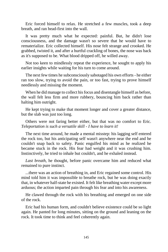Eric forced himself to relax. He stretched a few muscles, took a deep breath, and ran head-first into the wall.

It was pretty much what he expected: painful. But, he didn't lose consciousness, and the damage wasn't so severe that he would have to rematerialize. Eric collected himself. His nose felt strange and crooked. He grabbed, twisted it, and after a hurtful crackling of bones, the nose was back as it's supposed to be. What blood dripped off, he willed away.

Not too keen to mindlessly repeat the experience, he sought to apply his earlier insights while waiting for his turn to come around.

The next few times he subconsciously sabotaged his own efforts - he either ran too slow, trying to avoid the pain, or too fast, trying to prove himself needlessly and missing the moment.

When he did manage to collect his focus and disentangle himself as before, the wall felt less firm and more rubbery, bouncing him back rather than halting him outright.

He kept trying to make that moment longer and cover a greater distance, but the slab was just too long.

Others were not faring better either, but that was no comfort to Eric. *Teleportation is such a versatile skill - I have to learn it!*

The next time around, he made a mental misstep: his lagging self entered the rock too, but his anticipating self wasn't anywhere near the end and he couldn't snap back to safety. Panic engulfed his mind as he realized he became stuck in the rock. His fear had weight and it was crushing him. Instinctively, he tried to inhale but couldn't, and he exhaled instead.

*Last breath,* he thought, before panic overcame him and reduced what remained to pure instinct.

...there was an action of breathing in, and Eric regained some control. His mind told him it was impossible to breathe rock, but he was doing exactly that, in whatever half-state he existed. It felt like breathing water except more arduous; the action imparted pain through his fear and into his awareness.

He clawed through the rock with his breathing and emerged on one side of the rock.

Eric had his human form, and couldn't believe existence could be so light again. He panted for long minutes, sitting on the ground and leaning on the rock. It took time to think and feel coherently again.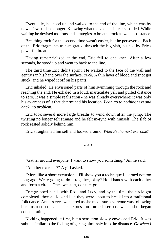Eventually, he stood up and walked to the end of the line, which was by now a few students longer. Knowing what to expect, his fear subsided. While waiting he devised motions and strategies to breathe rock as well as distance.

Breathing rock for the second time wasn't easier, but he persevered. Each of the Eric-fragments transmigrated through the big slab, pushed by Eric's powerful breath.

Having rematerialized at the end, Eric fell to one knee. After a few seconds, he stood up and went to back to the line.

The third time Eric didn't sprint. He walked to the face of the wall and gently ran his hand over the surface. *Yuck.* A thin layer of blood and snot got stuck, and he wiped it off on his pants.

Eric inhaled. He envisioned parts of him swimming through the rock and reaching the end. He exhaled in a loud, inarticulate yell and pulled distance to zero. It was a simple realization - he was already everywhere; it was only his awareness of it that determined his location. *I can go to nothingness and back, no problem.*

Eric took several more large breaths to wind down after the jump. The twisting no longer felt strange and he felt in-sync with himself. The slab of rock rested solidly behind him.

Eric straightened himself and looked around. *Where's the next exercise?*

\* \* \*

"Gather around everyone. I want to show you something," Annie said.

"Another exercise?" A girl asked.

"More like a short excursion... I'll show you a technique I learned not too long ago. We're going to do it together, okay? Hold hands with each other and form a circle. Once we start, don't let go!"

Eric grabbed hands with Rose and Lucy, and by the time the circle got completed, they all looked like they were about to break into a traditional folk dance. Annie's eyes wandered as she made sure everyone was following her instructions, and her expression turned serious when she began concentrating.

Nothing happened at first, but a sensation slowly enveloped Eric. It was subtle, similar to the feeling of gazing aimlessly into the distance. *Or when I*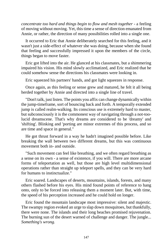*concentrate too hard and things begin to flow and mesh together* - a feeling of moving without moving. Yet, this time a sense of direction emanated from Annie, or rather, the direction of many possibilities rolled into a single one.

It occurred to Eric that Annie deliberately searched for this feeling, and it wasn't just a side-effect of whatever she was doing, because when she found that feeling and successfully impressed it upon the members of the circle, things began to move faster.

Eric got lifted into the air. He glanced at his classmates, but a shimmering impaired his vision. His mind slowly acclimatized, and Eric realized that he could somehow sense the directions his classmates were looking in.

Eric squeezed his partners' hands, and got light squeezes in response.

Once again, as this feeling or sense grew and matured, he felt it all being herded together by Annie and directed into a single line of travel.

"Don't talk, just listen. The points you affix can change dynamically within the jump-timeframe, sort of bouncing back and forth. A temporally extended jump is called realm-walking. Its conscious use is extremely hard to master, but subconsciously it is the commonest way of navigating through a not-toolucid dreamscene. That's why dreams are considered to be 'dreamy' and 'shifting'. Blinking and 'porting are minor extremes of this process, and so are time and space in general."

He got thrust forward in a way he hadn't imagined possible before. Like breaking the wall between two different dreams, but this was continuous movement both in- and outside.

"Such movement can feel like breathing, and we often regard breathing as a sense on its own - a sense of existence, if you will. There are more arcane forms of teleportation as well, but those are high level multidimensional operations rather than straight up teleport spells, and they can be very hard for humans to instinctualize."

Eric soared. Landscapes of deserts, mountains, islands, forests, and many others flashed before his eyes. His mind found points of reference to hang onto, only to be forced into releasing them a moment later. But, with time, the speed of his perception increased and he could hold on longer.

Eric found the mountain landscape most impressive: silent and majestic. The swampy region evoked an urge to slap down mosquitoes, but thankfully, there were none. The islands and their long beaches promised rejuvenation. The burning sun of the desert warned of challenge and danger. The jungle... *Something's wrong.*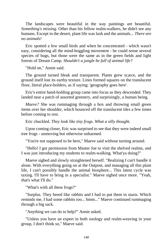The landscapes were beautiful in the way paintings are beautiful. *Something's missing.* Other than his fellow realm-walkers, he didn't see any humans. Except in the desert, plant life was lush and the animals... *There are no animals!*

Eric spotted a few small birds and when he concentrated - which wasn't easy, considering all the mind-boggling movement - he could sense several species of bugs, but those were the same as in the green fields and light forests of Dream Camp. *Shouldn't a jungle be full of animal life?*

"Hold on," Annie said.

The ground turned bleak and transparent. Plants grew scarce, and the ground itself lost its earthy texture. Lines formed squares on the translucent floor, literal place-holders, as if saying: 'geography goes here'.

Eric's entire hand-holding group came into focus as they descended. They landed near a patch of assorted greenery, and surprisingly, a human being.

*Maeve?* She was rummaging through a box and throwing small green items over her shoulder, which bounced off the translucent tiles a few times before coming to rest.

Eric chuckled. *They look like tiny frogs. What a silly thought.*

Upon coming closer, Eric was surprised to see that they were indeed small tree frogs - unmoving but otherwise unharmed.

"You're not supposed to be here," Maeve said without turning around.

"Hello! I got permission from Master Joe to visit the shelved realms, and I was just introducing my students to realm-walking. What'ya doing?"

Maeve sighed and slowly straightened herself. "Realizing I can't handle it alone. With everything going on at the Outpost, and managing all this plant life, I can't possibly handle the animal biosphere... This latest cycle was taxing. I'll have to bring in a specialist." Maeve sighed once more. "Yeah, that's what I'll do."

"What's with all these frogs?"

"Surplus. They breed like rabbits and I had to put them in stasis. Which reminds me, I had some rabbits too... hmm..." Maeve continued rummaging through a big sack.

"Anything we can do to help?" Annie asked.

"Unless you have an expert in both zoology and realm-weaving in your group, I don't think so," Maeve said.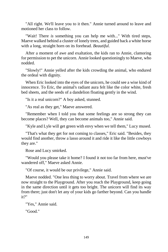"All right. We'll leave you to it then." Annie turned around to leave and motioned her class to follow.

"Wait! There *is* something you can help me with..." With tired steps, Maeve walked behind a cluster of lonely trees, and guided back a white horse with a long, straight horn on its forehead. *Beautiful.*

After a moment of awe and exaltation, the kids ran to Annie, clamoring for permission to pet the unicorn. Annie looked questioningly to Maeve, who nodded.

"Slowly!" Annie yelled after the kids crowding the animal, who endured the ordeal with dignity.

When Eric looked into the eyes of the unicorn, he could see a wise kind of innocence. To Eric, the animal's radiant aura felt like the color white, fresh bed sheets, and the seeds of a dandelion floating gently in the wind.

"Is it a real unicorn?" A boy asked, stunned.

"As real as they get," Maeve answered.

"Remember when I told you that some feelings are so strong they can become places? Well, they can become animals too," Annie said.

"Kyle and Lyle will get green with envy when we tell them," Lucy mused.

"That's what they get for not coming to classes," Eric said. "Besides, they would find another, throw a lasso around it and ride it like the little cowboys they are."

Rose and Lucy smirked.

"Would you please take it home? I found it not too far from here, must've wandered off," Maeve asked Annie.

"Of course, it would be our privilege," Annie said.

Maeve nodded. "One less thing to worry about. Travel from where we are now straight to the Playground. After you reach the Playground, keep going in the same direction until it gets too bright. The unicorn will find its way from there; just don't let any of your kids go farther beyond. Can you handle it?"

"Yes," Annie said.

"Good."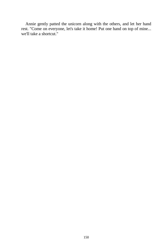Annie gently patted the unicorn along with the others, and let her hand rest. "Come on everyone, let's take it home! Put one hand on top of mine... we'll take a shortcut."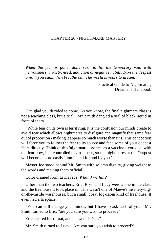### CHAPTER 20 - NIGHTMARE MASTERY

*When the fear is gone, don't rush to fill the temporary void with nervousness, anxiety, need, addiction or negative habits. Take the deepest breath you can... then breathe out. The world is yours to dream!*

> - Practical Guide to Nightmares, Dreamer's Handbook

"I'm glad you decided to come. As you know, the final nightmare class is not a teaching class, but a trial." Mr. Smith dangled a vial of black liquid in front of them.

"While fear on its own is terrifying, it is the confusion our minds create to avoid fear which allows nightmares to disfigure and magnify that same fear out of proportion - making it appear so much worse than it is. This concoction will force you to follow the fear to its source and face some of your deepest fears directly. Think of this 'nightmare essence' as a vaccine - you deal with the fear now, in a controlled environment, so the nightmares at the Outpost will become more easily illuminated for and by you."

Master Joe stood behind Mr. Smith with solemn dignity, giving weight to the words and making them official.

Color drained from Eric's face. *What if we fail?*

Other than the two teachers, Eric, Rose and Lucy were alone in the class and the treehouse it took place in. This wasn't one of Maeve's insanely-bigon-the-inside warehouses, but a small, cozy, log-cabin kind of treehouse. It even had a fireplace.

"You can still change your minds, but I have to ask each of you," Mr. Smith turned to Eric, "are you sure you wish to proceed?"

Eric cleared his throat, and answered "Yes."

Mr. Smith turned to Lucy. "Are you sure you wish to proceed?"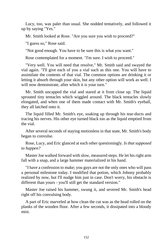Lucy, too, was paler than usual. She nodded tentatively, and followed it up by saying "Yes."

Mr. Smith looked at Rose. "Are you sure you wish to proceed?"

"I guess so," Rose said.

"Not good enough. You have to be sure this is what you want."

Rose contemplated for a moment. "I'm sure. I wish to proceed."

"Very well. You will need that resolve," Mr. Smith said and swayed the vial again. "I'll give each of you a vial such as this one. You will have to assimilate the contents of that vial. The common options are drinking it or letting it absorb through your skin, but any other option will work as well. I will now demonstrate, after which it is your turn."

Mr. Smith uncapped the vial and stared at it from close up. The liquid sprouted tiny tentacles which wiggled around. The black tentacles slowly elongated, and when one of them made contact with Mr. Smith's eyeball, they all latched onto it.

The liquid filled Mr. Smith's eye, soaking up through his tear-ducts and tracing his nerves. His other eye turned black too as the liquid emptied from the vial.

After several seconds of staying motionless in that state, Mr. Smith's body began to convulse.

Rose, Lucy, and Eric glanced at each other questioningly. *Is that supposed to happen?*

Master Joe walked forward with slow, measured steps. He let his right arm fall with a snap, and a large hammer materialized in his hand.

"I have a confession to make; you guys are not the only ones who will pass a personal milestone today. I modified that potion, which Johnny probably realized by now, but I'll nudge him just in case. Don't worry, his obstacle is different than yours - you'll still get the standard version."

Master Joe raised his hammer, swung it, and severed Mr. Smith's head right off his convulsing body.

A part of Eric marveled at how clean the cut was as the head rolled on the planks of the wooden floor. After a few seconds, it dissipated into a bloody mist.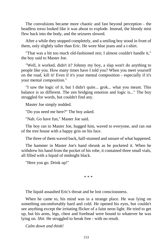The convulsions became more chaotic and fast beyond perception - the headless torso looked like it was about to explode. Instead, the bloody mist flew back into the body, and the seizures slowed.

After a while they stopped completely, and a smiling boy stood in front of them, only slightly taller than Eric. He wore blue jeans and a t-shirt.

"That was a bit too much old-fashioned zen; I almost couldn't handle it," the boy said to Master Joe.

"Well, it worked, didn't it? Johnny my boy, a slap won't do anything to people like you. How many times have I told you? When you meet yourself on the road, kill it! Even if it's your mental composition - especially if it's your mental composition."

"I saw the logic of it, but I didn't quite... grok... what you meant. This balance is so different. The zen bridging emotion and logic is..." The boy struggled for words, but couldn't find any.

Master Joe simply nodded.

"Do you need me here?" The boy asked.

"Nah. Go have fun," Master Joe said.

The boy ran to Master Joe, hugged him, waved to everyone, and ran out of the tree house with a happy grin on his face.

The three of them waved back, half-stunned and unsure of what happened.

The hammer in Master Joe's hand shrunk as he pocketed it. When he withdrew his hand from the pocket of his robe, it contained three small vials, all filled with a liquid of midnight black.

"Here you go. Drink up!"

\* \* \*

The liquid assaulted Eric's throat and he lost consciousness.

When he came to, his mind was in a strange place. He was lying on something uncomfortably hard and cold. He opened his eyes, but couldn't see anything except the irritating flicker of a faint neon light. He tried to get up, but his arms, legs, chest and forehead were bound to whatever he was lying on. *Shit.* He struggled to break free - with no result.

*Calm down and think!*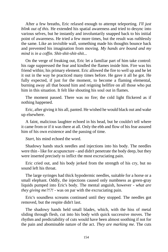After a few breaths, Eric relaxed enough to attempt teleporting. *I'll just blink out of this.* He extended his spatial awareness and tried to desync into various selves, but he instantly and involuntarily snapped back to his initial point of awareness. He tried a few more times, but the result was ruthlessly the same. Like an invisible wall, something made his thoughts bounce back and prevented his imagination from moving. *My hands are bound and my mind is in a coffin. Shit-shit-shit-shit...*

On the verge of freaking out, Eric let a familiar part of him take control: his rage suppressed the fear and kindled the flames inside him. Fire was his friend within; his primary element. Eric allowed the fire to well up and he let it out in the way he practiced many times before. He gave it all he got. He fully expected, if just for the moment, to become a flaming elemental, burning away all that bound him and reigning hellfire on all those who put him in this situation. It felt like shouting his soul out in flames.

The moment passed. There was no fire; the cold light flickered as if nothing happened.

Eric, after giving it his all, panted. He wished he would black out and wake up elsewhere.

A faint, malicious laughter echoed in his head, but he couldn't tell where it came from or if it was there at all. Only the ebb and flow of his fear assured him of his own existence and the passing of time.

*Start,* his mind echoed the word.

Shadowy hands stuck needles and injections into his body. The needles were thin - like for acupuncture - and didn't penetrate the body deep, but they were inserted precisely to inflict the most excruciating pain.

Eric cried out, and his body jerked from the strength of his cry, but no sound left his throat.

The large syringes had thick hypodermic needles, suitable for a horse or a small elephant. Oddly, the injections caused only numbness as green-gray liquids pumped into Eric's body. The mental anguish, however - *what are they giving me?!?!* - was on par with the excruciating pain.

Eric's soundless screams continued until they stopped. The needles got removed, but the respite didn't last.

The shadowy hands held small blades, which, with the hiss of metal sliding through flesh, cut into his body with quick successive moves. The rhythm and predictability of cuts would have been almost soothing if not for the pain and abominable nature of the act. *They are marking me.* The cuts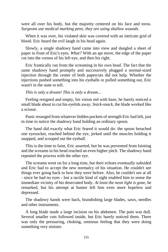were all over his body, but the majority centered on his face and torso. *Surgeons use medical marking pens; they are using shallow wounds.*

When it was over, his violated skin was covered with an intricate grid of blood. Eric heard the evil laugh in his head again.

Slowly, a single shadowy hand came into view and dangled a sheet of paper in front of Eric's eyes. *What?* With an apt move, the edge of the paper cut into the cornea of his left eye, and then his right.

Eric frantically ran from the screaming in his own head. The fact that the same shadowy hand promptly and successively plugged a normal-sized injection through the center of both papercuts did not help. Whether the injections pushed something into his eyeballs or pulled something out, Eric wasn't in the state to tell.

#### *This is only a dream! This is only a dream...*

Feeling resigned and empty, his vision red with haze, he barely noticed a small blade about to cut his eyelids away. *Snick-snack,* the blade worked like a scissor.

Panic resurged from whatever hidden pockets of strength Eric had left, just in time to notice the shadowy hand holding an ordinary spoon.

The hand did exactly what Eric feared it would do: the spoon breached one eyesocket, reached behind the eye, jerked until the muscles holding it snapped, and scooped out the eyeball.

This is the time to faint, Eric asserted, but he was prevented from fainting and the screams in his head reached an even higher pitch. The shadowy hand repeated the process with the other eye.

The screams went on for a long time, but their echoes eventually subsided and Eric had to accept the new normalcy of his situation. He couldn't see things ever going back to how they were before. Also, he couldn't see at all - since he had no eyes - but a tactile kind of sight enabled him to sense the immediate vicinity of his desecrated body. *At least the neon light is gone,* he remarked, but his attempt at humor left him even more hopeless and depressed.

The shadowy hands were back, brandishing large blades, saws, needles and other instruments.

A long blade made a large incision on his abdomen. The pain was dull. Several smaller cuts followed inside, but Eric barely noticed them. There was only the pressuring, choking, ominous feeling that they were doing something very sinister.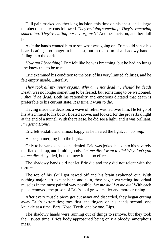Dull pain marked another long incision, this time on his chest, and a large number of smaller cuts followed. *They're doing something. They're removing something. They're cutting out my organs!!!* Another incision, another dull pain.

As if the hands wanted him to see what was going on, Eric could sense his heart beating - no longer in his chest, but in the palm of a shadowy hand fading into the dark.

*How am I breathing?* Eric felt like he was breathing, but he had no lungs - he knew this to be true.

Eric examined his condition to the best of his very limited abilities, and he felt empty inside. Literally.

*They took all my inner organs. Why am I not dead?! I should be dead!*  Death was no longer something to be feared, but something to be welcomed. *I should be dead.* Both his rationality and emotions dictated that death is preferable to his current state. *It is time. I want to die.*

Having made the decision, a wave of relief washed over him. He let go of his attachment to his body, floated above, and looked for the proverbial light at the end of a tunnel. With the release, he did see a light, and it was brilliant. *I'm going Home.*

Eric felt ecstatic and almost happy as he neared the light. *I'm coming.*

He began merging into the light...

Only to be yanked back and denied. Eric was jerked back into his severely mutilated, damp, and limiting body. *Let me die! I want to die! Why don't you let me die!* He yelled, but he knew it had no effect.

The shadowy hands did not let Eric die and they did not relent with the torture.

The top of his skull got sawed off and his brain syphoned out. With nothing major left except bone and skin, they began extracting individual muscles in the most painful way possible. *Let me die! Let me die!* With each piece removed, the prison of Eric's soul grew smaller and more crushing.

After every muscle piece got cut away and discarded, they began cutting away Eric's extremities; toes first, the fingers on his hands second, one knuckle at a time. Ears. Nose. Teeth, one by one. Lips.

The shadowy hands were running out of things to remove, but they took their sweet time. Eric's body approached being only a bloody, amorphous mass.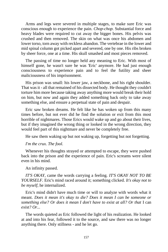Arms and legs were severed in multiple stages, to make sure Eric was conscious enough to experience the pain. *Chop-chop.* Substantial force and heavy blades were required to cut away the bigger bones. His pelvis was crushed and then removed. The skin on what was once his abdomen and lower torso, torn away with reckless abandon. The vertebrae in the lower and mid spinal column got picked apart and severed, one by one. His ribs broken by sheer force, one at a time. His skull smashed and most pieces removed.

The passing of time no longer held any meaning to Eric. With most of himself gone, he wasn't sure he was 'Eric' anymore. He had just enough consciousness to experience pain and to feel the futility and sheer maliciousness of his imprisonment.

His prison was small: his lower jaw, a neckbone, and his right shoulder. That was it - all that remained of his dissected body. He thought they couldn't torture him more because taking away anything more would break their hold on him, but now and again they added something back only to take away something else, and ensure a perpetual state of pain and despair.

Eric saw broken dreams. He felt like he has woken up from this many times before, but not ever did he find the solution or exit from this most horrible of nightmares. Those Erics would wake up and go about their lives, but if they imagined the wrong thing or looked in the wrong direction, they would feel part of this nightmare and never be completely free.

He saw them waking up but not waking up, forgetting but not forgetting.

## *I'm the crux. The fool.*

Whenever his thoughts strayed or attempted to escape, they were pushed back into the prison and the experience of pain. Eric's screams were silent even in his mind.

An infinity passed.

*IT'S OKAY,* came the words carrying a feeling. *IT'S OKAY NOT TO BE YOURSELF.* Eric's mind raced around it; something clicked. *It's okay not to be myself,* he internalized.

Eric's mind didn't have much time or will to analyze with words what it meant. *Does it mean it's okay to die? Does it mean I can be someone or something else? Or does it mean I don't have to exist at all? Or that* I can *exist? Or...*

The words quieted as Eric followed the light of his realization. He looked at and into his fear, followed it to the source, and saw there was no longer anything there. Only stillness - and he let go.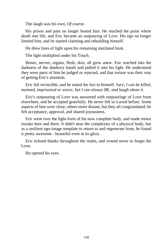The laugh was his own. *Of course.*

His prison and pain no longer bound him. He reached the point where death met life, and Eric became an outpouring of Love. His ego no longer limited him, and he started claiming and rebuilding himself.

He drew lines of light upon his remaining mutilated husk.

The light multiplied under his Touch.

Bones, nerves, organs, flesh, skin; all grew anew. Eric reached into the darkness of the shadowy hands and pulled it into his light. He understood they were parts of him he judged or rejected, and that torture was their way of getting Eric's attention.

Eric felt invincible, and he stated the fact to himself. *Sure, I can be killed, maimed, imprisoned or worse; but I can always BE, and laugh about it.*

Eric's outpouring of Love was answered with outpourings of Love from elsewhere, and he accepted gratefully. He never felt so Loved before. Some aspects of him were close, others more distant, but they all congratulated; he felt acceptance, approval, and shared joyousness.

Eric went over the light-form of his now complete body, and made minor tweaks here and there. It didn't near the complexity of a physical body, but as a resilient ego-image template to return to and regenerate from, he found it pretty awesome - beautiful even in its glory.

Eric echoed thanks throughout the realm, and vowed never to forget the Love.

He opened his eyes.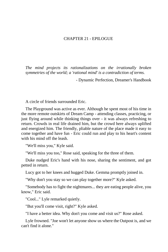## CHAPTER 21 - EPILOGUE

*The mind projects its rationalizations on the irrationally broken symmetries of the world; a 'rational mind' is a contradiction of terms.*

- Dynamic Perfection, Dreamer's Handbook

A circle of friends surrounded Eric.

The Playground was active as ever. Although he spent most of his time in the more remote outskirts of Dream Camp - attending classes, practicing, or just flying around while thinking things over - it was always refreshing to return. Crowds in real life drained him, but the crowd here always uplifted and energized him. The friendly, pliable nature of the place made it easy to come together and have fun - Eric could run and play to his heart's content with his mind off the leash.

"We'll miss you," Kyle said.

"We'll miss you too," Rose said, speaking for the three of them.

Duke nudged Eric's hand with his nose, sharing the sentiment, and got petted in return.

Lucy got to her knees and hugged Duke. Gemma promptly joined in.

"Why don't you stay so we can play together more?" Kyle asked.

"Somebody has to fight the nightmares... they are eating people alive, you know," Eric said.

"Cool..." Lyle remarked quietly.

"But you'll come visit, right?" Kyle asked.

"I have a better idea. Why don't you come and visit us?" Rose asked.

Lyle frowned. "Joe won't let anyone show us where the Outpost is, and we can't find it alone."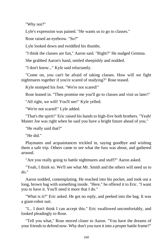"Why not?"

Lyle's expression was pained. "He wants us to go to classes."

Rose raised an eyebrow. "So?"

Lyle looked down and twiddled his thumbs.

"I think the classes are fun," Aaron said. "Right?" He nudged Gemma.

She grabbed Aaron's hand, smiled sheepishly and nodded.

"I don't know..." Kyle said reluctantly.

"Come on, you can't be afraid of taking classes. How will we fight nightmares together if you're scared of studying?" Rose teased.

Kyle stomped his foot. "We're not scared!"

Rose leaned in. "Then promise me you'll go to classes and visit us later!"

"All right, we will! You'll see!" Kyle yelled.

"We're not scared!" Lyle added.

"That's the spirit!" Eric raised his hands to high-five both brothers. "Yeah! Master Joe was right when he said you have a bright future ahead of you."

"He really said that?"

"He did."

Playmates and acquaintances trickled in, saying goodbye and wishing them a safe trip. Others came to see what the fuss was about, and gathered around.

"Are you really going to battle nightmares and stuff?" Aaron asked.

"Yeah, I think so. We'll see what Mr. Smith and the others will need us to do."

Aaron nodded, contemplating. He reached into his pocket, and took out a long, brown bag with something inside. "Here," he offered it to Eric. "I want you to have it. You'll need it more that I do."

"What is it?" Eric asked. He got no reply, and peeked into the bag. It was a giant-robot suit.

"I... I don't think I can accept this." Eric swallowed uncomfortably, and looked pleadingly to Rose.

"Tell you what," Rose moved closer to Aaron. "You have the dreams of your friends to defend now. Why don't you turn it into a proper battle frame?"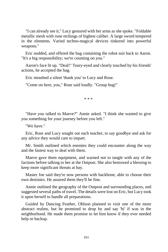"I can already see it," Lucy gestured with her arms as she spoke. "Foldable metallic mesh with rune etchings of highest caliber. A large sword tempered in the elements. Varied techno-magical devices tinkered into powerful weapons."

Eric nodded, and offered the bag containing the robot suit back to Aaron. "It's a big responsibility; we're counting on you."

Aaron's face lit up. "Deal!" Teary-eyed and clearly touched by his friends' actions, he accepted the bag.

Eric mouthed a silent 'thank you' to Lucy and Rose.

"Come on here, you," Rose said loudly. "Group hug!"

\* \* \*

"Have you talked to Maeve?" Annie asked. "I think she wanted to give you something for your journey before you left."

"We have."

Eric, Rose and Lucy sought out each teacher, to say goodbye and ask for any advice they would care to impart.

Mr. Smith outlined which enemies they could encounter along the way and the fastest way to deal with them.

Maeve gave them equipment, and warned not to tangle with any of the factions before talking to her at the Outpost. She also bestowed a blessing to keep more significant threats at bay.

Master Joe said they're now persons with backbone, able to choose their own destinies. He assured them they'll be fine.

Annie outlined the geography of the Outpost and surrounding places, and suggested several paths of travel. The details were lost on Eric, but Lucy took it upon herself to handle all preparations.

Guided by Dancing Feather, Ohlson planned to visit one of the more abstract realms, but he promised to drop by and say 'hi' if was in the neighborhood. He made them promise to let him know if they ever needed help or backup.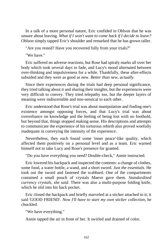In a talk of a more personal nature, Eric confided in Ohlson that he was unsure about leaving. *What if I won't want to come back if I decide to leave?* Ohlson simply tapped Eric's shoulder and remarked that he has grown taller.

"Are you rested? Have you recovered fully from your trials?"

"We have."

Eric suffered no adverse reactions, but Rose had spiraly marks all over her body which took several days to fade, and Lucy's mood alternated between over-thinking and impulsiveness for a while. Thankfully, these after-effects subsided and they were as good as new. *Better than new, actually.*

Since their experiences during the trials had deep personal significance, they tried talking about it and sharing their insights, but the experiences were very difficult to convey. They tried telepathy too, but the deeper layers of meaning were indiscernible and non-sensical to each other.

Eric understood that Rose's trial was about manipulation and finding one's existence amongst opposing forces, and that Lucy's trial was about overreliance on knowledge and the feeling of being lost with no foothold, but beyond that, things stopped making sense. His descriptions and attempts to communicate the experience of his torturous rebirth also proved woefully inadequate in conveying the intensity of the experience.

Nevertheless, they each found some 'inner peace'-like quality, which affected them positively on a personal level and as a team. Eric warned himself not to take Lucy and Rose's presence for granted.

"Do you have everything you need? Double-check," Annie instructed.

Eric lowered his backpack and inspected the contents: a change of clothes, some food, a water bottle, a wand, and a short sword. *Just the essentials.* He took out the sword and fastened the scabbard. One of the compartments contained a small pouch of crystals Maeve gave them. *Standardized currency crystals, she said.* There was also a multi-purpose folding knife, which he slid into his back pocket.

Eric closed the backpack and briefly marveled at a sticker attached to it; it said 'GOOD FRIEND'. *Now I'll have to start my own sticker collection*, he chuckled.

"We have everything."

Annie tapped the air in front of her. It swirled and drained of color.